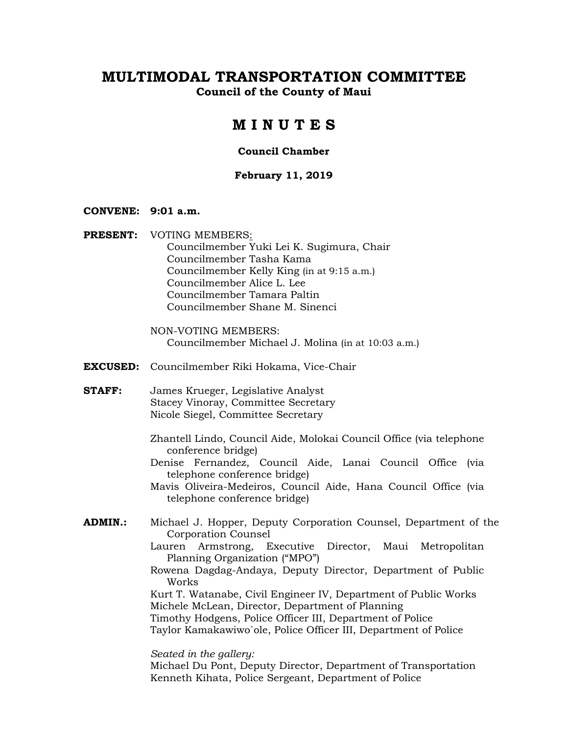**Council of the County of Maui** 

## **M I N U T E S**

#### **Council Chamber**

### **February 11, 2019**

### **CONVENE: 9:01 a.m.**

**PRESENT:** VOTING MEMBERS: Councilmember Yuki Lei K. Sugimura, Chair Councilmember Tasha Kama Councilmember Kelly King (in at 9:15 a.m.) Councilmember Alice L. Lee Councilmember Tamara Paltin Councilmember Shane M. Sinenci

> NON-VOTING MEMBERS: Councilmember Michael J. Molina (in at 10:03 a.m.)

**EXCUSED:** Councilmember Riki Hokama, Vice-Chair

**STAFF:** James Krueger, Legislative Analyst Stacey Vinoray, Committee Secretary Nicole Siegel, Committee Secretary

- Zhantell Lindo, Council Aide, Molokai Council Office (via telephone conference bridge)
- Denise Fernandez, Council Aide, Lanai Council Office (via telephone conference bridge)

Mavis Oliveira-Medeiros, Council Aide, Hana Council Office (via telephone conference bridge)

- **ADMIN.:** Michael J. Hopper, Deputy Corporation Counsel, Department of the Corporation Counsel
	- Lauren Armstrong, Executive Director, Maui Metropolitan Planning Organization ("MPO")
	- Rowena Dagdag-Andaya, Deputy Director, Department of Public Works

Kurt T. Watanabe, Civil Engineer IV, Department of Public Works Michele McLean, Director, Department of Planning Timothy Hodgens, Police Officer III, Department of Police Taylor Kamakawiwo`ole, Police Officer III, Department of Police

*Seated in the gallery:*

Michael Du Pont, Deputy Director, Department of Transportation Kenneth Kihata, Police Sergeant, Department of Police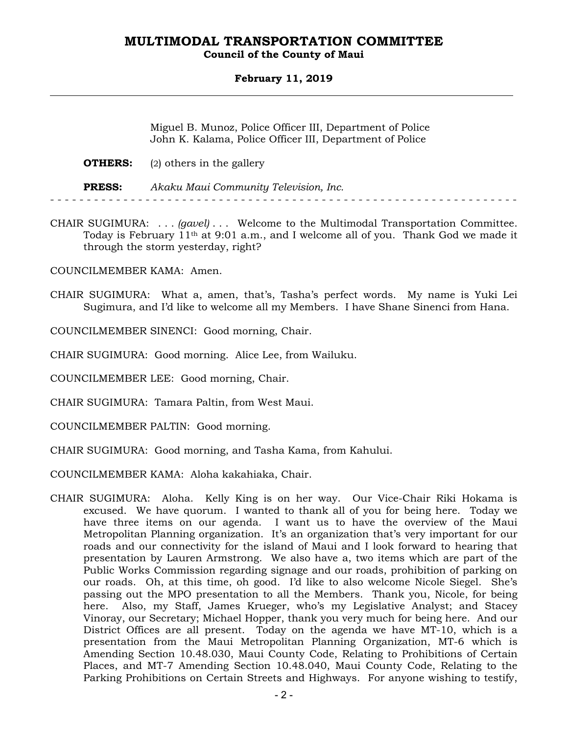### **Council of the County of Maui**

### **February 11, 2019**

Miguel B. Munoz, Police Officer III, Department of Police John K. Kalama, Police Officer III, Department of Police

|               | <b>OTHERS:</b> (2) others in the gallery |
|---------------|------------------------------------------|
| <b>PRESS:</b> | Akaku Maui Community Television, Inc.    |

CHAIR SUGIMURA: . . . *(gavel)* . . . Welcome to the Multimodal Transportation Committee. Today is February 11th at 9:01 a.m., and I welcome all of you. Thank God we made it through the storm yesterday, right?

COUNCILMEMBER KAMA: Amen.

CHAIR SUGIMURA: What a, amen, that's, Tasha's perfect words. My name is Yuki Lei Sugimura, and I'd like to welcome all my Members. I have Shane Sinenci from Hana.

COUNCILMEMBER SINENCI: Good morning, Chair.

CHAIR SUGIMURA: Good morning. Alice Lee, from Wailuku.

COUNCILMEMBER LEE: Good morning, Chair.

CHAIR SUGIMURA: Tamara Paltin, from West Maui.

COUNCILMEMBER PALTIN: Good morning.

CHAIR SUGIMURA: Good morning, and Tasha Kama, from Kahului.

COUNCILMEMBER KAMA: Aloha kakahiaka, Chair.

CHAIR SUGIMURA: Aloha. Kelly King is on her way. Our Vice-Chair Riki Hokama is excused. We have quorum. I wanted to thank all of you for being here. Today we have three items on our agenda. I want us to have the overview of the Maui Metropolitan Planning organization. It's an organization that's very important for our roads and our connectivity for the island of Maui and I look forward to hearing that presentation by Lauren Armstrong. We also have a, two items which are part of the Public Works Commission regarding signage and our roads, prohibition of parking on our roads. Oh, at this time, oh good. I'd like to also welcome Nicole Siegel. She's passing out the MPO presentation to all the Members. Thank you, Nicole, for being here. Also, my Staff, James Krueger, who's my Legislative Analyst; and Stacey Vinoray, our Secretary; Michael Hopper, thank you very much for being here. And our District Offices are all present. Today on the agenda we have MT-10, which is a presentation from the Maui Metropolitan Planning Organization, MT-6 which is Amending Section 10.48.030, Maui County Code, Relating to Prohibitions of Certain Places, and MT-7 Amending Section 10.48.040, Maui County Code, Relating to the Parking Prohibitions on Certain Streets and Highways. For anyone wishing to testify,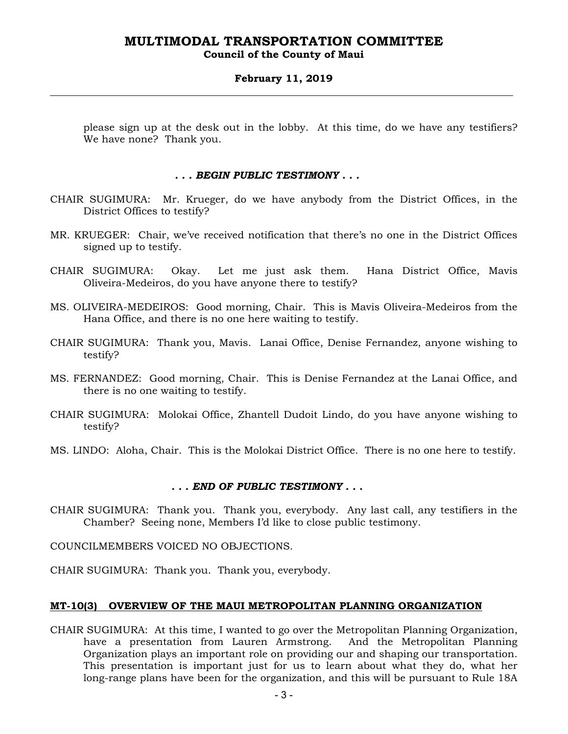### **Council of the County of Maui**

### **February 11, 2019**

please sign up at the desk out in the lobby. At this time, do we have any testifiers? We have none? Thank you.

### *. . . BEGIN PUBLIC TESTIMONY . . .*

- CHAIR SUGIMURA: Mr. Krueger, do we have anybody from the District Offices, in the District Offices to testify?
- MR. KRUEGER: Chair, we've received notification that there's no one in the District Offices signed up to testify.
- CHAIR SUGIMURA: Okay. Let me just ask them. Hana District Office, Mavis Oliveira-Medeiros, do you have anyone there to testify?
- MS. OLIVEIRA-MEDEIROS: Good morning, Chair. This is Mavis Oliveira-Medeiros from the Hana Office, and there is no one here waiting to testify.
- CHAIR SUGIMURA: Thank you, Mavis. Lanai Office, Denise Fernandez, anyone wishing to testify?
- MS. FERNANDEZ: Good morning, Chair. This is Denise Fernandez at the Lanai Office, and there is no one waiting to testify.
- CHAIR SUGIMURA: Molokai Office, Zhantell Dudoit Lindo, do you have anyone wishing to testify?
- MS. LINDO: Aloha, Chair. This is the Molokai District Office. There is no one here to testify.

### *. . . END OF PUBLIC TESTIMONY . . .*

- CHAIR SUGIMURA: Thank you. Thank you, everybody. Any last call, any testifiers in the Chamber? Seeing none, Members I'd like to close public testimony.
- COUNCILMEMBERS VOICED NO OBJECTIONS.
- CHAIR SUGIMURA: Thank you. Thank you, everybody.

### **MT-10(3) OVERVIEW OF THE MAUI METROPOLITAN PLANNING ORGANIZATION**

CHAIR SUGIMURA: At this time, I wanted to go over the Metropolitan Planning Organization, have a presentation from Lauren Armstrong. And the Metropolitan Planning Organization plays an important role on providing our and shaping our transportation. This presentation is important just for us to learn about what they do, what her long-range plans have been for the organization, and this will be pursuant to Rule 18A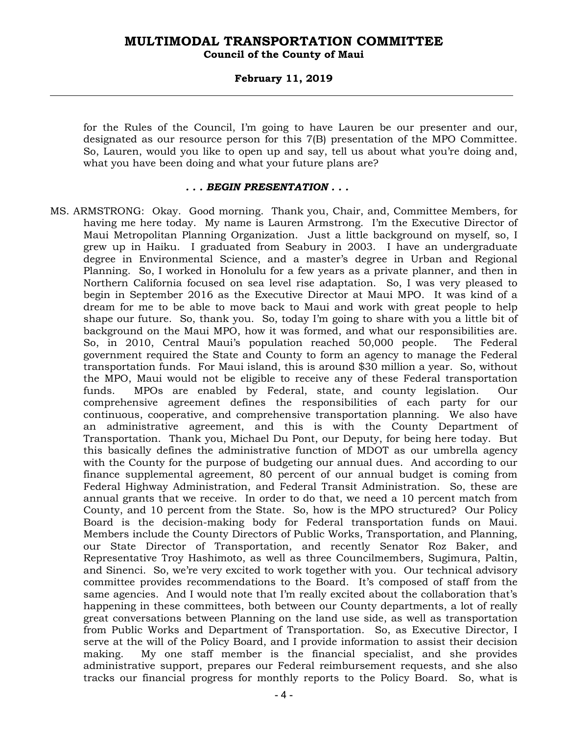### **February 11, 2019**

for the Rules of the Council, I'm going to have Lauren be our presenter and our, designated as our resource person for this 7(B) presentation of the MPO Committee. So, Lauren, would you like to open up and say, tell us about what you're doing and, what you have been doing and what your future plans are?

#### *. . . BEGIN PRESENTATION . . .*

MS. ARMSTRONG: Okay. Good morning. Thank you, Chair, and, Committee Members, for having me here today. My name is Lauren Armstrong. I'm the Executive Director of Maui Metropolitan Planning Organization. Just a little background on myself, so, I grew up in Haiku. I graduated from Seabury in 2003. I have an undergraduate degree in Environmental Science, and a master's degree in Urban and Regional Planning. So, I worked in Honolulu for a few years as a private planner, and then in Northern California focused on sea level rise adaptation. So, I was very pleased to begin in September 2016 as the Executive Director at Maui MPO. It was kind of a dream for me to be able to move back to Maui and work with great people to help shape our future. So, thank you. So, today I'm going to share with you a little bit of background on the Maui MPO, how it was formed, and what our responsibilities are. So, in 2010, Central Maui's population reached 50,000 people. The Federal government required the State and County to form an agency to manage the Federal transportation funds. For Maui island, this is around \$30 million a year. So, without the MPO, Maui would not be eligible to receive any of these Federal transportation funds. MPOs are enabled by Federal, state, and county legislation. Our comprehensive agreement defines the responsibilities of each party for our continuous, cooperative, and comprehensive transportation planning. We also have an administrative agreement, and this is with the County Department of Transportation. Thank you, Michael Du Pont, our Deputy, for being here today. But this basically defines the administrative function of MDOT as our umbrella agency with the County for the purpose of budgeting our annual dues. And according to our finance supplemental agreement, 80 percent of our annual budget is coming from Federal Highway Administration, and Federal Transit Administration. So, these are annual grants that we receive. In order to do that, we need a 10 percent match from County, and 10 percent from the State. So, how is the MPO structured? Our Policy Board is the decision-making body for Federal transportation funds on Maui. Members include the County Directors of Public Works, Transportation, and Planning, our State Director of Transportation, and recently Senator Roz Baker, and Representative Troy Hashimoto, as well as three Councilmembers, Sugimura, Paltin, and Sinenci. So, we're very excited to work together with you. Our technical advisory committee provides recommendations to the Board. It's composed of staff from the same agencies. And I would note that I'm really excited about the collaboration that's happening in these committees, both between our County departments, a lot of really great conversations between Planning on the land use side, as well as transportation from Public Works and Department of Transportation. So, as Executive Director, I serve at the will of the Policy Board, and I provide information to assist their decision making. My one staff member is the financial specialist, and she provides administrative support, prepares our Federal reimbursement requests, and she also tracks our financial progress for monthly reports to the Policy Board. So, what is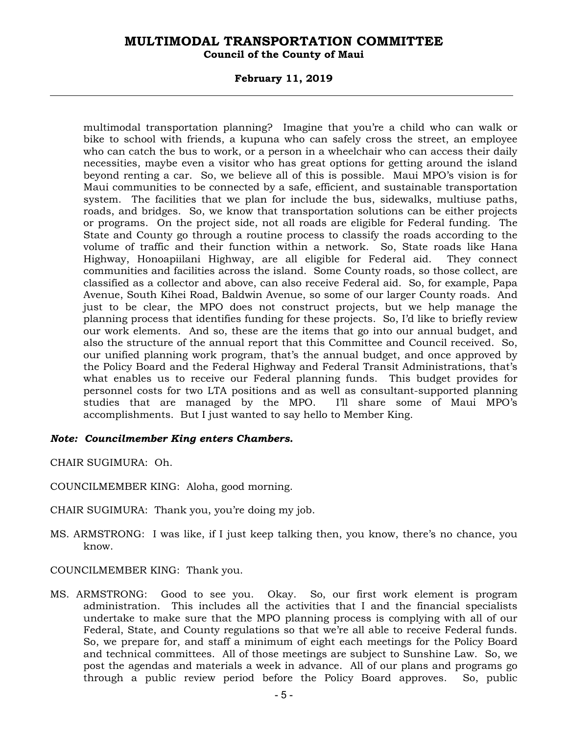### **Council of the County of Maui**

### **February 11, 2019**

multimodal transportation planning? Imagine that you're a child who can walk or bike to school with friends, a kupuna who can safely cross the street, an employee who can catch the bus to work, or a person in a wheelchair who can access their daily necessities, maybe even a visitor who has great options for getting around the island beyond renting a car. So, we believe all of this is possible. Maui MPO's vision is for Maui communities to be connected by a safe, efficient, and sustainable transportation system. The facilities that we plan for include the bus, sidewalks, multiuse paths, roads, and bridges. So, we know that transportation solutions can be either projects or programs. On the project side, not all roads are eligible for Federal funding. The State and County go through a routine process to classify the roads according to the volume of traffic and their function within a network. So, State roads like Hana Highway, Honoapiilani Highway, are all eligible for Federal aid. They connect communities and facilities across the island. Some County roads, so those collect, are classified as a collector and above, can also receive Federal aid. So, for example, Papa Avenue, South Kihei Road, Baldwin Avenue, so some of our larger County roads. And just to be clear, the MPO does not construct projects, but we help manage the planning process that identifies funding for these projects. So, I'd like to briefly review our work elements. And so, these are the items that go into our annual budget, and also the structure of the annual report that this Committee and Council received. So, our unified planning work program, that's the annual budget, and once approved by the Policy Board and the Federal Highway and Federal Transit Administrations, that's what enables us to receive our Federal planning funds. This budget provides for personnel costs for two LTA positions and as well as consultant-supported planning studies that are managed by the MPO. I'll share some of Maui MPO's accomplishments. But I just wanted to say hello to Member King.

### *Note: Councilmember King enters Chambers.*

CHAIR SUGIMURA: Oh.

- COUNCILMEMBER KING: Aloha, good morning.
- CHAIR SUGIMURA: Thank you, you're doing my job.
- MS. ARMSTRONG: I was like, if I just keep talking then, you know, there's no chance, you know.
- COUNCILMEMBER KING: Thank you.
- MS. ARMSTRONG: Good to see you. Okay. So, our first work element is program administration. This includes all the activities that I and the financial specialists undertake to make sure that the MPO planning process is complying with all of our Federal, State, and County regulations so that we're all able to receive Federal funds. So, we prepare for, and staff a minimum of eight each meetings for the Policy Board and technical committees. All of those meetings are subject to Sunshine Law. So, we post the agendas and materials a week in advance. All of our plans and programs go through a public review period before the Policy Board approves. So, public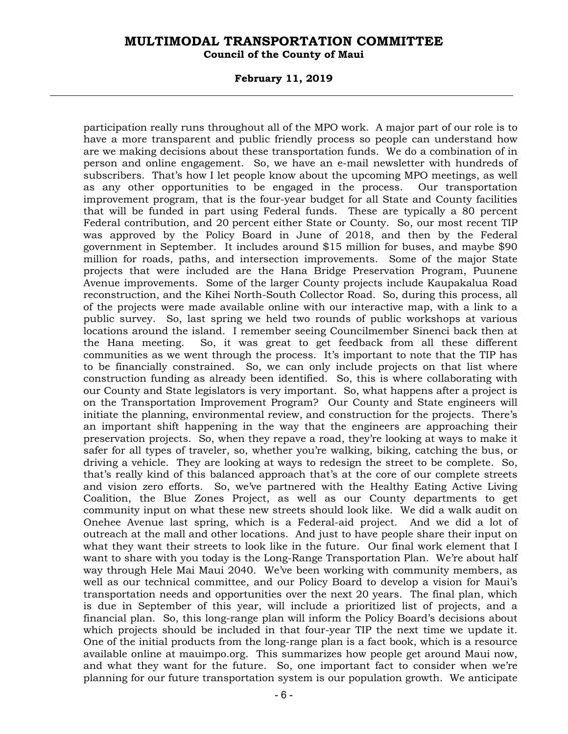### **Council of the County of Maui**

#### **February 11, 2019**

participation really runs throughout all of the MPO work. A major part of our role is to have a more transparent and public friendly process so people can understand how are we making decisions about these transportation funds. We do a combination of in person and online engagement. So, we have an e-mail newsletter with hundreds of subscribers. That's how I let people know about the upcoming MPO meetings, as well as any other opportunities to be engaged in the process. Our transportation improvement program, that is the four-year budget for all State and County facilities that will be funded in part using Federal funds. These are typically a 80 percent Federal contribution, and 20 percent either State or County. So, our most recent TIP was approved by the Policy Board in June of 2018, and then by the Federal government in September. It includes around \$15 million for buses, and maybe \$90 million for roads, paths, and intersection improvements. Some of the major State projects that were included are the Hana Bridge Preservation Program, Puunene Avenue improvements. Some of the larger County projects include Kaupakalua Road reconstruction, and the Kihei North-South Collector Road. So, during this process, all of the projects were made available online with our interactive map, with a link to a public survey. So, last spring we held two rounds of public workshops at various locations around the island. I remember seeing Councilmember Sinenci back then at the Hana meeting. So, it was great to get feedback from all these different communities as we went through the process. It's important to note that the TIP has to be financially constrained. So, we can only include projects on that list where construction funding as already been identified. So, this is where collaborating with our County and State legislators is very important. So, what happens after a project is on the Transportation Improvement Program? Our County and State engineers will initiate the planning, environmental review, and construction for the projects. There's an important shift happening in the way that the engineers are approaching their preservation projects. So, when they repave a road, they're looking at ways to make it safer for all types of traveler, so, whether you're walking, biking, catching the bus, or driving a vehicle. They are looking at ways to redesign the street to be complete. So, that's really kind of this balanced approach that's at the core of our complete streets and vision zero efforts. So, we've partnered with the Healthy Eating Active Living Coalition, the Blue Zones Project, as well as our County departments to get community input on what these new streets should look like. We did a walk audit on Onehee Avenue last spring, which is a Federal-aid project. And we did a lot of outreach at the mall and other locations. And just to have people share their input on what they want their streets to look like in the future. Our final work element that I want to share with you today is the Long-Range Transportation Plan. We're about half way through Hele Mai Maui 2040. We've been working with community members, as well as our technical committee, and our Policy Board to develop a vision for Maui's transportation needs and opportunities over the next 20 years. The final plan, which is due in September of this year, will include a prioritized list of projects, and a financial plan. So, this long-range plan will inform the Policy Board's decisions about which projects should be included in that four-year TIP the next time we update it. One of the initial products from the long-range plan is a fact book, which is a resource available online at mauimpo.org. This summarizes how people get around Maui now, and what they want for the future. So, one important fact to consider when we're planning for our future transportation system is our population growth. We anticipate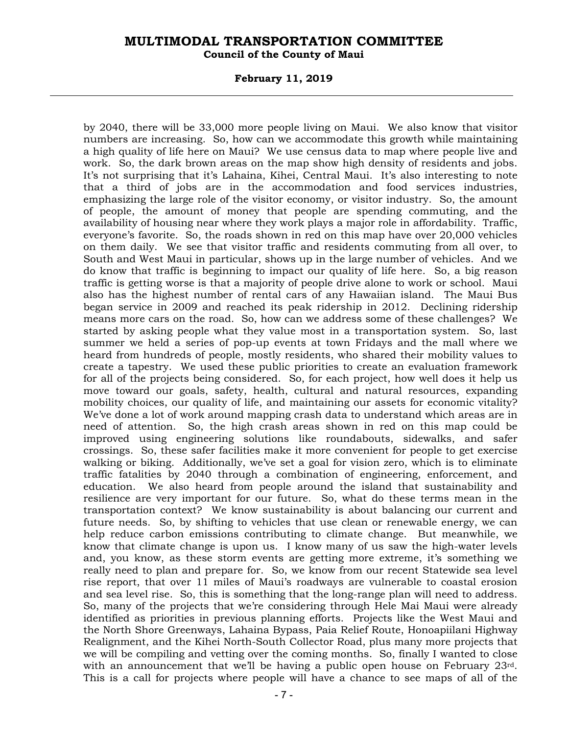#### **February 11, 2019**

by 2040, there will be 33,000 more people living on Maui. We also know that visitor numbers are increasing. So, how can we accommodate this growth while maintaining a high quality of life here on Maui? We use census data to map where people live and work. So, the dark brown areas on the map show high density of residents and jobs. It's not surprising that it's Lahaina, Kihei, Central Maui. It's also interesting to note that a third of jobs are in the accommodation and food services industries, emphasizing the large role of the visitor economy, or visitor industry. So, the amount of people, the amount of money that people are spending commuting, and the availability of housing near where they work plays a major role in affordability. Traffic, everyone's favorite. So, the roads shown in red on this map have over 20,000 vehicles on them daily. We see that visitor traffic and residents commuting from all over, to South and West Maui in particular, shows up in the large number of vehicles. And we do know that traffic is beginning to impact our quality of life here. So, a big reason traffic is getting worse is that a majority of people drive alone to work or school. Maui also has the highest number of rental cars of any Hawaiian island. The Maui Bus began service in 2009 and reached its peak ridership in 2012. Declining ridership means more cars on the road. So, how can we address some of these challenges? We started by asking people what they value most in a transportation system. So, last summer we held a series of pop-up events at town Fridays and the mall where we heard from hundreds of people, mostly residents, who shared their mobility values to create a tapestry. We used these public priorities to create an evaluation framework for all of the projects being considered. So, for each project, how well does it help us move toward our goals, safety, health, cultural and natural resources, expanding mobility choices, our quality of life, and maintaining our assets for economic vitality? We've done a lot of work around mapping crash data to understand which areas are in need of attention. So, the high crash areas shown in red on this map could be improved using engineering solutions like roundabouts, sidewalks, and safer crossings. So, these safer facilities make it more convenient for people to get exercise walking or biking. Additionally, we've set a goal for vision zero, which is to eliminate traffic fatalities by 2040 through a combination of engineering, enforcement, and education. We also heard from people around the island that sustainability and resilience are very important for our future. So, what do these terms mean in the transportation context? We know sustainability is about balancing our current and future needs. So, by shifting to vehicles that use clean or renewable energy, we can help reduce carbon emissions contributing to climate change. But meanwhile, we know that climate change is upon us. I know many of us saw the high-water levels and, you know, as these storm events are getting more extreme, it's something we really need to plan and prepare for. So, we know from our recent Statewide sea level rise report, that over 11 miles of Maui's roadways are vulnerable to coastal erosion and sea level rise. So, this is something that the long-range plan will need to address. So, many of the projects that we're considering through Hele Mai Maui were already identified as priorities in previous planning efforts. Projects like the West Maui and the North Shore Greenways, Lahaina Bypass, Paia Relief Route, Honoapiilani Highway Realignment, and the Kihei North-South Collector Road, plus many more projects that we will be compiling and vetting over the coming months. So, finally I wanted to close with an announcement that we'll be having a public open house on February 23<sup>rd</sup>. This is a call for projects where people will have a chance to see maps of all of the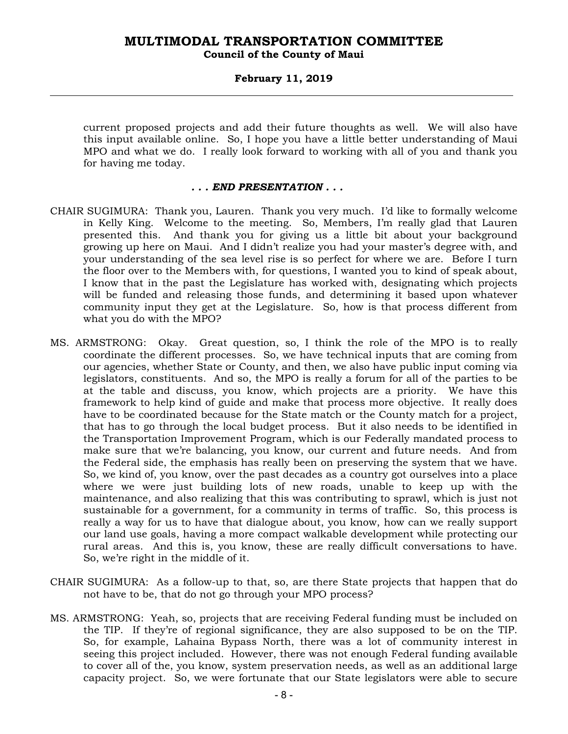### **February 11, 2019**

current proposed projects and add their future thoughts as well. We will also have this input available online. So, I hope you have a little better understanding of Maui MPO and what we do. I really look forward to working with all of you and thank you for having me today.

#### *. . . END PRESENTATION . . .*

- CHAIR SUGIMURA: Thank you, Lauren. Thank you very much. I'd like to formally welcome in Kelly King. Welcome to the meeting. So, Members, I'm really glad that Lauren presented this. And thank you for giving us a little bit about your background growing up here on Maui. And I didn't realize you had your master's degree with, and your understanding of the sea level rise is so perfect for where we are. Before I turn the floor over to the Members with, for questions, I wanted you to kind of speak about, I know that in the past the Legislature has worked with, designating which projects will be funded and releasing those funds, and determining it based upon whatever community input they get at the Legislature. So, how is that process different from what you do with the MPO?
- MS. ARMSTRONG: Okay. Great question, so, I think the role of the MPO is to really coordinate the different processes. So, we have technical inputs that are coming from our agencies, whether State or County, and then, we also have public input coming via legislators, constituents. And so, the MPO is really a forum for all of the parties to be at the table and discuss, you know, which projects are a priority. We have this framework to help kind of guide and make that process more objective. It really does have to be coordinated because for the State match or the County match for a project, that has to go through the local budget process. But it also needs to be identified in the Transportation Improvement Program, which is our Federally mandated process to make sure that we're balancing, you know, our current and future needs. And from the Federal side, the emphasis has really been on preserving the system that we have. So, we kind of, you know, over the past decades as a country got ourselves into a place where we were just building lots of new roads, unable to keep up with the maintenance, and also realizing that this was contributing to sprawl, which is just not sustainable for a government, for a community in terms of traffic. So, this process is really a way for us to have that dialogue about, you know, how can we really support our land use goals, having a more compact walkable development while protecting our rural areas. And this is, you know, these are really difficult conversations to have. So, we're right in the middle of it.
- CHAIR SUGIMURA: As a follow-up to that, so, are there State projects that happen that do not have to be, that do not go through your MPO process?
- MS. ARMSTRONG: Yeah, so, projects that are receiving Federal funding must be included on the TIP. If they're of regional significance, they are also supposed to be on the TIP. So, for example, Lahaina Bypass North, there was a lot of community interest in seeing this project included. However, there was not enough Federal funding available to cover all of the, you know, system preservation needs, as well as an additional large capacity project. So, we were fortunate that our State legislators were able to secure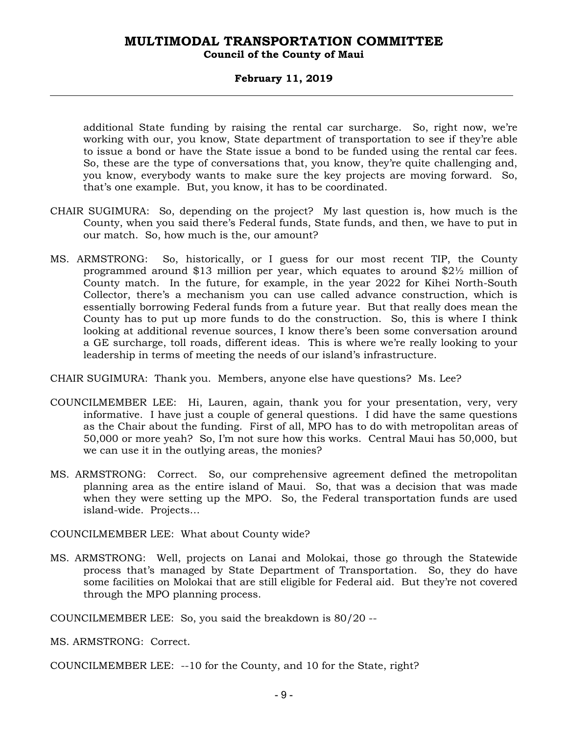### **Council of the County of Maui**

### **February 11, 2019**

additional State funding by raising the rental car surcharge. So, right now, we're working with our, you know, State department of transportation to see if they're able to issue a bond or have the State issue a bond to be funded using the rental car fees. So, these are the type of conversations that, you know, they're quite challenging and, you know, everybody wants to make sure the key projects are moving forward. So, that's one example. But, you know, it has to be coordinated.

- CHAIR SUGIMURA: So, depending on the project? My last question is, how much is the County, when you said there's Federal funds, State funds, and then, we have to put in our match. So, how much is the, our amount?
- MS. ARMSTRONG: So, historically, or I guess for our most recent TIP, the County programmed around \$13 million per year, which equates to around \$2½ million of County match. In the future, for example, in the year 2022 for Kihei North-South Collector, there's a mechanism you can use called advance construction, which is essentially borrowing Federal funds from a future year. But that really does mean the County has to put up more funds to do the construction. So, this is where I think looking at additional revenue sources, I know there's been some conversation around a GE surcharge, toll roads, different ideas. This is where we're really looking to your leadership in terms of meeting the needs of our island's infrastructure.

CHAIR SUGIMURA: Thank you. Members, anyone else have questions? Ms. Lee?

- COUNCILMEMBER LEE: Hi, Lauren, again, thank you for your presentation, very, very informative. I have just a couple of general questions. I did have the same questions as the Chair about the funding. First of all, MPO has to do with metropolitan areas of 50,000 or more yeah? So, I'm not sure how this works. Central Maui has 50,000, but we can use it in the outlying areas, the monies?
- MS. ARMSTRONG: Correct. So, our comprehensive agreement defined the metropolitan planning area as the entire island of Maui. So, that was a decision that was made when they were setting up the MPO. So, the Federal transportation funds are used island-wide. Projects…

COUNCILMEMBER LEE: What about County wide?

MS. ARMSTRONG: Well, projects on Lanai and Molokai, those go through the Statewide process that's managed by State Department of Transportation. So, they do have some facilities on Molokai that are still eligible for Federal aid. But they're not covered through the MPO planning process.

COUNCILMEMBER LEE: So, you said the breakdown is 80/20 --

MS. ARMSTRONG: Correct.

COUNCILMEMBER LEE: --10 for the County, and 10 for the State, right?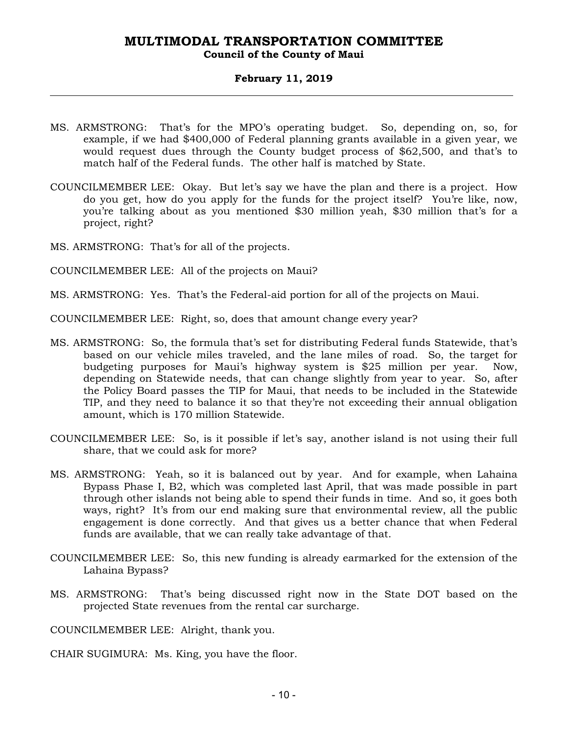### **Council of the County of Maui**

### **February 11, 2019**

- MS. ARMSTRONG: That's for the MPO's operating budget. So, depending on, so, for example, if we had \$400,000 of Federal planning grants available in a given year, we would request dues through the County budget process of \$62,500, and that's to match half of the Federal funds. The other half is matched by State.
- COUNCILMEMBER LEE: Okay. But let's say we have the plan and there is a project. How do you get, how do you apply for the funds for the project itself? You're like, now, you're talking about as you mentioned \$30 million yeah, \$30 million that's for a project, right?
- MS. ARMSTRONG: That's for all of the projects.
- COUNCILMEMBER LEE: All of the projects on Maui?
- MS. ARMSTRONG: Yes. That's the Federal-aid portion for all of the projects on Maui.
- COUNCILMEMBER LEE: Right, so, does that amount change every year?
- MS. ARMSTRONG: So, the formula that's set for distributing Federal funds Statewide, that's based on our vehicle miles traveled, and the lane miles of road. So, the target for budgeting purposes for Maui's highway system is \$25 million per year. Now, depending on Statewide needs, that can change slightly from year to year. So, after the Policy Board passes the TIP for Maui, that needs to be included in the Statewide TIP, and they need to balance it so that they're not exceeding their annual obligation amount, which is 170 million Statewide.
- COUNCILMEMBER LEE: So, is it possible if let's say, another island is not using their full share, that we could ask for more?
- MS. ARMSTRONG: Yeah, so it is balanced out by year. And for example, when Lahaina Bypass Phase I, B2, which was completed last April, that was made possible in part through other islands not being able to spend their funds in time. And so, it goes both ways, right? It's from our end making sure that environmental review, all the public engagement is done correctly. And that gives us a better chance that when Federal funds are available, that we can really take advantage of that.
- COUNCILMEMBER LEE: So, this new funding is already earmarked for the extension of the Lahaina Bypass?
- MS. ARMSTRONG: That's being discussed right now in the State DOT based on the projected State revenues from the rental car surcharge.

COUNCILMEMBER LEE: Alright, thank you.

CHAIR SUGIMURA: Ms. King, you have the floor.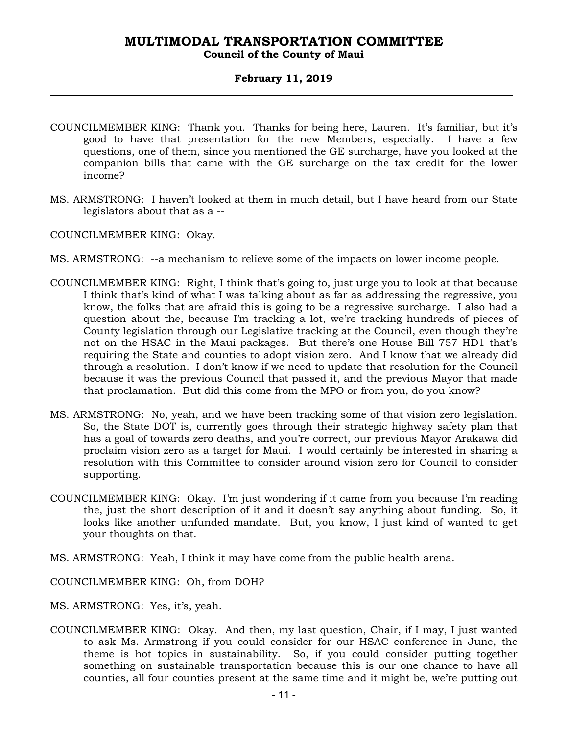### **February 11, 2019**

- COUNCILMEMBER KING: Thank you. Thanks for being here, Lauren. It's familiar, but it's good to have that presentation for the new Members, especially. I have a few questions, one of them, since you mentioned the GE surcharge, have you looked at the companion bills that came with the GE surcharge on the tax credit for the lower income?
- MS. ARMSTRONG: I haven't looked at them in much detail, but I have heard from our State legislators about that as a --
- COUNCILMEMBER KING: Okay.
- MS. ARMSTRONG: --a mechanism to relieve some of the impacts on lower income people.
- COUNCILMEMBER KING: Right, I think that's going to, just urge you to look at that because I think that's kind of what I was talking about as far as addressing the regressive, you know, the folks that are afraid this is going to be a regressive surcharge. I also had a question about the, because I'm tracking a lot, we're tracking hundreds of pieces of County legislation through our Legislative tracking at the Council, even though they're not on the HSAC in the Maui packages. But there's one House Bill 757 HD1 that's requiring the State and counties to adopt vision zero. And I know that we already did through a resolution. I don't know if we need to update that resolution for the Council because it was the previous Council that passed it, and the previous Mayor that made that proclamation. But did this come from the MPO or from you, do you know?
- MS. ARMSTRONG: No, yeah, and we have been tracking some of that vision zero legislation. So, the State DOT is, currently goes through their strategic highway safety plan that has a goal of towards zero deaths, and you're correct, our previous Mayor Arakawa did proclaim vision zero as a target for Maui. I would certainly be interested in sharing a resolution with this Committee to consider around vision zero for Council to consider supporting.
- COUNCILMEMBER KING: Okay. I'm just wondering if it came from you because I'm reading the, just the short description of it and it doesn't say anything about funding. So, it looks like another unfunded mandate. But, you know, I just kind of wanted to get your thoughts on that.
- MS. ARMSTRONG: Yeah, I think it may have come from the public health arena.

COUNCILMEMBER KING: Oh, from DOH?

- MS. ARMSTRONG: Yes, it's, yeah.
- COUNCILMEMBER KING: Okay. And then, my last question, Chair, if I may, I just wanted to ask Ms. Armstrong if you could consider for our HSAC conference in June, the theme is hot topics in sustainability. So, if you could consider putting together something on sustainable transportation because this is our one chance to have all counties, all four counties present at the same time and it might be, we're putting out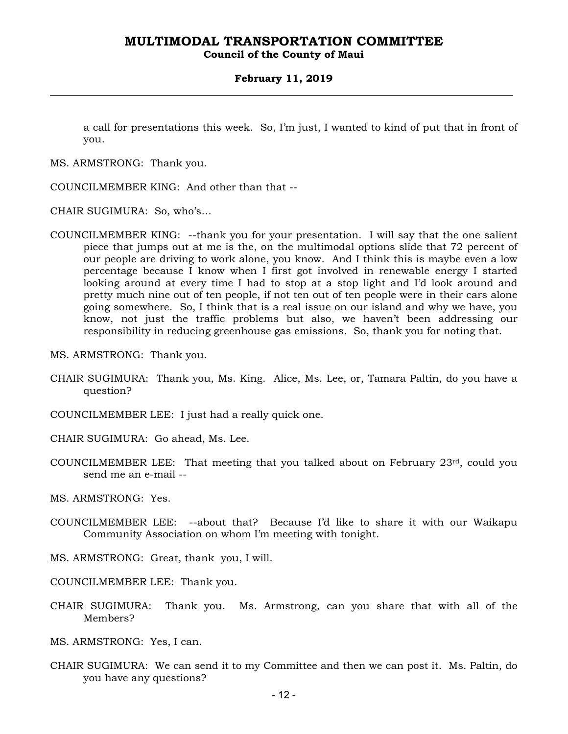**Council of the County of Maui** 

#### **February 11, 2019**

a call for presentations this week. So, I'm just, I wanted to kind of put that in front of you.

MS. ARMSTRONG: Thank you.

COUNCILMEMBER KING: And other than that --

CHAIR SUGIMURA: So, who's…

- COUNCILMEMBER KING: --thank you for your presentation. I will say that the one salient piece that jumps out at me is the, on the multimodal options slide that 72 percent of our people are driving to work alone, you know. And I think this is maybe even a low percentage because I know when I first got involved in renewable energy I started looking around at every time I had to stop at a stop light and I'd look around and pretty much nine out of ten people, if not ten out of ten people were in their cars alone going somewhere. So, I think that is a real issue on our island and why we have, you know, not just the traffic problems but also, we haven't been addressing our responsibility in reducing greenhouse gas emissions. So, thank you for noting that.
- MS. ARMSTRONG: Thank you.
- CHAIR SUGIMURA: Thank you, Ms. King. Alice, Ms. Lee, or, Tamara Paltin, do you have a question?
- COUNCILMEMBER LEE: I just had a really quick one.

CHAIR SUGIMURA: Go ahead, Ms. Lee.

COUNCILMEMBER LEE: That meeting that you talked about on February  $23<sup>rd</sup>$ , could you send me an e-mail --

MS. ARMSTRONG: Yes.

COUNCILMEMBER LEE: --about that? Because I'd like to share it with our Waikapu Community Association on whom I'm meeting with tonight.

MS. ARMSTRONG: Great, thank you, I will.

COUNCILMEMBER LEE: Thank you.

CHAIR SUGIMURA: Thank you. Ms. Armstrong, can you share that with all of the Members?

MS. ARMSTRONG: Yes, I can.

CHAIR SUGIMURA: We can send it to my Committee and then we can post it. Ms. Paltin, do you have any questions?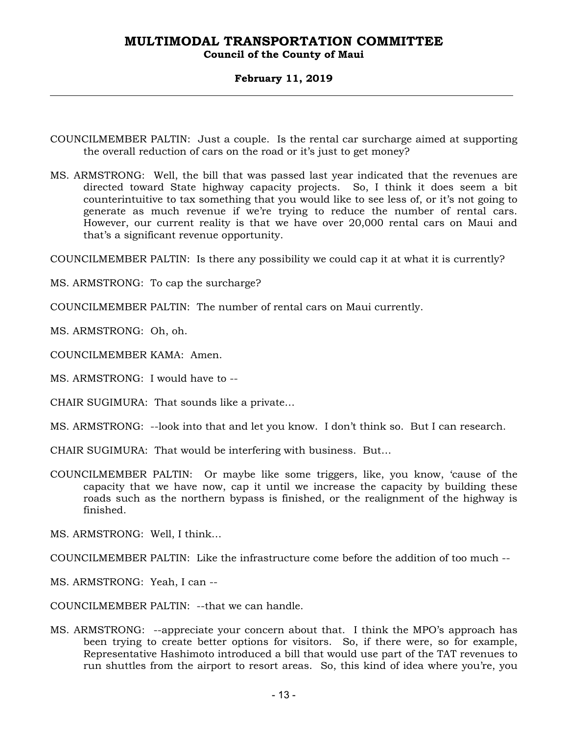### **Council of the County of Maui**

### **February 11, 2019**

- COUNCILMEMBER PALTIN: Just a couple. Is the rental car surcharge aimed at supporting the overall reduction of cars on the road or it's just to get money?
- MS. ARMSTRONG: Well, the bill that was passed last year indicated that the revenues are directed toward State highway capacity projects. So, I think it does seem a bit counterintuitive to tax something that you would like to see less of, or it's not going to generate as much revenue if we're trying to reduce the number of rental cars. However, our current reality is that we have over 20,000 rental cars on Maui and that's a significant revenue opportunity.

COUNCILMEMBER PALTIN: Is there any possibility we could cap it at what it is currently?

MS. ARMSTRONG: To cap the surcharge?

COUNCILMEMBER PALTIN: The number of rental cars on Maui currently.

MS. ARMSTRONG: Oh, oh.

COUNCILMEMBER KAMA: Amen.

MS. ARMSTRONG: I would have to --

CHAIR SUGIMURA: That sounds like a private…

MS. ARMSTRONG: --look into that and let you know. I don't think so. But I can research.

CHAIR SUGIMURA: That would be interfering with business. But…

COUNCILMEMBER PALTIN: Or maybe like some triggers, like, you know, 'cause of the capacity that we have now, cap it until we increase the capacity by building these roads such as the northern bypass is finished, or the realignment of the highway is finished.

MS. ARMSTRONG: Well, I think…

COUNCILMEMBER PALTIN: Like the infrastructure come before the addition of too much --

MS. ARMSTRONG: Yeah, I can --

COUNCILMEMBER PALTIN: --that we can handle.

MS. ARMSTRONG: --appreciate your concern about that. I think the MPO's approach has been trying to create better options for visitors. So, if there were, so for example, Representative Hashimoto introduced a bill that would use part of the TAT revenues to run shuttles from the airport to resort areas. So, this kind of idea where you're, you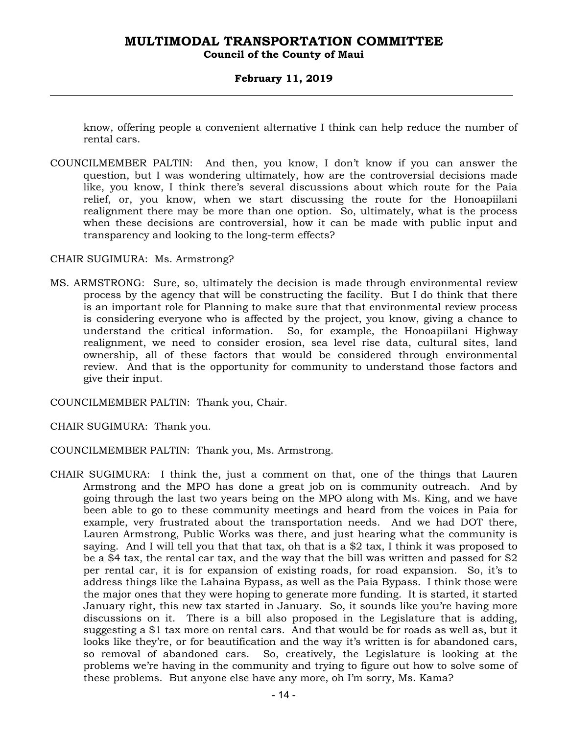### **Council of the County of Maui**

### **February 11, 2019**

know, offering people a convenient alternative I think can help reduce the number of rental cars.

COUNCILMEMBER PALTIN: And then, you know, I don't know if you can answer the question, but I was wondering ultimately, how are the controversial decisions made like, you know, I think there's several discussions about which route for the Paia relief, or, you know, when we start discussing the route for the Honoapiilani realignment there may be more than one option. So, ultimately, what is the process when these decisions are controversial, how it can be made with public input and transparency and looking to the long-term effects?

### CHAIR SUGIMURA: Ms. Armstrong?

MS. ARMSTRONG: Sure, so, ultimately the decision is made through environmental review process by the agency that will be constructing the facility. But I do think that there is an important role for Planning to make sure that that environmental review process is considering everyone who is affected by the project, you know, giving a chance to understand the critical information. So, for example, the Honoapiilani Highway realignment, we need to consider erosion, sea level rise data, cultural sites, land ownership, all of these factors that would be considered through environmental review. And that is the opportunity for community to understand those factors and give their input.

COUNCILMEMBER PALTIN: Thank you, Chair.

CHAIR SUGIMURA: Thank you.

COUNCILMEMBER PALTIN: Thank you, Ms. Armstrong.

CHAIR SUGIMURA: I think the, just a comment on that, one of the things that Lauren Armstrong and the MPO has done a great job on is community outreach. And by going through the last two years being on the MPO along with Ms. King, and we have been able to go to these community meetings and heard from the voices in Paia for example, very frustrated about the transportation needs. And we had DOT there, Lauren Armstrong, Public Works was there, and just hearing what the community is saying. And I will tell you that that tax, oh that is a \$2 tax, I think it was proposed to be a \$4 tax, the rental car tax, and the way that the bill was written and passed for \$2 per rental car, it is for expansion of existing roads, for road expansion. So, it's to address things like the Lahaina Bypass, as well as the Paia Bypass. I think those were the major ones that they were hoping to generate more funding. It is started, it started January right, this new tax started in January. So, it sounds like you're having more discussions on it. There is a bill also proposed in the Legislature that is adding, suggesting a \$1 tax more on rental cars. And that would be for roads as well as, but it looks like they're, or for beautification and the way it's written is for abandoned cars, so removal of abandoned cars. So, creatively, the Legislature is looking at the problems we're having in the community and trying to figure out how to solve some of these problems. But anyone else have any more, oh I'm sorry, Ms. Kama?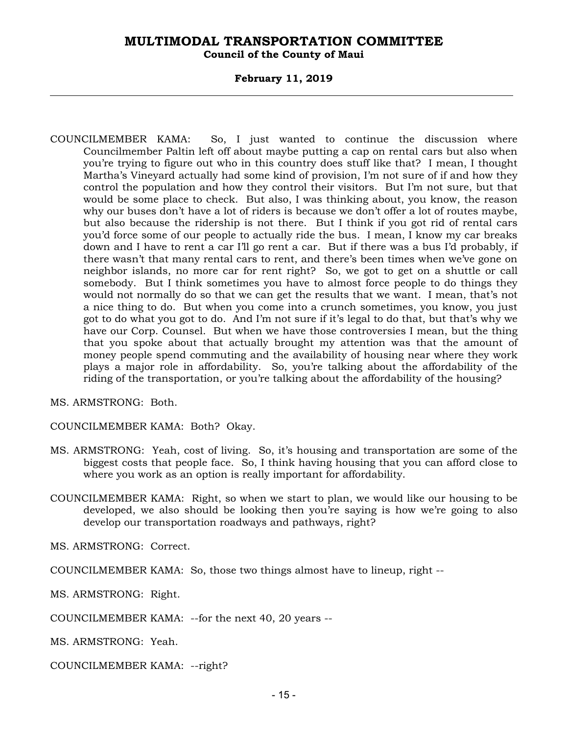**Council of the County of Maui** 

### **February 11, 2019**

COUNCILMEMBER KAMA: So, I just wanted to continue the discussion where Councilmember Paltin left off about maybe putting a cap on rental cars but also when you're trying to figure out who in this country does stuff like that? I mean, I thought Martha's Vineyard actually had some kind of provision, I'm not sure of if and how they control the population and how they control their visitors. But I'm not sure, but that would be some place to check. But also, I was thinking about, you know, the reason why our buses don't have a lot of riders is because we don't offer a lot of routes maybe, but also because the ridership is not there. But I think if you got rid of rental cars you'd force some of our people to actually ride the bus. I mean, I know my car breaks down and I have to rent a car I'll go rent a car. But if there was a bus I'd probably, if there wasn't that many rental cars to rent, and there's been times when we've gone on neighbor islands, no more car for rent right? So, we got to get on a shuttle or call somebody. But I think sometimes you have to almost force people to do things they would not normally do so that we can get the results that we want. I mean, that's not a nice thing to do. But when you come into a crunch sometimes, you know, you just got to do what you got to do. And I'm not sure if it's legal to do that, but that's why we have our Corp. Counsel. But when we have those controversies I mean, but the thing that you spoke about that actually brought my attention was that the amount of money people spend commuting and the availability of housing near where they work plays a major role in affordability. So, you're talking about the affordability of the riding of the transportation, or you're talking about the affordability of the housing?

MS. ARMSTRONG: Both.

COUNCILMEMBER KAMA: Both? Okay.

- MS. ARMSTRONG: Yeah, cost of living. So, it's housing and transportation are some of the biggest costs that people face. So, I think having housing that you can afford close to where you work as an option is really important for affordability.
- COUNCILMEMBER KAMA: Right, so when we start to plan, we would like our housing to be developed, we also should be looking then you're saying is how we're going to also develop our transportation roadways and pathways, right?

MS. ARMSTRONG: Correct.

COUNCILMEMBER KAMA: So, those two things almost have to lineup, right --

MS. ARMSTRONG: Right.

COUNCILMEMBER KAMA: --for the next 40, 20 years --

MS. ARMSTRONG: Yeah.

COUNCILMEMBER KAMA: --right?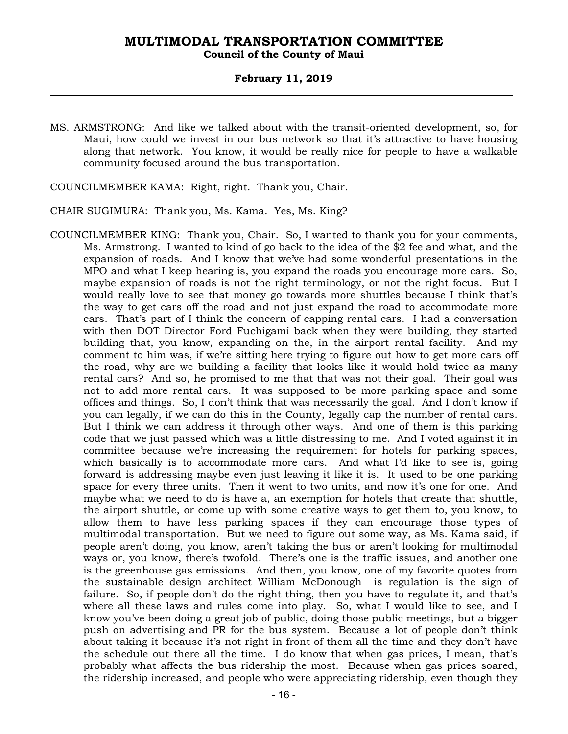### **February 11, 2019**

MS. ARMSTRONG: And like we talked about with the transit-oriented development, so, for Maui, how could we invest in our bus network so that it's attractive to have housing along that network. You know, it would be really nice for people to have a walkable community focused around the bus transportation.

COUNCILMEMBER KAMA: Right, right. Thank you, Chair.

- CHAIR SUGIMURA: Thank you, Ms. Kama. Yes, Ms. King?
- COUNCILMEMBER KING: Thank you, Chair. So, I wanted to thank you for your comments, Ms. Armstrong. I wanted to kind of go back to the idea of the \$2 fee and what, and the expansion of roads. And I know that we've had some wonderful presentations in the MPO and what I keep hearing is, you expand the roads you encourage more cars. So, maybe expansion of roads is not the right terminology, or not the right focus. But I would really love to see that money go towards more shuttles because I think that's the way to get cars off the road and not just expand the road to accommodate more cars. That's part of I think the concern of capping rental cars. I had a conversation with then DOT Director Ford Fuchigami back when they were building, they started building that, you know, expanding on the, in the airport rental facility. And my comment to him was, if we're sitting here trying to figure out how to get more cars off the road, why are we building a facility that looks like it would hold twice as many rental cars? And so, he promised to me that that was not their goal. Their goal was not to add more rental cars. It was supposed to be more parking space and some offices and things. So, I don't think that was necessarily the goal. And I don't know if you can legally, if we can do this in the County, legally cap the number of rental cars. But I think we can address it through other ways. And one of them is this parking code that we just passed which was a little distressing to me. And I voted against it in committee because we're increasing the requirement for hotels for parking spaces, which basically is to accommodate more cars. And what I'd like to see is, going forward is addressing maybe even just leaving it like it is. It used to be one parking space for every three units. Then it went to two units, and now it's one for one. And maybe what we need to do is have a, an exemption for hotels that create that shuttle, the airport shuttle, or come up with some creative ways to get them to, you know, to allow them to have less parking spaces if they can encourage those types of multimodal transportation. But we need to figure out some way, as Ms. Kama said, if people aren't doing, you know, aren't taking the bus or aren't looking for multimodal ways or, you know, there's twofold. There's one is the traffic issues, and another one is the greenhouse gas emissions. And then, you know, one of my favorite quotes from the sustainable design architect William McDonough is regulation is the sign of failure. So, if people don't do the right thing, then you have to regulate it, and that's where all these laws and rules come into play. So, what I would like to see, and I know you've been doing a great job of public, doing those public meetings, but a bigger push on advertising and PR for the bus system. Because a lot of people don't think about taking it because it's not right in front of them all the time and they don't have the schedule out there all the time. I do know that when gas prices, I mean, that's probably what affects the bus ridership the most. Because when gas prices soared, the ridership increased, and people who were appreciating ridership, even though they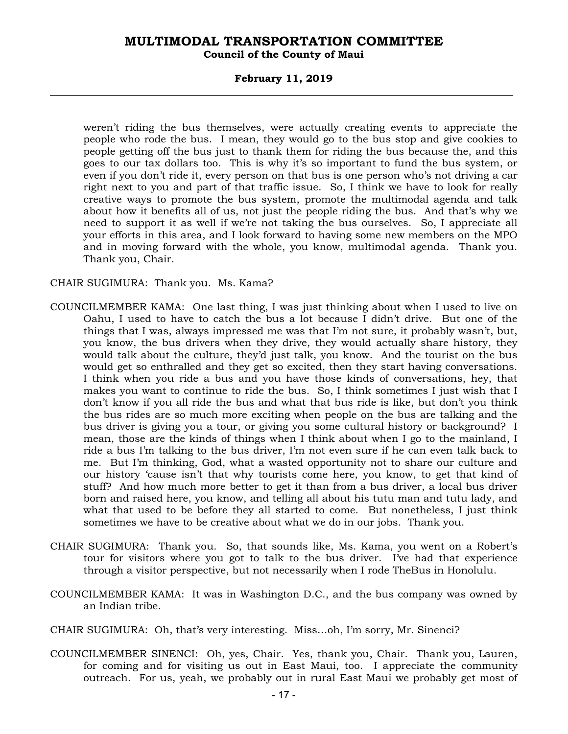### **Council of the County of Maui**

### **February 11, 2019**

weren't riding the bus themselves, were actually creating events to appreciate the people who rode the bus. I mean, they would go to the bus stop and give cookies to people getting off the bus just to thank them for riding the bus because the, and this goes to our tax dollars too. This is why it's so important to fund the bus system, or even if you don't ride it, every person on that bus is one person who's not driving a car right next to you and part of that traffic issue. So, I think we have to look for really creative ways to promote the bus system, promote the multimodal agenda and talk about how it benefits all of us, not just the people riding the bus. And that's why we need to support it as well if we're not taking the bus ourselves. So, I appreciate all your efforts in this area, and I look forward to having some new members on the MPO and in moving forward with the whole, you know, multimodal agenda. Thank you. Thank you, Chair.

### CHAIR SUGIMURA: Thank you. Ms. Kama?

- COUNCILMEMBER KAMA: One last thing, I was just thinking about when I used to live on Oahu, I used to have to catch the bus a lot because I didn't drive. But one of the things that I was, always impressed me was that I'm not sure, it probably wasn't, but, you know, the bus drivers when they drive, they would actually share history, they would talk about the culture, they'd just talk, you know. And the tourist on the bus would get so enthralled and they get so excited, then they start having conversations. I think when you ride a bus and you have those kinds of conversations, hey, that makes you want to continue to ride the bus. So, I think sometimes I just wish that I don't know if you all ride the bus and what that bus ride is like, but don't you think the bus rides are so much more exciting when people on the bus are talking and the bus driver is giving you a tour, or giving you some cultural history or background? I mean, those are the kinds of things when I think about when I go to the mainland, I ride a bus I'm talking to the bus driver, I'm not even sure if he can even talk back to me. But I'm thinking, God, what a wasted opportunity not to share our culture and our history 'cause isn't that why tourists come here, you know, to get that kind of stuff? And how much more better to get it than from a bus driver, a local bus driver born and raised here, you know, and telling all about his tutu man and tutu lady, and what that used to be before they all started to come. But nonetheless, I just think sometimes we have to be creative about what we do in our jobs. Thank you.
- CHAIR SUGIMURA: Thank you. So, that sounds like, Ms. Kama, you went on a Robert's tour for visitors where you got to talk to the bus driver. I've had that experience through a visitor perspective, but not necessarily when I rode TheBus in Honolulu.
- COUNCILMEMBER KAMA: It was in Washington D.C., and the bus company was owned by an Indian tribe.
- CHAIR SUGIMURA: Oh, that's very interesting. Miss…oh, I'm sorry, Mr. Sinenci?
- COUNCILMEMBER SINENCI: Oh, yes, Chair. Yes, thank you, Chair. Thank you, Lauren, for coming and for visiting us out in East Maui, too. I appreciate the community outreach. For us, yeah, we probably out in rural East Maui we probably get most of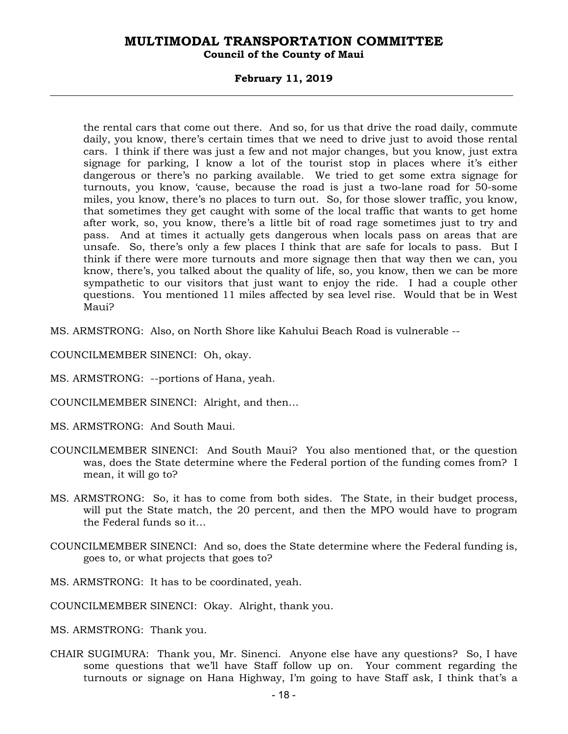### **Council of the County of Maui**

### **February 11, 2019**

the rental cars that come out there. And so, for us that drive the road daily, commute daily, you know, there's certain times that we need to drive just to avoid those rental cars. I think if there was just a few and not major changes, but you know, just extra signage for parking, I know a lot of the tourist stop in places where it's either dangerous or there's no parking available. We tried to get some extra signage for turnouts, you know, 'cause, because the road is just a two-lane road for 50-some miles, you know, there's no places to turn out. So, for those slower traffic, you know, that sometimes they get caught with some of the local traffic that wants to get home after work, so, you know, there's a little bit of road rage sometimes just to try and pass. And at times it actually gets dangerous when locals pass on areas that are unsafe. So, there's only a few places I think that are safe for locals to pass. But I think if there were more turnouts and more signage then that way then we can, you know, there's, you talked about the quality of life, so, you know, then we can be more sympathetic to our visitors that just want to enjoy the ride. I had a couple other questions. You mentioned 11 miles affected by sea level rise. Would that be in West Maui?

MS. ARMSTRONG: Also, on North Shore like Kahului Beach Road is vulnerable --

COUNCILMEMBER SINENCI: Oh, okay.

- MS. ARMSTRONG: --portions of Hana, yeah.
- COUNCILMEMBER SINENCI: Alright, and then…
- MS. ARMSTRONG: And South Maui.
- COUNCILMEMBER SINENCI: And South Maui? You also mentioned that, or the question was, does the State determine where the Federal portion of the funding comes from? I mean, it will go to?
- MS. ARMSTRONG: So, it has to come from both sides. The State, in their budget process, will put the State match, the 20 percent, and then the MPO would have to program the Federal funds so it…
- COUNCILMEMBER SINENCI: And so, does the State determine where the Federal funding is, goes to, or what projects that goes to?
- MS. ARMSTRONG: It has to be coordinated, yeah.
- COUNCILMEMBER SINENCI: Okay. Alright, thank you.

MS. ARMSTRONG: Thank you.

CHAIR SUGIMURA: Thank you, Mr. Sinenci. Anyone else have any questions? So, I have some questions that we'll have Staff follow up on. Your comment regarding the turnouts or signage on Hana Highway, I'm going to have Staff ask, I think that's a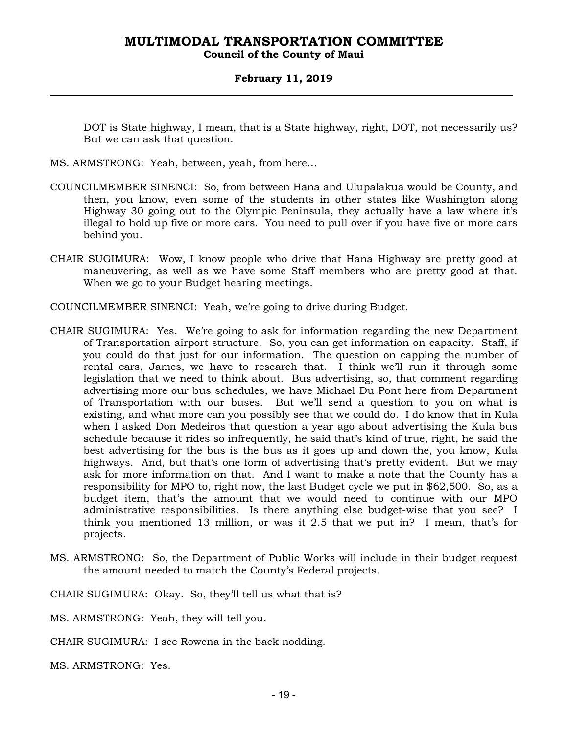### **Council of the County of Maui**

### **February 11, 2019**

DOT is State highway, I mean, that is a State highway, right, DOT, not necessarily us? But we can ask that question.

- MS. ARMSTRONG: Yeah, between, yeah, from here…
- COUNCILMEMBER SINENCI: So, from between Hana and Ulupalakua would be County, and then, you know, even some of the students in other states like Washington along Highway 30 going out to the Olympic Peninsula, they actually have a law where it's illegal to hold up five or more cars. You need to pull over if you have five or more cars behind you.
- CHAIR SUGIMURA: Wow, I know people who drive that Hana Highway are pretty good at maneuvering, as well as we have some Staff members who are pretty good at that. When we go to your Budget hearing meetings.
- COUNCILMEMBER SINENCI: Yeah, we're going to drive during Budget.
- CHAIR SUGIMURA: Yes. We're going to ask for information regarding the new Department of Transportation airport structure. So, you can get information on capacity. Staff, if you could do that just for our information. The question on capping the number of rental cars, James, we have to research that. I think we'll run it through some legislation that we need to think about. Bus advertising, so, that comment regarding advertising more our bus schedules, we have Michael Du Pont here from Department of Transportation with our buses. But we'll send a question to you on what is existing, and what more can you possibly see that we could do. I do know that in Kula when I asked Don Medeiros that question a year ago about advertising the Kula bus schedule because it rides so infrequently, he said that's kind of true, right, he said the best advertising for the bus is the bus as it goes up and down the, you know, Kula highways. And, but that's one form of advertising that's pretty evident. But we may ask for more information on that. And I want to make a note that the County has a responsibility for MPO to, right now, the last Budget cycle we put in \$62,500. So, as a budget item, that's the amount that we would need to continue with our MPO administrative responsibilities. Is there anything else budget-wise that you see? I think you mentioned 13 million, or was it 2.5 that we put in? I mean, that's for projects.
- MS. ARMSTRONG: So, the Department of Public Works will include in their budget request the amount needed to match the County's Federal projects.

CHAIR SUGIMURA: Okay. So, they'll tell us what that is?

MS. ARMSTRONG: Yeah, they will tell you.

CHAIR SUGIMURA: I see Rowena in the back nodding.

MS. ARMSTRONG: Yes.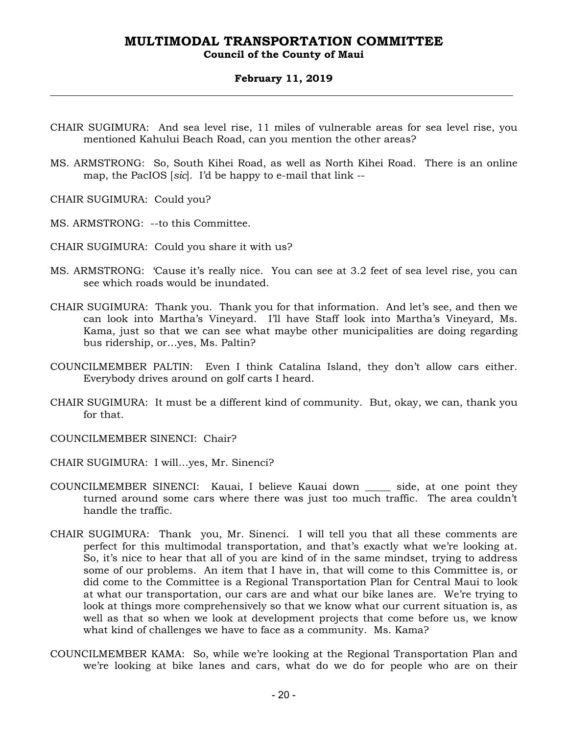### **Council of the County of Maui**

### **February 11, 2019**

- CHAIR SUGIMURA: And sea level rise, 11 miles of vulnerable areas for sea level rise, you mentioned Kahului Beach Road, can you mention the other areas?
- MS. ARMSTRONG: So, South Kihei Road, as well as North Kihei Road. There is an online map, the PacIOS [*sic*]. I'd be happy to e-mail that link --
- CHAIR SUGIMURA: Could you?
- MS. ARMSTRONG: --to this Committee.
- CHAIR SUGIMURA: Could you share it with us?
- MS. ARMSTRONG: 'Cause it's really nice. You can see at 3.2 feet of sea level rise, you can see which roads would be inundated.
- CHAIR SUGIMURA: Thank you. Thank you for that information. And let's see, and then we can look into Martha's Vineyard. I'll have Staff look into Martha's Vineyard, Ms. Kama, just so that we can see what maybe other municipalities are doing regarding bus ridership, or…yes, Ms. Paltin?
- COUNCILMEMBER PALTIN: Even I think Catalina Island, they don't allow cars either. Everybody drives around on golf carts I heard.
- CHAIR SUGIMURA: It must be a different kind of community. But, okay, we can, thank you for that.
- COUNCILMEMBER SINENCI: Chair?
- CHAIR SUGIMURA: I will…yes, Mr. Sinenci?
- COUNCILMEMBER SINENCI: Kauai, I believe Kauai down \_\_\_\_\_ side, at one point they turned around some cars where there was just too much traffic. The area couldn't handle the traffic.
- CHAIR SUGIMURA: Thank you, Mr. Sinenci. I will tell you that all these comments are perfect for this multimodal transportation, and that's exactly what we're looking at. So, it's nice to hear that all of you are kind of in the same mindset, trying to address some of our problems. An item that I have in, that will come to this Committee is, or did come to the Committee is a Regional Transportation Plan for Central Maui to look at what our transportation, our cars are and what our bike lanes are. We're trying to look at things more comprehensively so that we know what our current situation is, as well as that so when we look at development projects that come before us, we know what kind of challenges we have to face as a community. Ms. Kama?
- COUNCILMEMBER KAMA: So, while we're looking at the Regional Transportation Plan and we're looking at bike lanes and cars, what do we do for people who are on their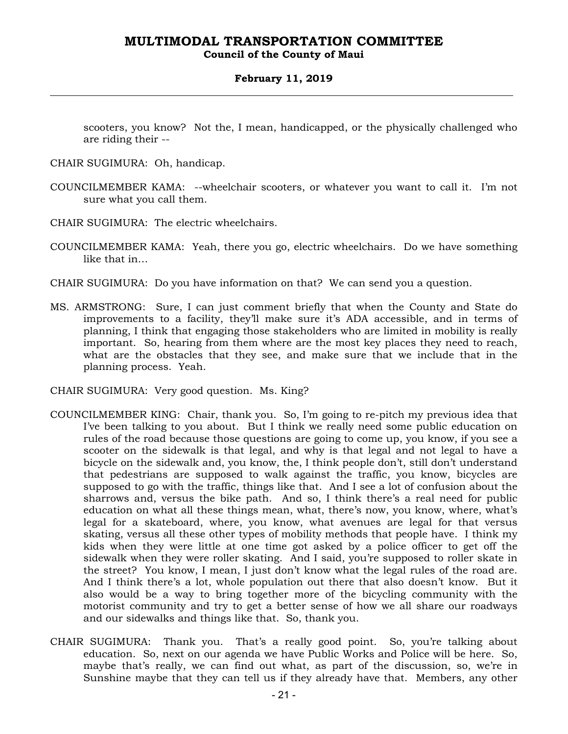### **Council of the County of Maui**

### **February 11, 2019**

scooters, you know? Not the, I mean, handicapped, or the physically challenged who are riding their --

- CHAIR SUGIMURA: Oh, handicap.
- COUNCILMEMBER KAMA: --wheelchair scooters, or whatever you want to call it. I'm not sure what you call them.
- CHAIR SUGIMURA: The electric wheelchairs.
- COUNCILMEMBER KAMA: Yeah, there you go, electric wheelchairs. Do we have something like that in…
- CHAIR SUGIMURA: Do you have information on that? We can send you a question.
- MS. ARMSTRONG: Sure, I can just comment briefly that when the County and State do improvements to a facility, they'll make sure it's ADA accessible, and in terms of planning, I think that engaging those stakeholders who are limited in mobility is really important. So, hearing from them where are the most key places they need to reach, what are the obstacles that they see, and make sure that we include that in the planning process. Yeah.
- CHAIR SUGIMURA: Very good question. Ms. King?
- COUNCILMEMBER KING: Chair, thank you. So, I'm going to re-pitch my previous idea that I've been talking to you about. But I think we really need some public education on rules of the road because those questions are going to come up, you know, if you see a scooter on the sidewalk is that legal, and why is that legal and not legal to have a bicycle on the sidewalk and, you know, the, I think people don't, still don't understand that pedestrians are supposed to walk against the traffic, you know, bicycles are supposed to go with the traffic, things like that. And I see a lot of confusion about the sharrows and, versus the bike path. And so, I think there's a real need for public education on what all these things mean, what, there's now, you know, where, what's legal for a skateboard, where, you know, what avenues are legal for that versus skating, versus all these other types of mobility methods that people have. I think my kids when they were little at one time got asked by a police officer to get off the sidewalk when they were roller skating. And I said, you're supposed to roller skate in the street? You know, I mean, I just don't know what the legal rules of the road are. And I think there's a lot, whole population out there that also doesn't know. But it also would be a way to bring together more of the bicycling community with the motorist community and try to get a better sense of how we all share our roadways and our sidewalks and things like that. So, thank you.
- CHAIR SUGIMURA: Thank you. That's a really good point. So, you're talking about education. So, next on our agenda we have Public Works and Police will be here. So, maybe that's really, we can find out what, as part of the discussion, so, we're in Sunshine maybe that they can tell us if they already have that. Members, any other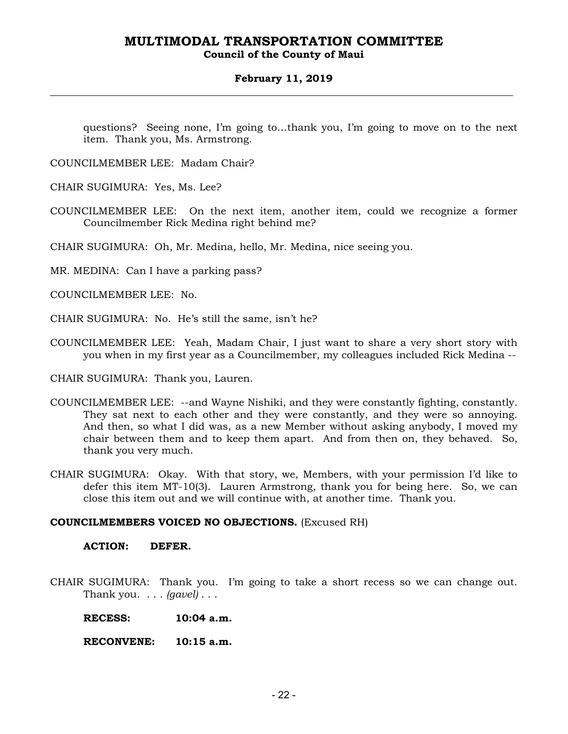### **Council of the County of Maui**

### **February 11, 2019**

questions? Seeing none, I'm going to…thank you, I'm going to move on to the next item. Thank you, Ms. Armstrong.

COUNCILMEMBER LEE: Madam Chair?

CHAIR SUGIMURA: Yes, Ms. Lee?

COUNCILMEMBER LEE: On the next item, another item, could we recognize a former Councilmember Rick Medina right behind me?

CHAIR SUGIMURA: Oh, Mr. Medina, hello, Mr. Medina, nice seeing you.

MR. MEDINA: Can I have a parking pass?

COUNCILMEMBER LEE: No.

CHAIR SUGIMURA: No. He's still the same, isn't he?

COUNCILMEMBER LEE: Yeah, Madam Chair, I just want to share a very short story with you when in my first year as a Councilmember, my colleagues included Rick Medina --

CHAIR SUGIMURA: Thank you, Lauren.

- COUNCILMEMBER LEE: --and Wayne Nishiki, and they were constantly fighting, constantly. They sat next to each other and they were constantly, and they were so annoying. And then, so what I did was, as a new Member without asking anybody, I moved my chair between them and to keep them apart. And from then on, they behaved. So, thank you very much.
- CHAIR SUGIMURA: Okay. With that story, we, Members, with your permission I'd like to defer this item MT-10(3). Lauren Armstrong, thank you for being here. So, we can close this item out and we will continue with, at another time. Thank you.

### **COUNCILMEMBERS VOICED NO OBJECTIONS.** (Excused RH)

### **ACTION: DEFER.**

CHAIR SUGIMURA: Thank you. I'm going to take a short recess so we can change out. Thank you. . . . *(gavel)* . . .

 **RECESS: 10:04 a.m.** 

 **RECONVENE: 10:15 a.m.**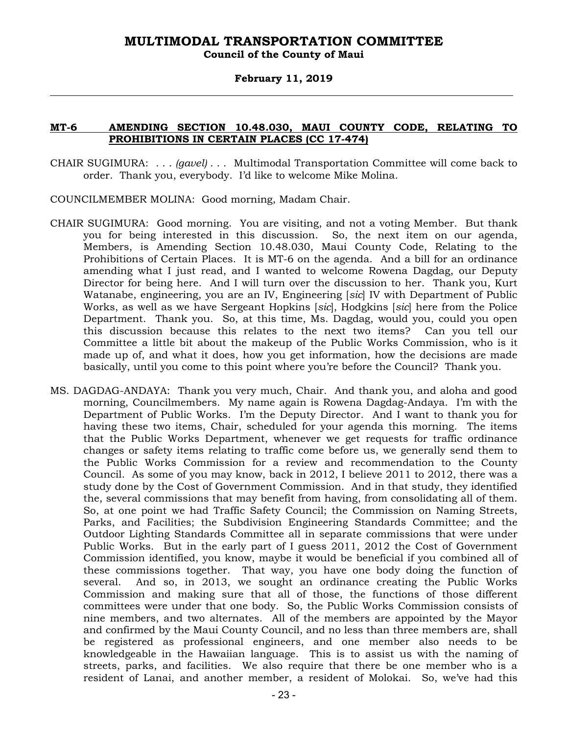### **Council of the County of Maui**

### **February 11, 2019**

### **MT-6 AMENDING SECTION 10.48.030, MAUI COUNTY CODE, RELATING TO PROHIBITIONS IN CERTAIN PLACES (CC 17-474)**

- CHAIR SUGIMURA: . . . *(gavel)* . . . Multimodal Transportation Committee will come back to order. Thank you, everybody. I'd like to welcome Mike Molina.
- COUNCILMEMBER MOLINA: Good morning, Madam Chair.
- CHAIR SUGIMURA: Good morning. You are visiting, and not a voting Member. But thank you for being interested in this discussion. So, the next item on our agenda, Members, is Amending Section 10.48.030, Maui County Code, Relating to the Prohibitions of Certain Places. It is MT-6 on the agenda. And a bill for an ordinance amending what I just read, and I wanted to welcome Rowena Dagdag, our Deputy Director for being here. And I will turn over the discussion to her. Thank you, Kurt Watanabe, engineering, you are an IV, Engineering [*sic*] IV with Department of Public Works, as well as we have Sergeant Hopkins [*sic*], Hodgkins [*sic*] here from the Police Department. Thank you. So, at this time, Ms. Dagdag, would you, could you open this discussion because this relates to the next two items? Can you tell our Committee a little bit about the makeup of the Public Works Commission, who is it made up of, and what it does, how you get information, how the decisions are made basically, until you come to this point where you're before the Council? Thank you.
- MS. DAGDAG-ANDAYA: Thank you very much, Chair. And thank you, and aloha and good morning, Councilmembers. My name again is Rowena Dagdag-Andaya. I'm with the Department of Public Works. I'm the Deputy Director. And I want to thank you for having these two items, Chair, scheduled for your agenda this morning. The items that the Public Works Department, whenever we get requests for traffic ordinance changes or safety items relating to traffic come before us, we generally send them to the Public Works Commission for a review and recommendation to the County Council. As some of you may know, back in 2012, I believe 2011 to 2012, there was a study done by the Cost of Government Commission. And in that study, they identified the, several commissions that may benefit from having, from consolidating all of them. So, at one point we had Traffic Safety Council; the Commission on Naming Streets, Parks, and Facilities; the Subdivision Engineering Standards Committee; and the Outdoor Lighting Standards Committee all in separate commissions that were under Public Works. But in the early part of I guess 2011, 2012 the Cost of Government Commission identified, you know, maybe it would be beneficial if you combined all of these commissions together. That way, you have one body doing the function of several. And so, in 2013, we sought an ordinance creating the Public Works Commission and making sure that all of those, the functions of those different committees were under that one body. So, the Public Works Commission consists of nine members, and two alternates. All of the members are appointed by the Mayor and confirmed by the Maui County Council, and no less than three members are, shall be registered as professional engineers, and one member also needs to be knowledgeable in the Hawaiian language. This is to assist us with the naming of streets, parks, and facilities. We also require that there be one member who is a resident of Lanai, and another member, a resident of Molokai. So, we've had this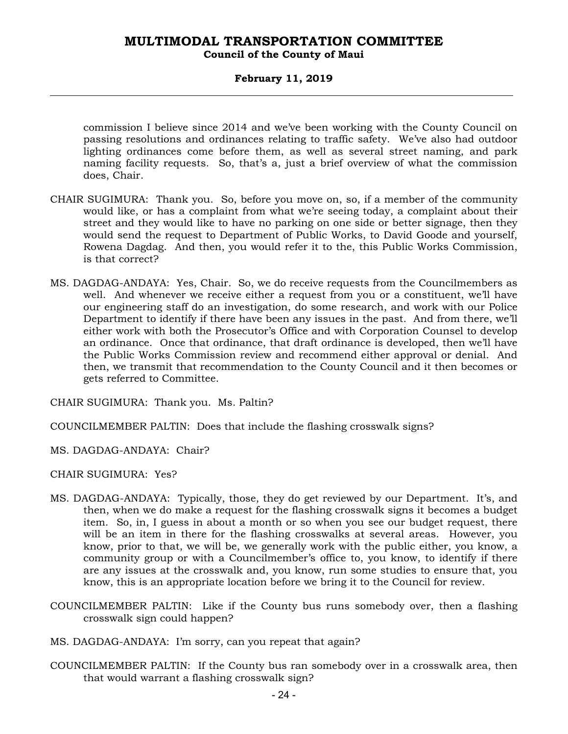### **Council of the County of Maui**

### **February 11, 2019**

commission I believe since 2014 and we've been working with the County Council on passing resolutions and ordinances relating to traffic safety. We've also had outdoor lighting ordinances come before them, as well as several street naming, and park naming facility requests. So, that's a, just a brief overview of what the commission does, Chair.

- CHAIR SUGIMURA: Thank you. So, before you move on, so, if a member of the community would like, or has a complaint from what we're seeing today, a complaint about their street and they would like to have no parking on one side or better signage, then they would send the request to Department of Public Works, to David Goode and yourself, Rowena Dagdag. And then, you would refer it to the, this Public Works Commission, is that correct?
- MS. DAGDAG-ANDAYA: Yes, Chair. So, we do receive requests from the Councilmembers as well. And whenever we receive either a request from you or a constituent, we'll have our engineering staff do an investigation, do some research, and work with our Police Department to identify if there have been any issues in the past. And from there, we'll either work with both the Prosecutor's Office and with Corporation Counsel to develop an ordinance. Once that ordinance, that draft ordinance is developed, then we'll have the Public Works Commission review and recommend either approval or denial. And then, we transmit that recommendation to the County Council and it then becomes or gets referred to Committee.

CHAIR SUGIMURA: Thank you. Ms. Paltin?

COUNCILMEMBER PALTIN: Does that include the flashing crosswalk signs?

MS. DAGDAG-ANDAYA: Chair?

CHAIR SUGIMURA: Yes?

- MS. DAGDAG-ANDAYA: Typically, those, they do get reviewed by our Department. It's, and then, when we do make a request for the flashing crosswalk signs it becomes a budget item. So, in, I guess in about a month or so when you see our budget request, there will be an item in there for the flashing crosswalks at several areas. However, you know, prior to that, we will be, we generally work with the public either, you know, a community group or with a Councilmember's office to, you know, to identify if there are any issues at the crosswalk and, you know, run some studies to ensure that, you know, this is an appropriate location before we bring it to the Council for review.
- COUNCILMEMBER PALTIN: Like if the County bus runs somebody over, then a flashing crosswalk sign could happen?
- MS. DAGDAG-ANDAYA: I'm sorry, can you repeat that again?
- COUNCILMEMBER PALTIN: If the County bus ran somebody over in a crosswalk area, then that would warrant a flashing crosswalk sign?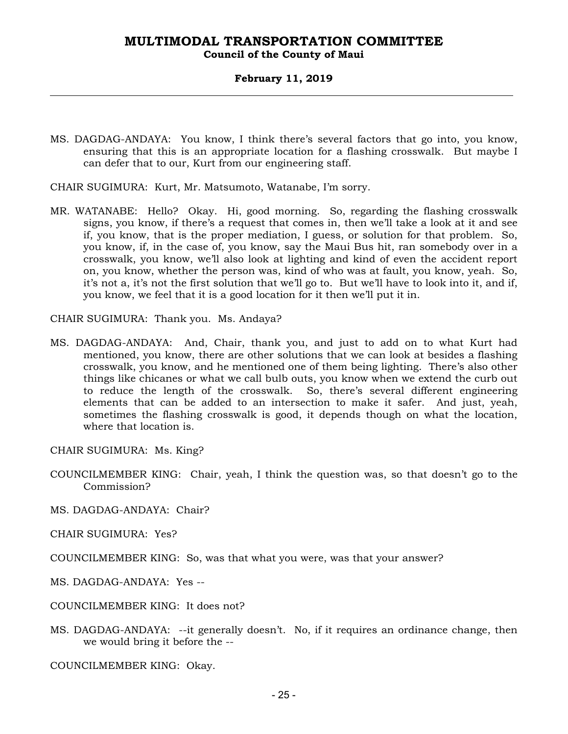### **Council of the County of Maui**

### **February 11, 2019**

MS. DAGDAG-ANDAYA: You know, I think there's several factors that go into, you know, ensuring that this is an appropriate location for a flashing crosswalk. But maybe I can defer that to our, Kurt from our engineering staff.

CHAIR SUGIMURA: Kurt, Mr. Matsumoto, Watanabe, I'm sorry.

MR. WATANABE: Hello? Okay. Hi, good morning. So, regarding the flashing crosswalk signs, you know, if there's a request that comes in, then we'll take a look at it and see if, you know, that is the proper mediation, I guess, or solution for that problem. So, you know, if, in the case of, you know, say the Maui Bus hit, ran somebody over in a crosswalk, you know, we'll also look at lighting and kind of even the accident report on, you know, whether the person was, kind of who was at fault, you know, yeah. So, it's not a, it's not the first solution that we'll go to. But we'll have to look into it, and if, you know, we feel that it is a good location for it then we'll put it in.

CHAIR SUGIMURA: Thank you. Ms. Andaya?

- MS. DAGDAG-ANDAYA: And, Chair, thank you, and just to add on to what Kurt had mentioned, you know, there are other solutions that we can look at besides a flashing crosswalk, you know, and he mentioned one of them being lighting. There's also other things like chicanes or what we call bulb outs, you know when we extend the curb out to reduce the length of the crosswalk. So, there's several different engineering elements that can be added to an intersection to make it safer. And just, yeah, sometimes the flashing crosswalk is good, it depends though on what the location, where that location is.
- CHAIR SUGIMURA: Ms. King?
- COUNCILMEMBER KING: Chair, yeah, I think the question was, so that doesn't go to the Commission?
- MS. DAGDAG-ANDAYA: Chair?
- CHAIR SUGIMURA: Yes?
- COUNCILMEMBER KING: So, was that what you were, was that your answer?
- MS. DAGDAG-ANDAYA: Yes --
- COUNCILMEMBER KING: It does not?
- MS. DAGDAG-ANDAYA: --it generally doesn't. No, if it requires an ordinance change, then we would bring it before the --

COUNCILMEMBER KING: Okay.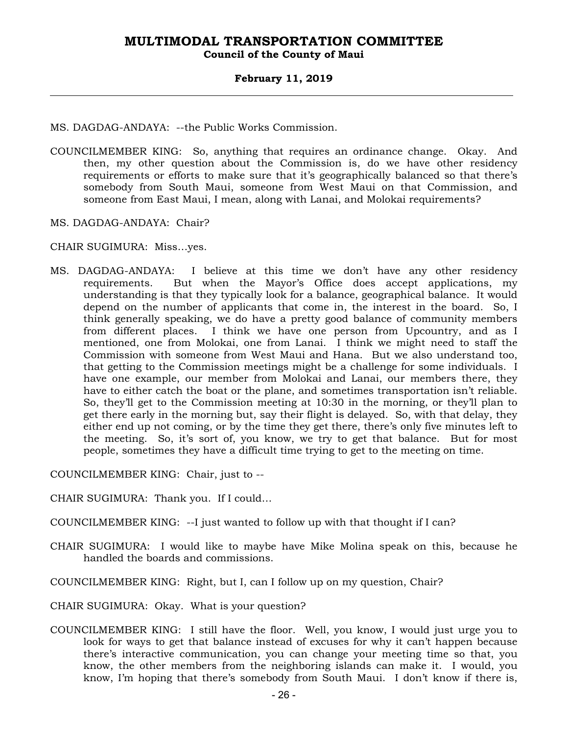### **February 11, 2019**

MS. DAGDAG-ANDAYA: --the Public Works Commission.

COUNCILMEMBER KING: So, anything that requires an ordinance change. Okay. And then, my other question about the Commission is, do we have other residency requirements or efforts to make sure that it's geographically balanced so that there's somebody from South Maui, someone from West Maui on that Commission, and someone from East Maui, I mean, along with Lanai, and Molokai requirements?

MS. DAGDAG-ANDAYA: Chair?

CHAIR SUGIMURA: Miss…yes.

MS. DAGDAG-ANDAYA: I believe at this time we don't have any other residency requirements. But when the Mayor's Office does accept applications, my understanding is that they typically look for a balance, geographical balance. It would depend on the number of applicants that come in, the interest in the board. So, I think generally speaking, we do have a pretty good balance of community members from different places. I think we have one person from Upcountry, and as I mentioned, one from Molokai, one from Lanai. I think we might need to staff the Commission with someone from West Maui and Hana. But we also understand too, that getting to the Commission meetings might be a challenge for some individuals. I have one example, our member from Molokai and Lanai, our members there, they have to either catch the boat or the plane, and sometimes transportation isn't reliable. So, they'll get to the Commission meeting at 10:30 in the morning, or they'll plan to get there early in the morning but, say their flight is delayed. So, with that delay, they either end up not coming, or by the time they get there, there's only five minutes left to the meeting. So, it's sort of, you know, we try to get that balance. But for most people, sometimes they have a difficult time trying to get to the meeting on time.

COUNCILMEMBER KING: Chair, just to --

- CHAIR SUGIMURA: Thank you. If I could…
- COUNCILMEMBER KING: --I just wanted to follow up with that thought if I can?
- CHAIR SUGIMURA: I would like to maybe have Mike Molina speak on this, because he handled the boards and commissions.
- COUNCILMEMBER KING: Right, but I, can I follow up on my question, Chair?
- CHAIR SUGIMURA: Okay. What is your question?
- COUNCILMEMBER KING: I still have the floor. Well, you know, I would just urge you to look for ways to get that balance instead of excuses for why it can't happen because there's interactive communication, you can change your meeting time so that, you know, the other members from the neighboring islands can make it. I would, you know, I'm hoping that there's somebody from South Maui. I don't know if there is,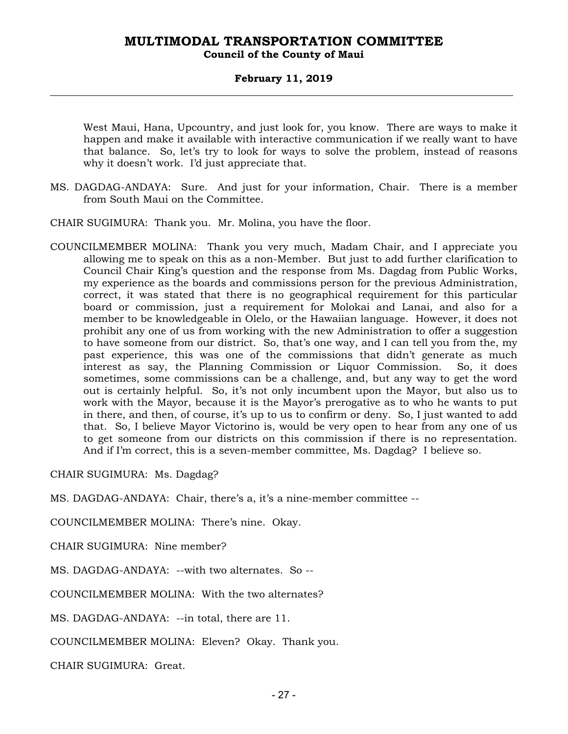### **February 11, 2019**

West Maui, Hana, Upcountry, and just look for, you know. There are ways to make it happen and make it available with interactive communication if we really want to have that balance. So, let's try to look for ways to solve the problem, instead of reasons why it doesn't work. I'd just appreciate that.

MS. DAGDAG-ANDAYA: Sure. And just for your information, Chair. There is a member from South Maui on the Committee.

CHAIR SUGIMURA: Thank you. Mr. Molina, you have the floor.

COUNCILMEMBER MOLINA: Thank you very much, Madam Chair, and I appreciate you allowing me to speak on this as a non-Member. But just to add further clarification to Council Chair King's question and the response from Ms. Dagdag from Public Works, my experience as the boards and commissions person for the previous Administration, correct, it was stated that there is no geographical requirement for this particular board or commission, just a requirement for Molokai and Lanai, and also for a member to be knowledgeable in Olelo, or the Hawaiian language. However, it does not prohibit any one of us from working with the new Administration to offer a suggestion to have someone from our district. So, that's one way, and I can tell you from the, my past experience, this was one of the commissions that didn't generate as much interest as say, the Planning Commission or Liquor Commission. So, it does sometimes, some commissions can be a challenge, and, but any way to get the word out is certainly helpful. So, it's not only incumbent upon the Mayor, but also us to work with the Mayor, because it is the Mayor's prerogative as to who he wants to put in there, and then, of course, it's up to us to confirm or deny. So, I just wanted to add that. So, I believe Mayor Victorino is, would be very open to hear from any one of us to get someone from our districts on this commission if there is no representation. And if I'm correct, this is a seven-member committee, Ms. Dagdag? I believe so.

CHAIR SUGIMURA: Ms. Dagdag?

MS. DAGDAG-ANDAYA: Chair, there's a, it's a nine-member committee --

COUNCILMEMBER MOLINA: There's nine. Okay.

CHAIR SUGIMURA: Nine member?

MS. DAGDAG-ANDAYA: --with two alternates. So --

COUNCILMEMBER MOLINA: With the two alternates?

MS. DAGDAG-ANDAYA: --in total, there are 11.

COUNCILMEMBER MOLINA: Eleven? Okay. Thank you.

CHAIR SUGIMURA: Great.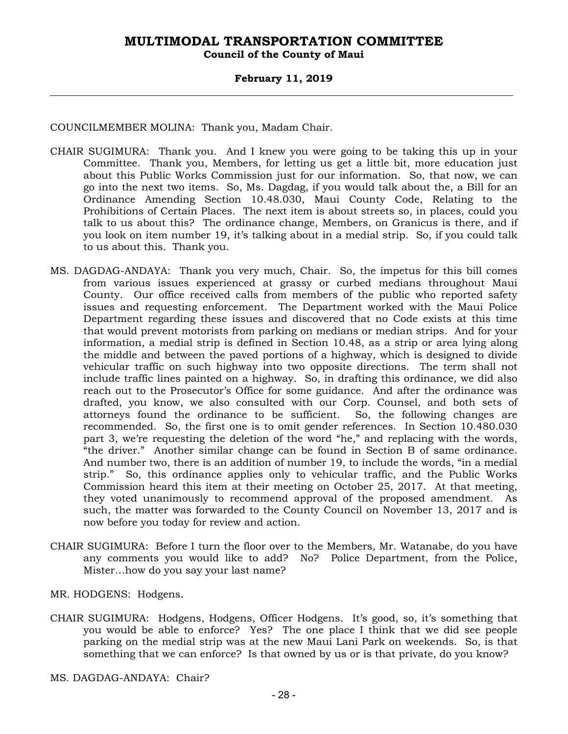### **February 11, 2019**

COUNCILMEMBER MOLINA: Thank you, Madam Chair.

- CHAIR SUGIMURA: Thank you. And I knew you were going to be taking this up in your Committee. Thank you, Members, for letting us get a little bit, more education just about this Public Works Commission just for our information. So, that now, we can go into the next two items. So, Ms. Dagdag, if you would talk about the, a Bill for an Ordinance Amending Section 10.48.030, Maui County Code, Relating to the Prohibitions of Certain Places. The next item is about streets so, in places, could you talk to us about this? The ordinance change, Members, on Granicus is there, and if you look on item number 19, it's talking about in a medial strip. So, if you could talk to us about this. Thank you.
- MS. DAGDAG-ANDAYA: Thank you very much, Chair. So, the impetus for this bill comes from various issues experienced at grassy or curbed medians throughout Maui County. Our office received calls from members of the public who reported safety issues and requesting enforcement. The Department worked with the Maui Police Department regarding these issues and discovered that no Code exists at this time that would prevent motorists from parking on medians or median strips. And for your information, a medial strip is defined in Section 10.48, as a strip or area lying along the middle and between the paved portions of a highway, which is designed to divide vehicular traffic on such highway into two opposite directions. The term shall not include traffic lines painted on a highway. So, in drafting this ordinance, we did also reach out to the Prosecutor's Office for some guidance. And after the ordinance was drafted, you know, we also consulted with our Corp. Counsel, and both sets of attorneys found the ordinance to be sufficient. So, the following changes are recommended. So, the first one is to omit gender references. In Section 10.480.030 part 3, we're requesting the deletion of the word "he," and replacing with the words, "the driver." Another similar change can be found in Section B of same ordinance. And number two, there is an addition of number 19, to include the words, "in a medial strip." So, this ordinance applies only to vehicular traffic, and the Public Works Commission heard this item at their meeting on October 25, 2017. At that meeting, they voted unanimously to recommend approval of the proposed amendment. As such, the matter was forwarded to the County Council on November 13, 2017 and is now before you today for review and action.
- CHAIR SUGIMURA: Before I turn the floor over to the Members, Mr. Watanabe, do you have any comments you would like to add? No? Police Department, from the Police, Mister…how do you say your last name?
- MR. HODGENS: Hodgens.
- CHAIR SUGIMURA: Hodgens, Hodgens, Officer Hodgens. It's good, so, it's something that you would be able to enforce? Yes? The one place I think that we did see people parking on the medial strip was at the new Maui Lani Park on weekends. So, is that something that we can enforce? Is that owned by us or is that private, do you know?

MS. DAGDAG-ANDAYA: Chair?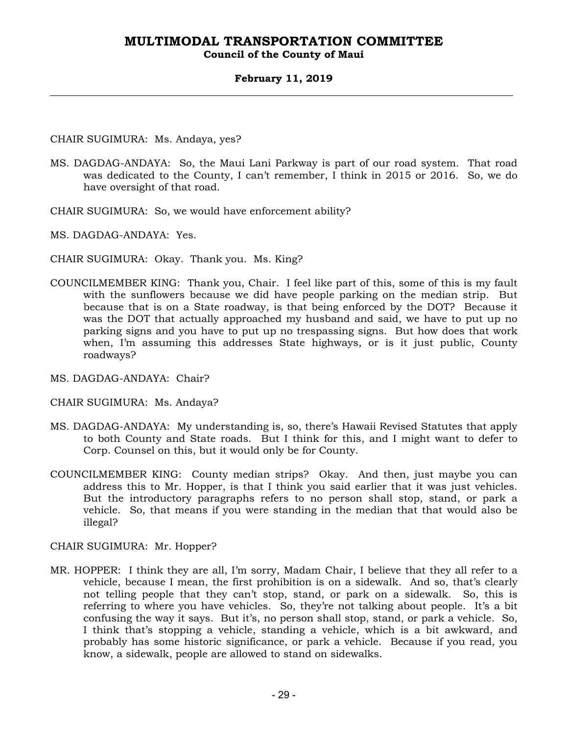### **Council of the County of Maui**

### **February 11, 2019**

CHAIR SUGIMURA: Ms. Andaya, yes?

- MS. DAGDAG-ANDAYA: So, the Maui Lani Parkway is part of our road system. That road was dedicated to the County, I can't remember, I think in 2015 or 2016. So, we do have oversight of that road.
- CHAIR SUGIMURA: So, we would have enforcement ability?

MS. DAGDAG-ANDAYA: Yes.

- CHAIR SUGIMURA: Okay. Thank you. Ms. King?
- COUNCILMEMBER KING: Thank you, Chair. I feel like part of this, some of this is my fault with the sunflowers because we did have people parking on the median strip. But because that is on a State roadway, is that being enforced by the DOT? Because it was the DOT that actually approached my husband and said, we have to put up no parking signs and you have to put up no trespassing signs. But how does that work when, I'm assuming this addresses State highways, or is it just public, County roadways?
- MS. DAGDAG-ANDAYA: Chair?
- CHAIR SUGIMURA: Ms. Andaya?
- MS. DAGDAG-ANDAYA: My understanding is, so, there's Hawaii Revised Statutes that apply to both County and State roads. But I think for this, and I might want to defer to Corp. Counsel on this, but it would only be for County.
- COUNCILMEMBER KING: County median strips? Okay. And then, just maybe you can address this to Mr. Hopper, is that I think you said earlier that it was just vehicles. But the introductory paragraphs refers to no person shall stop, stand, or park a vehicle. So, that means if you were standing in the median that that would also be illegal?

CHAIR SUGIMURA: Mr. Hopper?

MR. HOPPER: I think they are all, I'm sorry, Madam Chair, I believe that they all refer to a vehicle, because I mean, the first prohibition is on a sidewalk. And so, that's clearly not telling people that they can't stop, stand, or park on a sidewalk. So, this is referring to where you have vehicles. So, they're not talking about people. It's a bit confusing the way it says. But it's, no person shall stop, stand, or park a vehicle. So, I think that's stopping a vehicle, standing a vehicle, which is a bit awkward, and probably has some historic significance, or park a vehicle. Because if you read, you know, a sidewalk, people are allowed to stand on sidewalks.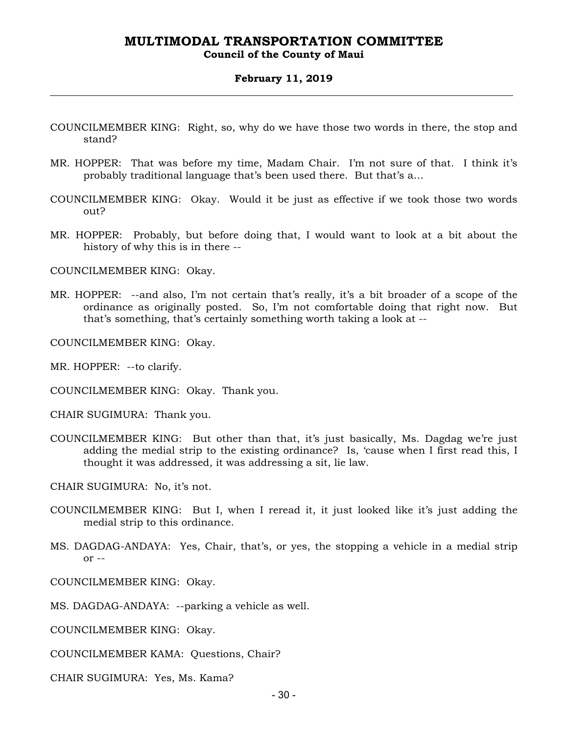### **Council of the County of Maui**

#### **February 11, 2019**

- COUNCILMEMBER KING: Right, so, why do we have those two words in there, the stop and stand?
- MR. HOPPER: That was before my time, Madam Chair. I'm not sure of that. I think it's probably traditional language that's been used there. But that's a…
- COUNCILMEMBER KING: Okay. Would it be just as effective if we took those two words out?
- MR. HOPPER: Probably, but before doing that, I would want to look at a bit about the history of why this is in there --

COUNCILMEMBER KING: Okay.

- MR. HOPPER: --and also, I'm not certain that's really, it's a bit broader of a scope of the ordinance as originally posted. So, I'm not comfortable doing that right now. But that's something, that's certainly something worth taking a look at --
- COUNCILMEMBER KING: Okay.

MR. HOPPER: --to clarify.

COUNCILMEMBER KING: Okay. Thank you.

CHAIR SUGIMURA: Thank you.

COUNCILMEMBER KING: But other than that, it's just basically, Ms. Dagdag we're just adding the medial strip to the existing ordinance? Is, 'cause when I first read this, I thought it was addressed, it was addressing a sit, lie law.

CHAIR SUGIMURA: No, it's not.

- COUNCILMEMBER KING: But I, when I reread it, it just looked like it's just adding the medial strip to this ordinance.
- MS. DAGDAG-ANDAYA: Yes, Chair, that's, or yes, the stopping a vehicle in a medial strip  $or -$

COUNCILMEMBER KING: Okay.

MS. DAGDAG-ANDAYA: --parking a vehicle as well.

COUNCILMEMBER KING: Okay.

COUNCILMEMBER KAMA: Questions, Chair?

CHAIR SUGIMURA: Yes, Ms. Kama?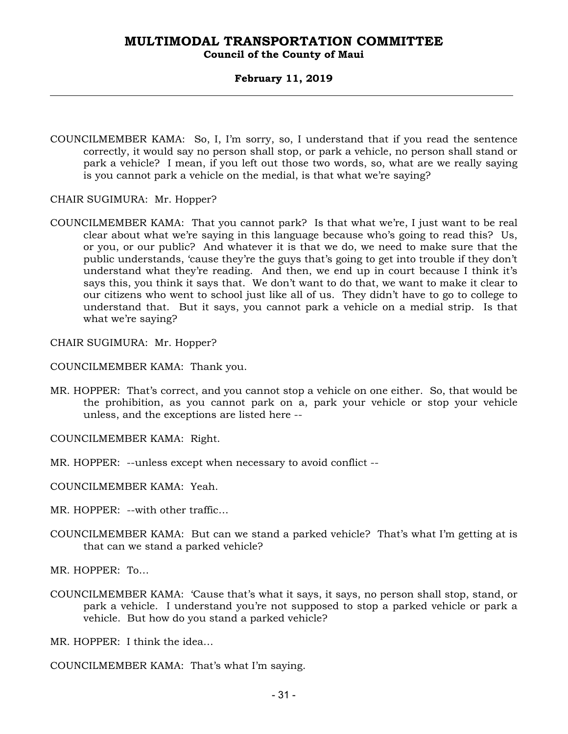### **Council of the County of Maui**

### **February 11, 2019**

- COUNCILMEMBER KAMA: So, I, I'm sorry, so, I understand that if you read the sentence correctly, it would say no person shall stop, or park a vehicle, no person shall stand or park a vehicle? I mean, if you left out those two words, so, what are we really saying is you cannot park a vehicle on the medial, is that what we're saying?
- CHAIR SUGIMURA: Mr. Hopper?
- COUNCILMEMBER KAMA: That you cannot park? Is that what we're, I just want to be real clear about what we're saying in this language because who's going to read this? Us, or you, or our public? And whatever it is that we do, we need to make sure that the public understands, 'cause they're the guys that's going to get into trouble if they don't understand what they're reading. And then, we end up in court because I think it's says this, you think it says that. We don't want to do that, we want to make it clear to our citizens who went to school just like all of us. They didn't have to go to college to understand that. But it says, you cannot park a vehicle on a medial strip. Is that what we're saying?

CHAIR SUGIMURA: Mr. Hopper?

COUNCILMEMBER KAMA: Thank you.

MR. HOPPER: That's correct, and you cannot stop a vehicle on one either. So, that would be the prohibition, as you cannot park on a, park your vehicle or stop your vehicle unless, and the exceptions are listed here --

COUNCILMEMBER KAMA: Right.

MR. HOPPER: --unless except when necessary to avoid conflict --

COUNCILMEMBER KAMA: Yeah.

MR. HOPPER: --with other traffic…

COUNCILMEMBER KAMA: But can we stand a parked vehicle? That's what I'm getting at is that can we stand a parked vehicle?

MR. HOPPER: To…

COUNCILMEMBER KAMA: 'Cause that's what it says, it says, no person shall stop, stand, or park a vehicle. I understand you're not supposed to stop a parked vehicle or park a vehicle. But how do you stand a parked vehicle?

MR. HOPPER: I think the idea…

COUNCILMEMBER KAMA: That's what I'm saying.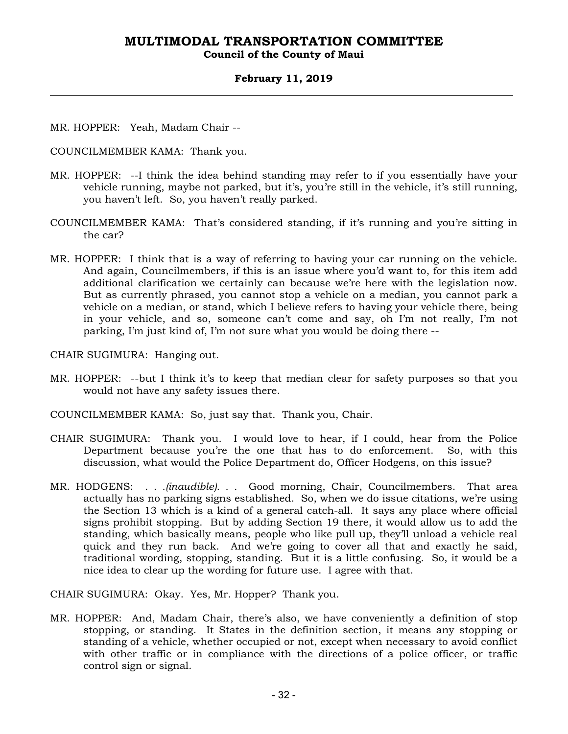### **Council of the County of Maui**

### **February 11, 2019**

- MR. HOPPER: Yeah, Madam Chair --
- COUNCILMEMBER KAMA: Thank you.
- MR. HOPPER: --I think the idea behind standing may refer to if you essentially have your vehicle running, maybe not parked, but it's, you're still in the vehicle, it's still running, you haven't left. So, you haven't really parked.
- COUNCILMEMBER KAMA: That's considered standing, if it's running and you're sitting in the car?
- MR. HOPPER: I think that is a way of referring to having your car running on the vehicle. And again, Councilmembers, if this is an issue where you'd want to, for this item add additional clarification we certainly can because we're here with the legislation now. But as currently phrased, you cannot stop a vehicle on a median, you cannot park a vehicle on a median, or stand, which I believe refers to having your vehicle there, being in your vehicle, and so, someone can't come and say, oh I'm not really, I'm not parking, I'm just kind of, I'm not sure what you would be doing there --

CHAIR SUGIMURA: Hanging out.

- MR. HOPPER: --but I think it's to keep that median clear for safety purposes so that you would not have any safety issues there.
- COUNCILMEMBER KAMA: So, just say that. Thank you, Chair.
- CHAIR SUGIMURA: Thank you. I would love to hear, if I could, hear from the Police Department because you're the one that has to do enforcement. So, with this discussion, what would the Police Department do, Officer Hodgens, on this issue?
- MR. HODGENS: *. . .(inaudible). . .* Good morning, Chair, Councilmembers. That area actually has no parking signs established. So, when we do issue citations, we're using the Section 13 which is a kind of a general catch-all. It says any place where official signs prohibit stopping. But by adding Section 19 there, it would allow us to add the standing, which basically means, people who like pull up, they'll unload a vehicle real quick and they run back. And we're going to cover all that and exactly he said, traditional wording, stopping, standing. But it is a little confusing. So, it would be a nice idea to clear up the wording for future use. I agree with that.

CHAIR SUGIMURA: Okay. Yes, Mr. Hopper? Thank you.

MR. HOPPER: And, Madam Chair, there's also, we have conveniently a definition of stop stopping, or standing. It States in the definition section, it means any stopping or standing of a vehicle, whether occupied or not, except when necessary to avoid conflict with other traffic or in compliance with the directions of a police officer, or traffic control sign or signal.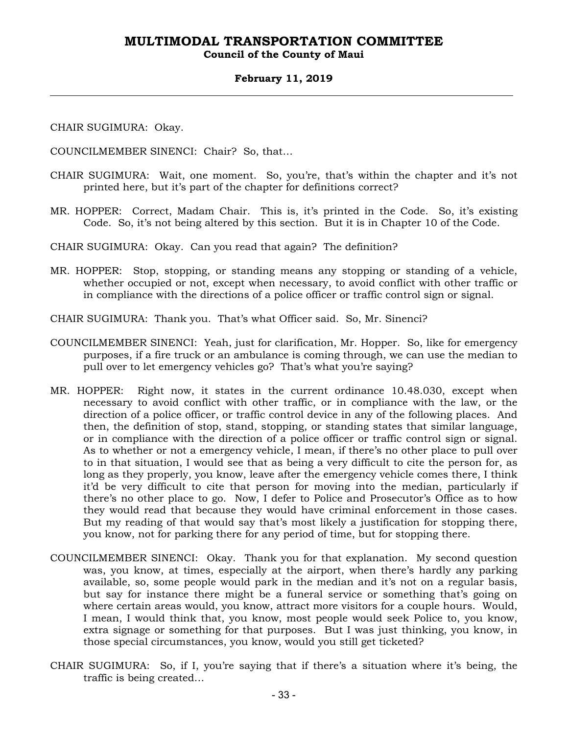### **Council of the County of Maui**

### **February 11, 2019**

CHAIR SUGIMURA: Okay.

COUNCILMEMBER SINENCI: Chair? So, that…

- CHAIR SUGIMURA: Wait, one moment. So, you're, that's within the chapter and it's not printed here, but it's part of the chapter for definitions correct?
- MR. HOPPER: Correct, Madam Chair. This is, it's printed in the Code. So, it's existing Code. So, it's not being altered by this section. But it is in Chapter 10 of the Code.

CHAIR SUGIMURA: Okay. Can you read that again? The definition?

MR. HOPPER: Stop, stopping, or standing means any stopping or standing of a vehicle, whether occupied or not, except when necessary, to avoid conflict with other traffic or in compliance with the directions of a police officer or traffic control sign or signal.

CHAIR SUGIMURA: Thank you. That's what Officer said. So, Mr. Sinenci?

- COUNCILMEMBER SINENCI: Yeah, just for clarification, Mr. Hopper. So, like for emergency purposes, if a fire truck or an ambulance is coming through, we can use the median to pull over to let emergency vehicles go? That's what you're saying?
- MR. HOPPER: Right now, it states in the current ordinance 10.48.030, except when necessary to avoid conflict with other traffic, or in compliance with the law, or the direction of a police officer, or traffic control device in any of the following places. And then, the definition of stop, stand, stopping, or standing states that similar language, or in compliance with the direction of a police officer or traffic control sign or signal. As to whether or not a emergency vehicle, I mean, if there's no other place to pull over to in that situation, I would see that as being a very difficult to cite the person for, as long as they properly, you know, leave after the emergency vehicle comes there, I think it'd be very difficult to cite that person for moving into the median, particularly if there's no other place to go. Now, I defer to Police and Prosecutor's Office as to how they would read that because they would have criminal enforcement in those cases. But my reading of that would say that's most likely a justification for stopping there, you know, not for parking there for any period of time, but for stopping there.
- COUNCILMEMBER SINENCI: Okay. Thank you for that explanation. My second question was, you know, at times, especially at the airport, when there's hardly any parking available, so, some people would park in the median and it's not on a regular basis, but say for instance there might be a funeral service or something that's going on where certain areas would, you know, attract more visitors for a couple hours. Would, I mean, I would think that, you know, most people would seek Police to, you know, extra signage or something for that purposes. But I was just thinking, you know, in those special circumstances, you know, would you still get ticketed?
- CHAIR SUGIMURA: So, if I, you're saying that if there's a situation where it's being, the traffic is being created…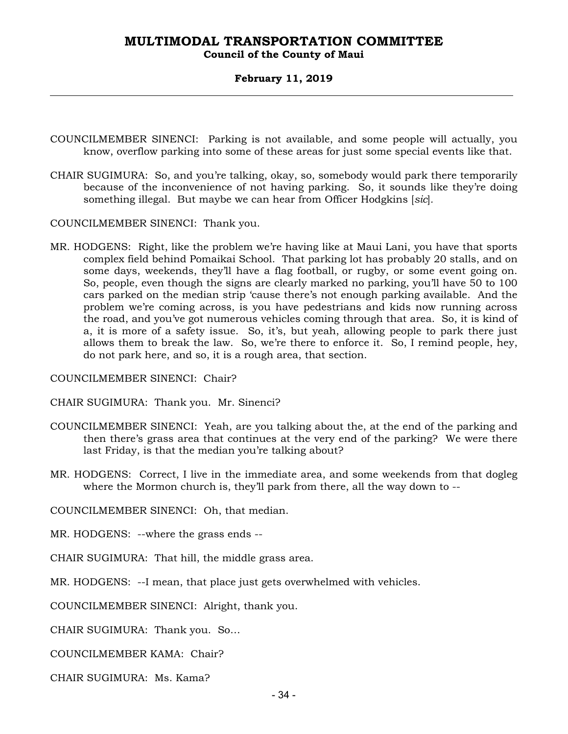### **Council of the County of Maui**

### **February 11, 2019**

- COUNCILMEMBER SINENCI: Parking is not available, and some people will actually, you know, overflow parking into some of these areas for just some special events like that.
- CHAIR SUGIMURA: So, and you're talking, okay, so, somebody would park there temporarily because of the inconvenience of not having parking. So, it sounds like they're doing something illegal. But maybe we can hear from Officer Hodgkins [*sic*]*.*

COUNCILMEMBER SINENCI: Thank you.

MR. HODGENS: Right, like the problem we're having like at Maui Lani, you have that sports complex field behind Pomaikai School. That parking lot has probably 20 stalls, and on some days, weekends, they'll have a flag football, or rugby, or some event going on. So, people, even though the signs are clearly marked no parking, you'll have 50 to 100 cars parked on the median strip 'cause there's not enough parking available. And the problem we're coming across, is you have pedestrians and kids now running across the road, and you've got numerous vehicles coming through that area. So, it is kind of a, it is more of a safety issue. So, it's, but yeah, allowing people to park there just allows them to break the law. So, we're there to enforce it. So, I remind people, hey, do not park here, and so, it is a rough area, that section.

COUNCILMEMBER SINENCI: Chair?

CHAIR SUGIMURA: Thank you. Mr. Sinenci?

- COUNCILMEMBER SINENCI: Yeah, are you talking about the, at the end of the parking and then there's grass area that continues at the very end of the parking? We were there last Friday, is that the median you're talking about?
- MR. HODGENS: Correct, I live in the immediate area, and some weekends from that dogleg where the Mormon church is, they'll park from there, all the way down to --

COUNCILMEMBER SINENCI: Oh, that median.

MR. HODGENS: --where the grass ends --

CHAIR SUGIMURA: That hill, the middle grass area.

MR. HODGENS: --I mean, that place just gets overwhelmed with vehicles.

COUNCILMEMBER SINENCI: Alright, thank you.

CHAIR SUGIMURA: Thank you. So…

COUNCILMEMBER KAMA: Chair?

CHAIR SUGIMURA: Ms. Kama?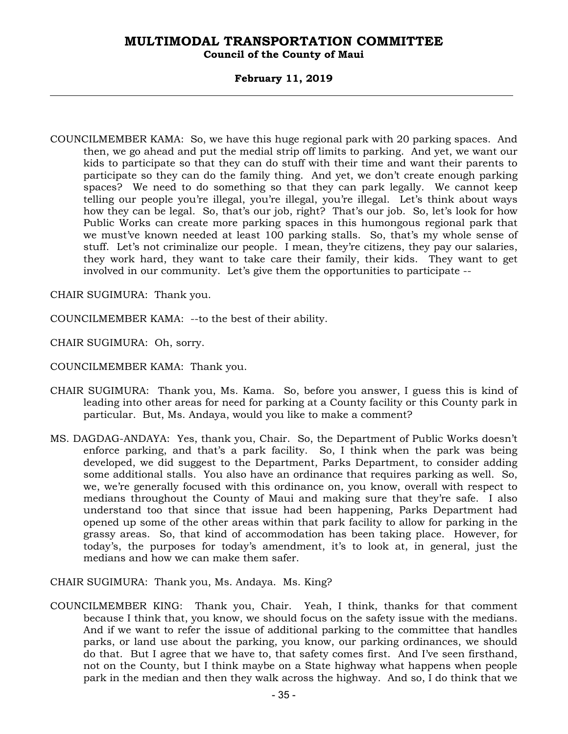### **Council of the County of Maui**

### **February 11, 2019**

COUNCILMEMBER KAMA: So, we have this huge regional park with 20 parking spaces. And then, we go ahead and put the medial strip off limits to parking. And yet, we want our kids to participate so that they can do stuff with their time and want their parents to participate so they can do the family thing. And yet, we don't create enough parking spaces? We need to do something so that they can park legally. We cannot keep telling our people you're illegal, you're illegal, you're illegal. Let's think about ways how they can be legal. So, that's our job, right? That's our job. So, let's look for how Public Works can create more parking spaces in this humongous regional park that we must've known needed at least 100 parking stalls. So, that's my whole sense of stuff. Let's not criminalize our people. I mean, they're citizens, they pay our salaries, they work hard, they want to take care their family, their kids. They want to get involved in our community. Let's give them the opportunities to participate --

CHAIR SUGIMURA: Thank you.

COUNCILMEMBER KAMA: --to the best of their ability.

CHAIR SUGIMURA: Oh, sorry.

COUNCILMEMBER KAMA: Thank you.

- CHAIR SUGIMURA: Thank you, Ms. Kama. So, before you answer, I guess this is kind of leading into other areas for need for parking at a County facility or this County park in particular. But, Ms. Andaya, would you like to make a comment?
- MS. DAGDAG-ANDAYA: Yes, thank you, Chair. So, the Department of Public Works doesn't enforce parking, and that's a park facility. So, I think when the park was being developed, we did suggest to the Department, Parks Department, to consider adding some additional stalls. You also have an ordinance that requires parking as well. So, we, we're generally focused with this ordinance on, you know, overall with respect to medians throughout the County of Maui and making sure that they're safe. I also understand too that since that issue had been happening, Parks Department had opened up some of the other areas within that park facility to allow for parking in the grassy areas. So, that kind of accommodation has been taking place. However, for today's, the purposes for today's amendment, it's to look at, in general, just the medians and how we can make them safer.

CHAIR SUGIMURA: Thank you, Ms. Andaya. Ms. King?

COUNCILMEMBER KING: Thank you, Chair. Yeah, I think, thanks for that comment because I think that, you know, we should focus on the safety issue with the medians. And if we want to refer the issue of additional parking to the committee that handles parks, or land use about the parking, you know, our parking ordinances, we should do that. But I agree that we have to, that safety comes first. And I've seen firsthand, not on the County, but I think maybe on a State highway what happens when people park in the median and then they walk across the highway. And so, I do think that we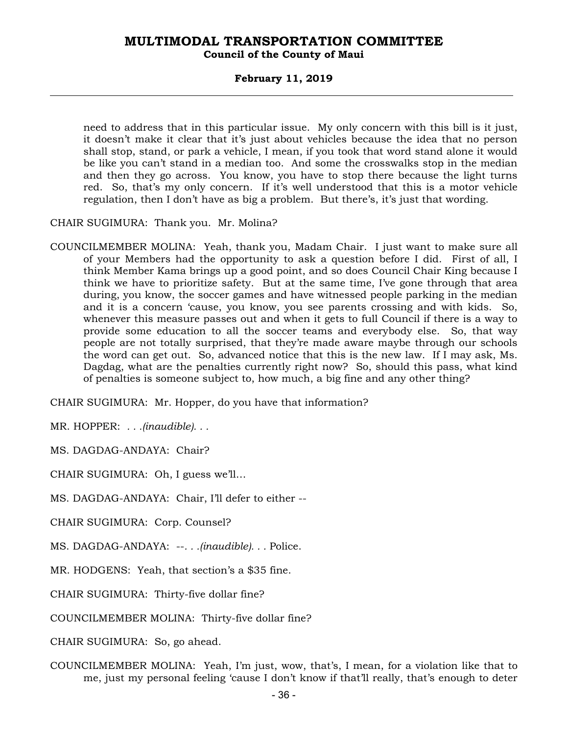### **Council of the County of Maui**

### **February 11, 2019**

need to address that in this particular issue. My only concern with this bill is it just, it doesn't make it clear that it's just about vehicles because the idea that no person shall stop, stand, or park a vehicle, I mean, if you took that word stand alone it would be like you can't stand in a median too. And some the crosswalks stop in the median and then they go across. You know, you have to stop there because the light turns red. So, that's my only concern. If it's well understood that this is a motor vehicle regulation, then I don't have as big a problem. But there's, it's just that wording.

CHAIR SUGIMURA: Thank you. Mr. Molina?

COUNCILMEMBER MOLINA: Yeah, thank you, Madam Chair. I just want to make sure all of your Members had the opportunity to ask a question before I did. First of all, I think Member Kama brings up a good point, and so does Council Chair King because I think we have to prioritize safety. But at the same time, I've gone through that area during, you know, the soccer games and have witnessed people parking in the median and it is a concern 'cause, you know, you see parents crossing and with kids. So, whenever this measure passes out and when it gets to full Council if there is a way to provide some education to all the soccer teams and everybody else. So, that way people are not totally surprised, that they're made aware maybe through our schools the word can get out. So, advanced notice that this is the new law. If I may ask, Ms. Dagdag, what are the penalties currently right now? So, should this pass, what kind of penalties is someone subject to, how much, a big fine and any other thing?

CHAIR SUGIMURA: Mr. Hopper, do you have that information?

MR. HOPPER: *. . .(inaudible). . .*

MS. DAGDAG-ANDAYA: Chair?

CHAIR SUGIMURA: Oh, I guess we'll…

MS. DAGDAG-ANDAYA: Chair, I'll defer to either --

CHAIR SUGIMURA: Corp. Counsel?

MS. DAGDAG-ANDAYA: --*. . .(inaudible). . .* Police.

MR. HODGENS: Yeah, that section's a \$35 fine.

CHAIR SUGIMURA: Thirty-five dollar fine?

COUNCILMEMBER MOLINA: Thirty-five dollar fine?

CHAIR SUGIMURA: So, go ahead.

COUNCILMEMBER MOLINA: Yeah, I'm just, wow, that's, I mean, for a violation like that to me, just my personal feeling 'cause I don't know if that'll really, that's enough to deter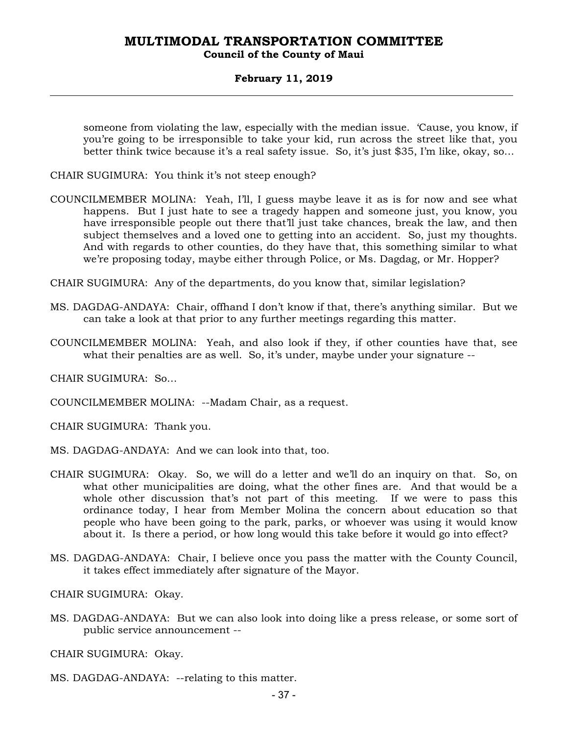### **February 11, 2019**

someone from violating the law, especially with the median issue. 'Cause, you know, if you're going to be irresponsible to take your kid, run across the street like that, you better think twice because it's a real safety issue. So, it's just \$35, I'm like, okay, so…

- CHAIR SUGIMURA: You think it's not steep enough?
- COUNCILMEMBER MOLINA: Yeah, I'll, I guess maybe leave it as is for now and see what happens. But I just hate to see a tragedy happen and someone just, you know, you have irresponsible people out there that'll just take chances, break the law, and then subject themselves and a loved one to getting into an accident. So, just my thoughts. And with regards to other counties, do they have that, this something similar to what we're proposing today, maybe either through Police, or Ms. Dagdag, or Mr. Hopper?
- CHAIR SUGIMURA: Any of the departments, do you know that, similar legislation?
- MS. DAGDAG-ANDAYA: Chair, offhand I don't know if that, there's anything similar. But we can take a look at that prior to any further meetings regarding this matter.
- COUNCILMEMBER MOLINA: Yeah, and also look if they, if other counties have that, see what their penalties are as well. So, it's under, maybe under your signature --

CHAIR SUGIMURA: So…

COUNCILMEMBER MOLINA: --Madam Chair, as a request.

CHAIR SUGIMURA: Thank you.

- MS. DAGDAG-ANDAYA: And we can look into that, too.
- CHAIR SUGIMURA: Okay. So, we will do a letter and we'll do an inquiry on that. So, on what other municipalities are doing, what the other fines are. And that would be a whole other discussion that's not part of this meeting. If we were to pass this ordinance today, I hear from Member Molina the concern about education so that people who have been going to the park, parks, or whoever was using it would know about it. Is there a period, or how long would this take before it would go into effect?
- MS. DAGDAG-ANDAYA: Chair, I believe once you pass the matter with the County Council, it takes effect immediately after signature of the Mayor.

CHAIR SUGIMURA: Okay.

MS. DAGDAG-ANDAYA: But we can also look into doing like a press release, or some sort of public service announcement --

CHAIR SUGIMURA: Okay.

MS. DAGDAG-ANDAYA: --relating to this matter.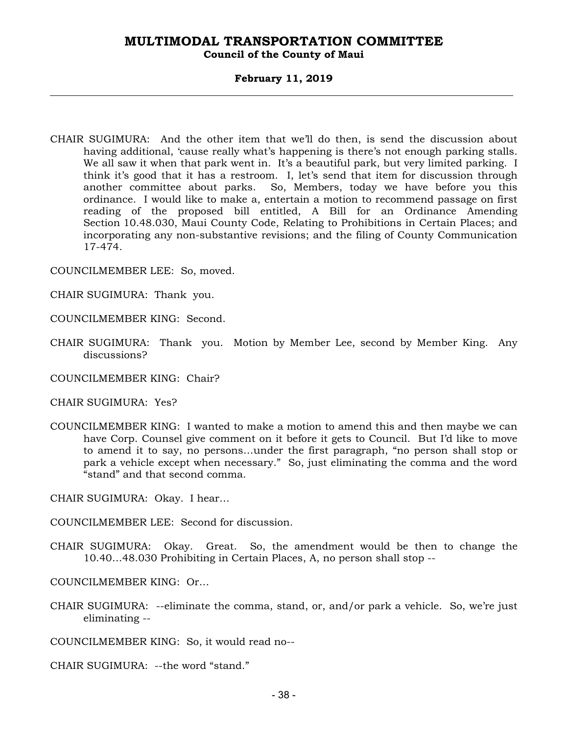### **Council of the County of Maui**

### **February 11, 2019**

CHAIR SUGIMURA: And the other item that we'll do then, is send the discussion about having additional, 'cause really what's happening is there's not enough parking stalls. We all saw it when that park went in. It's a beautiful park, but very limited parking. I think it's good that it has a restroom. I, let's send that item for discussion through another committee about parks. So, Members, today we have before you this ordinance. I would like to make a, entertain a motion to recommend passage on first reading of the proposed bill entitled, A Bill for an Ordinance Amending Section 10.48.030, Maui County Code, Relating to Prohibitions in Certain Places; and incorporating any non-substantive revisions; and the filing of County Communication 17-474.

COUNCILMEMBER LEE: So, moved.

CHAIR SUGIMURA: Thank you.

COUNCILMEMBER KING: Second.

CHAIR SUGIMURA: Thank you. Motion by Member Lee, second by Member King. Any discussions?

COUNCILMEMBER KING: Chair?

CHAIR SUGIMURA: Yes?

COUNCILMEMBER KING: I wanted to make a motion to amend this and then maybe we can have Corp. Counsel give comment on it before it gets to Council. But I'd like to move to amend it to say, no persons…under the first paragraph, "no person shall stop or park a vehicle except when necessary." So, just eliminating the comma and the word "stand" and that second comma.

CHAIR SUGIMURA: Okay. I hear…

COUNCILMEMBER LEE: Second for discussion.

CHAIR SUGIMURA: Okay. Great. So, the amendment would be then to change the 10.40…48.030 Prohibiting in Certain Places, A, no person shall stop --

COUNCILMEMBER KING: Or…

CHAIR SUGIMURA: --eliminate the comma, stand, or, and/or park a vehicle. So, we're just eliminating --

COUNCILMEMBER KING: So, it would read no--

CHAIR SUGIMURA: --the word "stand."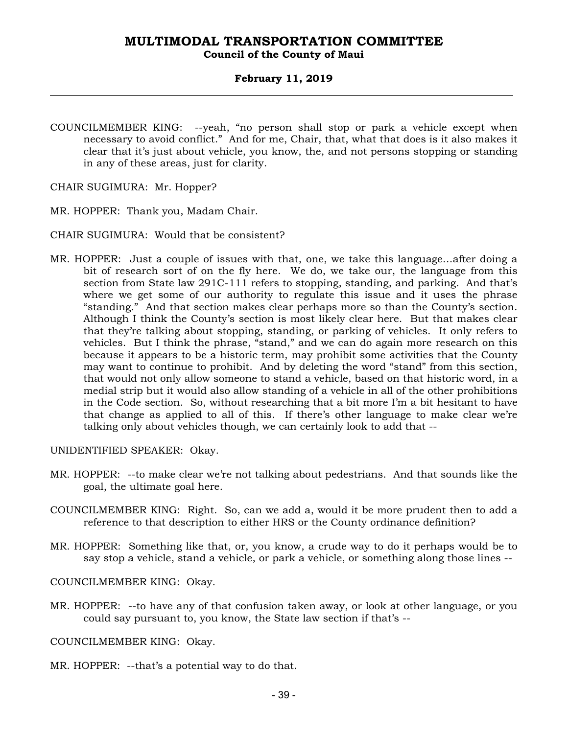### **February 11, 2019**

- COUNCILMEMBER KING: --yeah, "no person shall stop or park a vehicle except when necessary to avoid conflict." And for me, Chair, that, what that does is it also makes it clear that it's just about vehicle, you know, the, and not persons stopping or standing in any of these areas, just for clarity.
- CHAIR SUGIMURA: Mr. Hopper?
- MR. HOPPER: Thank you, Madam Chair.
- CHAIR SUGIMURA: Would that be consistent?
- MR. HOPPER: Just a couple of issues with that, one, we take this language…after doing a bit of research sort of on the fly here. We do, we take our, the language from this section from State law 291C-111 refers to stopping, standing, and parking. And that's where we get some of our authority to regulate this issue and it uses the phrase "standing." And that section makes clear perhaps more so than the County's section. Although I think the County's section is most likely clear here. But that makes clear that they're talking about stopping, standing, or parking of vehicles. It only refers to vehicles. But I think the phrase, "stand," and we can do again more research on this because it appears to be a historic term, may prohibit some activities that the County may want to continue to prohibit. And by deleting the word "stand" from this section, that would not only allow someone to stand a vehicle, based on that historic word, in a medial strip but it would also allow standing of a vehicle in all of the other prohibitions in the Code section. So, without researching that a bit more I'm a bit hesitant to have that change as applied to all of this. If there's other language to make clear we're talking only about vehicles though, we can certainly look to add that --

UNIDENTIFIED SPEAKER: Okay.

- MR. HOPPER: --to make clear we're not talking about pedestrians. And that sounds like the goal, the ultimate goal here.
- COUNCILMEMBER KING: Right. So, can we add a, would it be more prudent then to add a reference to that description to either HRS or the County ordinance definition?
- MR. HOPPER: Something like that, or, you know, a crude way to do it perhaps would be to say stop a vehicle, stand a vehicle, or park a vehicle, or something along those lines --

COUNCILMEMBER KING: Okay.

MR. HOPPER: --to have any of that confusion taken away, or look at other language, or you could say pursuant to, you know, the State law section if that's --

COUNCILMEMBER KING: Okay.

MR. HOPPER: --that's a potential way to do that.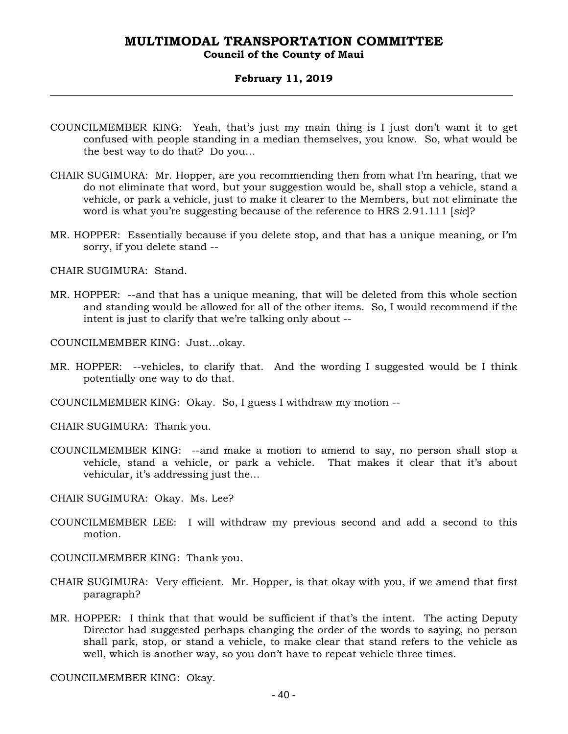### **Council of the County of Maui**

### **February 11, 2019**

- COUNCILMEMBER KING: Yeah, that's just my main thing is I just don't want it to get confused with people standing in a median themselves, you know. So, what would be the best way to do that? Do you…
- CHAIR SUGIMURA: Mr. Hopper, are you recommending then from what I'm hearing, that we do not eliminate that word, but your suggestion would be, shall stop a vehicle, stand a vehicle, or park a vehicle, just to make it clearer to the Members, but not eliminate the word is what you're suggesting because of the reference to HRS 2.91.111 [*sic*]?
- MR. HOPPER: Essentially because if you delete stop, and that has a unique meaning, or I'm sorry, if you delete stand --

CHAIR SUGIMURA: Stand.

MR. HOPPER: --and that has a unique meaning, that will be deleted from this whole section and standing would be allowed for all of the other items. So, I would recommend if the intent is just to clarify that we're talking only about --

COUNCILMEMBER KING: Just…okay.

- MR. HOPPER: --vehicles, to clarify that. And the wording I suggested would be I think potentially one way to do that.
- COUNCILMEMBER KING: Okay. So, I guess I withdraw my motion --

CHAIR SUGIMURA: Thank you.

- COUNCILMEMBER KING: --and make a motion to amend to say, no person shall stop a vehicle, stand a vehicle, or park a vehicle. That makes it clear that it's about vehicular, it's addressing just the…
- CHAIR SUGIMURA: Okay. Ms. Lee?
- COUNCILMEMBER LEE: I will withdraw my previous second and add a second to this motion.
- COUNCILMEMBER KING: Thank you.
- CHAIR SUGIMURA: Very efficient. Mr. Hopper, is that okay with you, if we amend that first paragraph?
- MR. HOPPER: I think that that would be sufficient if that's the intent. The acting Deputy Director had suggested perhaps changing the order of the words to saying, no person shall park, stop, or stand a vehicle, to make clear that stand refers to the vehicle as well, which is another way, so you don't have to repeat vehicle three times.

COUNCILMEMBER KING: Okay.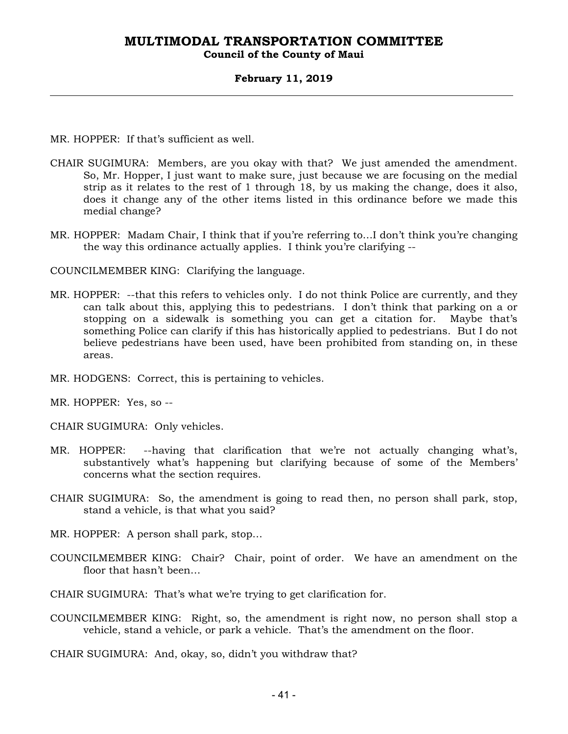### **Council of the County of Maui**

### **February 11, 2019**

MR. HOPPER: If that's sufficient as well.

- CHAIR SUGIMURA: Members, are you okay with that? We just amended the amendment. So, Mr. Hopper, I just want to make sure, just because we are focusing on the medial strip as it relates to the rest of 1 through 18, by us making the change, does it also, does it change any of the other items listed in this ordinance before we made this medial change?
- MR. HOPPER: Madam Chair, I think that if you're referring to…I don't think you're changing the way this ordinance actually applies. I think you're clarifying --

COUNCILMEMBER KING: Clarifying the language.

- MR. HOPPER: --that this refers to vehicles only. I do not think Police are currently, and they can talk about this, applying this to pedestrians. I don't think that parking on a or stopping on a sidewalk is something you can get a citation for. Maybe that's something Police can clarify if this has historically applied to pedestrians. But I do not believe pedestrians have been used, have been prohibited from standing on, in these areas.
- MR. HODGENS: Correct, this is pertaining to vehicles.

MR. HOPPER: Yes, so --

CHAIR SUGIMURA: Only vehicles.

- MR. HOPPER: --having that clarification that we're not actually changing what's, substantively what's happening but clarifying because of some of the Members' concerns what the section requires.
- CHAIR SUGIMURA: So, the amendment is going to read then, no person shall park, stop, stand a vehicle, is that what you said?
- MR. HOPPER: A person shall park, stop…
- COUNCILMEMBER KING: Chair? Chair, point of order. We have an amendment on the floor that hasn't been…
- CHAIR SUGIMURA: That's what we're trying to get clarification for.
- COUNCILMEMBER KING: Right, so, the amendment is right now, no person shall stop a vehicle, stand a vehicle, or park a vehicle. That's the amendment on the floor.

CHAIR SUGIMURA: And, okay, so, didn't you withdraw that?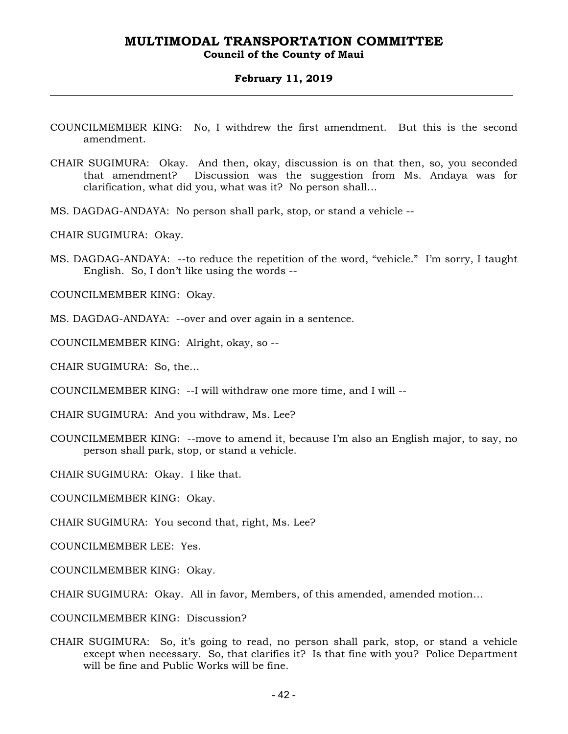### **Council of the County of Maui**

#### **February 11, 2019**

- COUNCILMEMBER KING: No, I withdrew the first amendment. But this is the second amendment.
- CHAIR SUGIMURA: Okay. And then, okay, discussion is on that then, so, you seconded that amendment? Discussion was the suggestion from Ms. Andaya was for clarification, what did you, what was it? No person shall…
- MS. DAGDAG-ANDAYA: No person shall park, stop, or stand a vehicle --

CHAIR SUGIMURA: Okay.

MS. DAGDAG-ANDAYA: --to reduce the repetition of the word, "vehicle." I'm sorry, I taught English. So, I don't like using the words --

COUNCILMEMBER KING: Okay.

MS. DAGDAG-ANDAYA: --over and over again in a sentence.

COUNCILMEMBER KING: Alright, okay, so --

CHAIR SUGIMURA: So, the…

COUNCILMEMBER KING: --I will withdraw one more time, and I will --

CHAIR SUGIMURA: And you withdraw, Ms. Lee?

COUNCILMEMBER KING: --move to amend it, because I'm also an English major, to say, no person shall park, stop, or stand a vehicle.

CHAIR SUGIMURA: Okay. I like that.

COUNCILMEMBER KING: Okay.

CHAIR SUGIMURA: You second that, right, Ms. Lee?

COUNCILMEMBER LEE: Yes.

COUNCILMEMBER KING: Okay.

CHAIR SUGIMURA: Okay. All in favor, Members, of this amended, amended motion…

COUNCILMEMBER KING: Discussion?

CHAIR SUGIMURA: So, it's going to read, no person shall park, stop, or stand a vehicle except when necessary. So, that clarifies it? Is that fine with you? Police Department will be fine and Public Works will be fine.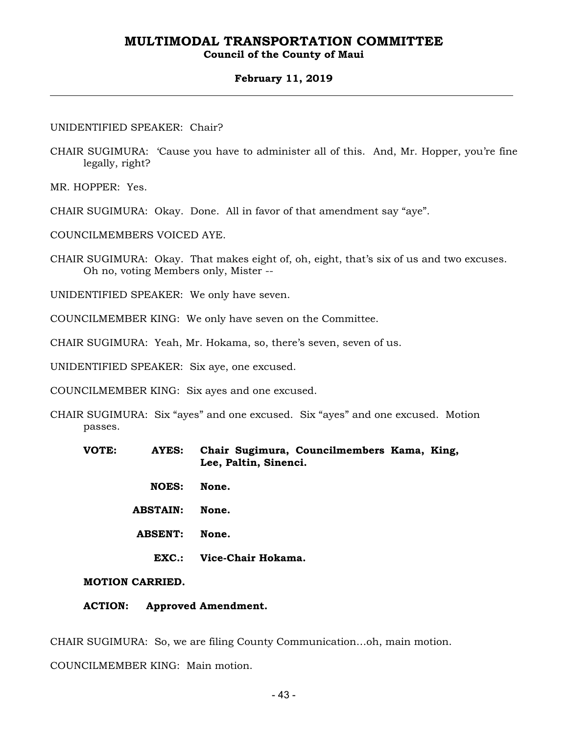### **Council of the County of Maui**

#### **February 11, 2019**

#### UNIDENTIFIED SPEAKER: Chair?

CHAIR SUGIMURA: 'Cause you have to administer all of this. And, Mr. Hopper, you're fine legally, right?

MR. HOPPER: Yes.

CHAIR SUGIMURA: Okay. Done. All in favor of that amendment say "aye".

COUNCILMEMBERS VOICED AYE.

- CHAIR SUGIMURA: Okay. That makes eight of, oh, eight, that's six of us and two excuses. Oh no, voting Members only, Mister --
- UNIDENTIFIED SPEAKER: We only have seven.
- COUNCILMEMBER KING: We only have seven on the Committee.
- CHAIR SUGIMURA: Yeah, Mr. Hokama, so, there's seven, seven of us.

UNIDENTIFIED SPEAKER: Six aye, one excused.

COUNCILMEMBER KING: Six ayes and one excused.

- CHAIR SUGIMURA: Six "ayes" and one excused. Six "ayes" and one excused. Motion passes.
	- **VOTE: AYES: Chair Sugimura, Councilmembers Kama, King, Lee, Paltin, Sinenci.** 
		- **NOES: None.**
		- **ABSTAIN: None.**
		- **ABSENT: None.** 
			- **EXC.: Vice-Chair Hokama.**

**MOTION CARRIED.** 

**ACTION: Approved Amendment.** 

CHAIR SUGIMURA: So, we are filing County Communication…oh, main motion.

COUNCILMEMBER KING: Main motion.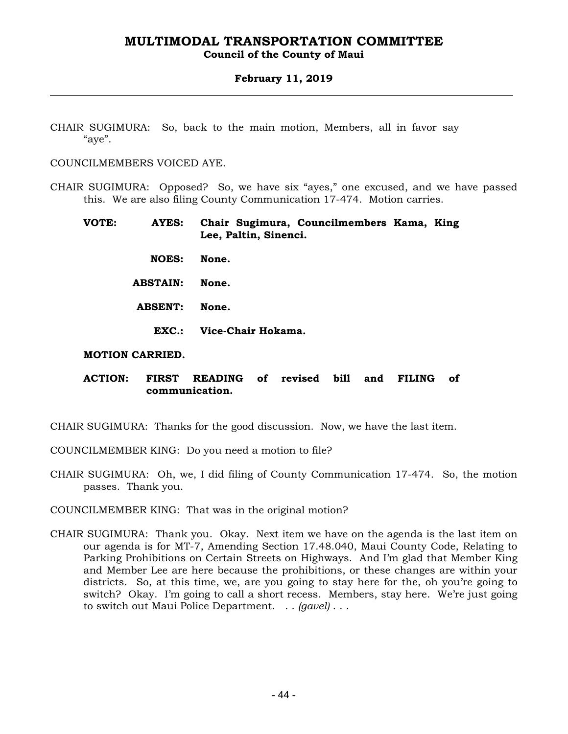### **Council of the County of Maui**

### **February 11, 2019**

CHAIR SUGIMURA: So, back to the main motion, Members, all in favor say "aye".

COUNCILMEMBERS VOICED AYE.

CHAIR SUGIMURA: Opposed? So, we have six "ayes," one excused, and we have passed this. We are also filing County Communication 17-474. Motion carries.

- **VOTE: AYES: Chair Sugimura, Councilmembers Kama, King Lee, Paltin, Sinenci.** 
	- **NOES: None.**
	- **ABSTAIN: None.**
	- **ABSENT: None.** 
		- **EXC.: Vice-Chair Hokama.**

### **MOTION CARRIED.**

### **ACTION: FIRST READING of revised bill and FILING of communication.**

CHAIR SUGIMURA: Thanks for the good discussion. Now, we have the last item.

- COUNCILMEMBER KING: Do you need a motion to file?
- CHAIR SUGIMURA: Oh, we, I did filing of County Communication 17-474. So, the motion passes. Thank you.

COUNCILMEMBER KING: That was in the original motion?

CHAIR SUGIMURA: Thank you. Okay. Next item we have on the agenda is the last item on our agenda is for MT-7, Amending Section 17.48.040, Maui County Code, Relating to Parking Prohibitions on Certain Streets on Highways. And I'm glad that Member King and Member Lee are here because the prohibitions, or these changes are within your districts. So, at this time, we, are you going to stay here for the, oh you're going to switch? Okay. I'm going to call a short recess. Members, stay here. We're just going to switch out Maui Police Department. . . *(gavel)* . . .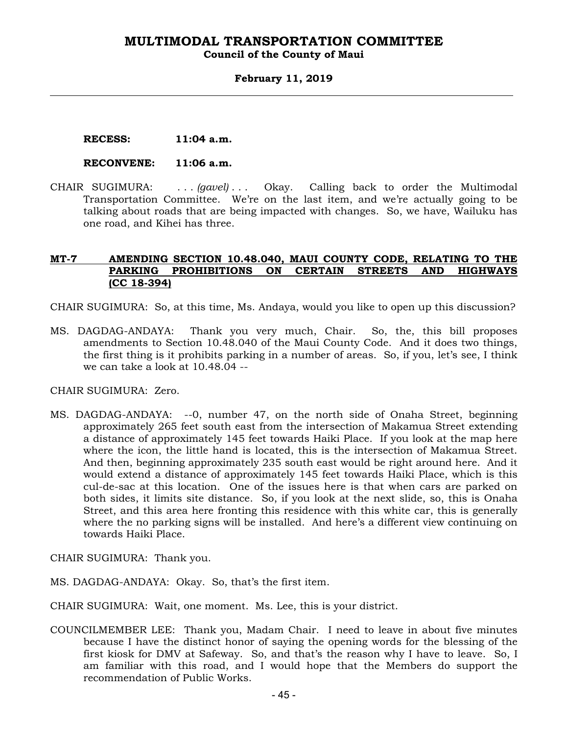#### **Council of the County of Maui**

### **February 11, 2019**

 **RECESS: 11:04 a.m.** 

#### **RECONVENE: 11:06 a.m.**

CHAIR SUGIMURA: . . . *(gavel)* . . . Okay. Calling back to order the Multimodal Transportation Committee. We're on the last item, and we're actually going to be talking about roads that are being impacted with changes. So, we have, Wailuku has one road, and Kihei has three.

### **MT-7 AMENDING SECTION 10.48.040, MAUI COUNTY CODE, RELATING TO THE PARKING PROHIBITIONS ON CERTAIN STREETS AND HIGHWAYS (CC 18-394)**

CHAIR SUGIMURA: So, at this time, Ms. Andaya, would you like to open up this discussion?

MS. DAGDAG-ANDAYA: Thank you very much, Chair. So, the, this bill proposes amendments to Section 10.48.040 of the Maui County Code. And it does two things, the first thing is it prohibits parking in a number of areas. So, if you, let's see, I think we can take a look at 10.48.04 --

CHAIR SUGIMURA: Zero.

- MS. DAGDAG-ANDAYA: --0, number 47, on the north side of Onaha Street, beginning approximately 265 feet south east from the intersection of Makamua Street extending a distance of approximately 145 feet towards Haiki Place. If you look at the map here where the icon, the little hand is located, this is the intersection of Makamua Street. And then, beginning approximately 235 south east would be right around here. And it would extend a distance of approximately 145 feet towards Haiki Place, which is this cul-de-sac at this location. One of the issues here is that when cars are parked on both sides, it limits site distance. So, if you look at the next slide, so, this is Onaha Street, and this area here fronting this residence with this white car, this is generally where the no parking signs will be installed. And here's a different view continuing on towards Haiki Place.
- CHAIR SUGIMURA: Thank you.
- MS. DAGDAG-ANDAYA: Okay. So, that's the first item.
- CHAIR SUGIMURA: Wait, one moment. Ms. Lee, this is your district.
- COUNCILMEMBER LEE: Thank you, Madam Chair. I need to leave in about five minutes because I have the distinct honor of saying the opening words for the blessing of the first kiosk for DMV at Safeway. So, and that's the reason why I have to leave. So, I am familiar with this road, and I would hope that the Members do support the recommendation of Public Works.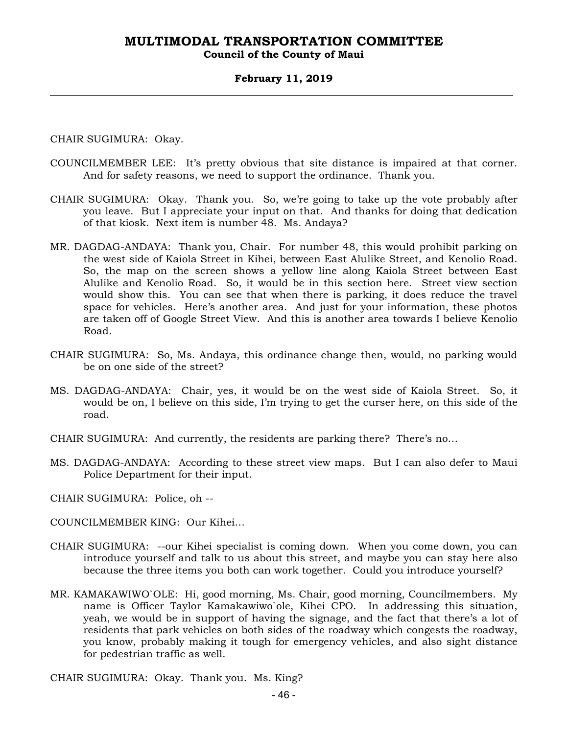### **Council of the County of Maui**

### **February 11, 2019**

CHAIR SUGIMURA: Okay.

- COUNCILMEMBER LEE: It's pretty obvious that site distance is impaired at that corner. And for safety reasons, we need to support the ordinance. Thank you.
- CHAIR SUGIMURA: Okay. Thank you. So, we're going to take up the vote probably after you leave. But I appreciate your input on that. And thanks for doing that dedication of that kiosk. Next item is number 48. Ms. Andaya?
- MR. DAGDAG-ANDAYA: Thank you, Chair. For number 48, this would prohibit parking on the west side of Kaiola Street in Kihei, between East Alulike Street, and Kenolio Road. So, the map on the screen shows a yellow line along Kaiola Street between East Alulike and Kenolio Road. So, it would be in this section here. Street view section would show this. You can see that when there is parking, it does reduce the travel space for vehicles. Here's another area. And just for your information, these photos are taken off of Google Street View. And this is another area towards I believe Kenolio Road.
- CHAIR SUGIMURA: So, Ms. Andaya, this ordinance change then, would, no parking would be on one side of the street?
- MS. DAGDAG-ANDAYA: Chair, yes, it would be on the west side of Kaiola Street. So, it would be on, I believe on this side, I'm trying to get the curser here, on this side of the road.
- CHAIR SUGIMURA: And currently, the residents are parking there? There's no…
- MS. DAGDAG-ANDAYA: According to these street view maps. But I can also defer to Maui Police Department for their input.

CHAIR SUGIMURA: Police, oh --

COUNCILMEMBER KING: Our Kihei…

- CHAIR SUGIMURA: --our Kihei specialist is coming down. When you come down, you can introduce yourself and talk to us about this street, and maybe you can stay here also because the three items you both can work together. Could you introduce yourself?
- MR. KAMAKAWIWO`OLE: Hi, good morning, Ms. Chair, good morning, Councilmembers. My name is Officer Taylor Kamakawiwo`ole, Kihei CPO. In addressing this situation, yeah, we would be in support of having the signage, and the fact that there's a lot of residents that park vehicles on both sides of the roadway which congests the roadway, you know, probably making it tough for emergency vehicles, and also sight distance for pedestrian traffic as well.

CHAIR SUGIMURA: Okay. Thank you. Ms. King?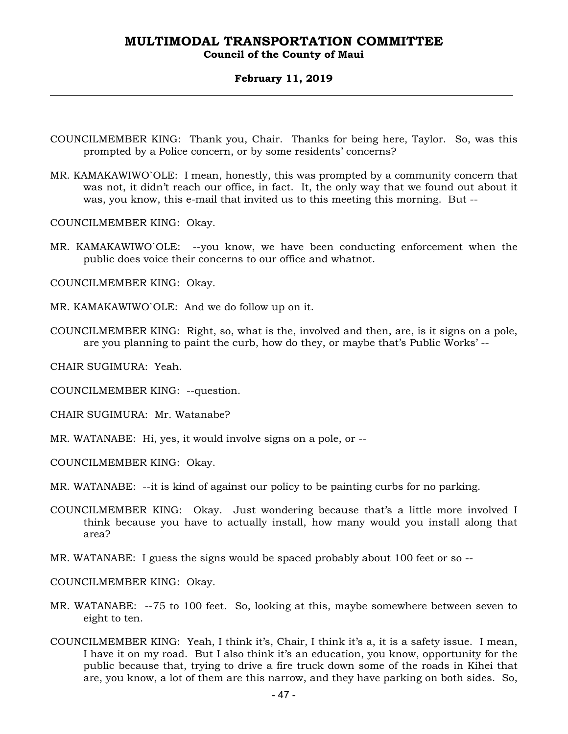### **Council of the County of Maui**

#### **February 11, 2019**

- COUNCILMEMBER KING: Thank you, Chair. Thanks for being here, Taylor. So, was this prompted by a Police concern, or by some residents' concerns?
- MR. KAMAKAWIWO`OLE: I mean, honestly, this was prompted by a community concern that was not, it didn't reach our office, in fact. It, the only way that we found out about it was, you know, this e-mail that invited us to this meeting this morning. But --

COUNCILMEMBER KING: Okay.

MR. KAMAKAWIWO`OLE: --you know, we have been conducting enforcement when the public does voice their concerns to our office and whatnot.

COUNCILMEMBER KING: Okay.

- MR. KAMAKAWIWO`OLE: And we do follow up on it.
- COUNCILMEMBER KING: Right, so, what is the, involved and then, are, is it signs on a pole, are you planning to paint the curb, how do they, or maybe that's Public Works' --

CHAIR SUGIMURA: Yeah.

COUNCILMEMBER KING: --question.

CHAIR SUGIMURA: Mr. Watanabe?

MR. WATANABE: Hi, yes, it would involve signs on a pole, or --

COUNCILMEMBER KING: Okay.

MR. WATANABE: --it is kind of against our policy to be painting curbs for no parking.

- COUNCILMEMBER KING: Okay. Just wondering because that's a little more involved I think because you have to actually install, how many would you install along that area?
- MR. WATANABE: I guess the signs would be spaced probably about 100 feet or so --

COUNCILMEMBER KING: Okay.

- MR. WATANABE: --75 to 100 feet. So, looking at this, maybe somewhere between seven to eight to ten.
- COUNCILMEMBER KING: Yeah, I think it's, Chair, I think it's a, it is a safety issue. I mean, I have it on my road. But I also think it's an education, you know, opportunity for the public because that, trying to drive a fire truck down some of the roads in Kihei that are, you know, a lot of them are this narrow, and they have parking on both sides. So,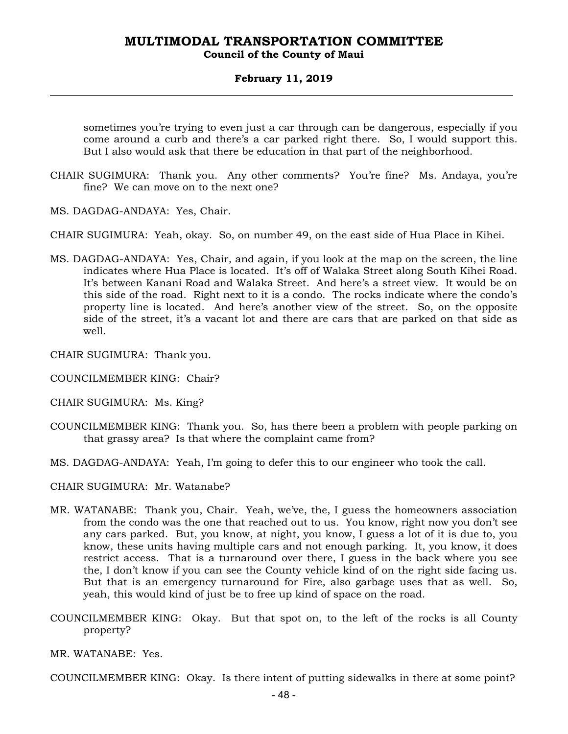### **February 11, 2019**

sometimes you're trying to even just a car through can be dangerous, especially if you come around a curb and there's a car parked right there. So, I would support this. But I also would ask that there be education in that part of the neighborhood.

- CHAIR SUGIMURA: Thank you. Any other comments? You're fine? Ms. Andaya, you're fine? We can move on to the next one?
- MS. DAGDAG-ANDAYA: Yes, Chair.
- CHAIR SUGIMURA: Yeah, okay. So, on number 49, on the east side of Hua Place in Kihei.
- MS. DAGDAG-ANDAYA: Yes, Chair, and again, if you look at the map on the screen, the line indicates where Hua Place is located. It's off of Walaka Street along South Kihei Road. It's between Kanani Road and Walaka Street. And here's a street view. It would be on this side of the road. Right next to it is a condo. The rocks indicate where the condo's property line is located. And here's another view of the street. So, on the opposite side of the street, it's a vacant lot and there are cars that are parked on that side as well.
- CHAIR SUGIMURA: Thank you.
- COUNCILMEMBER KING: Chair?
- CHAIR SUGIMURA: Ms. King?
- COUNCILMEMBER KING: Thank you. So, has there been a problem with people parking on that grassy area? Is that where the complaint came from?
- MS. DAGDAG-ANDAYA: Yeah, I'm going to defer this to our engineer who took the call.
- CHAIR SUGIMURA: Mr. Watanabe?
- MR. WATANABE: Thank you, Chair. Yeah, we've, the, I guess the homeowners association from the condo was the one that reached out to us. You know, right now you don't see any cars parked. But, you know, at night, you know, I guess a lot of it is due to, you know, these units having multiple cars and not enough parking. It, you know, it does restrict access. That is a turnaround over there, I guess in the back where you see the, I don't know if you can see the County vehicle kind of on the right side facing us. But that is an emergency turnaround for Fire, also garbage uses that as well. So, yeah, this would kind of just be to free up kind of space on the road.
- COUNCILMEMBER KING: Okay. But that spot on, to the left of the rocks is all County property?
- MR. WATANABE: Yes.

COUNCILMEMBER KING: Okay. Is there intent of putting sidewalks in there at some point?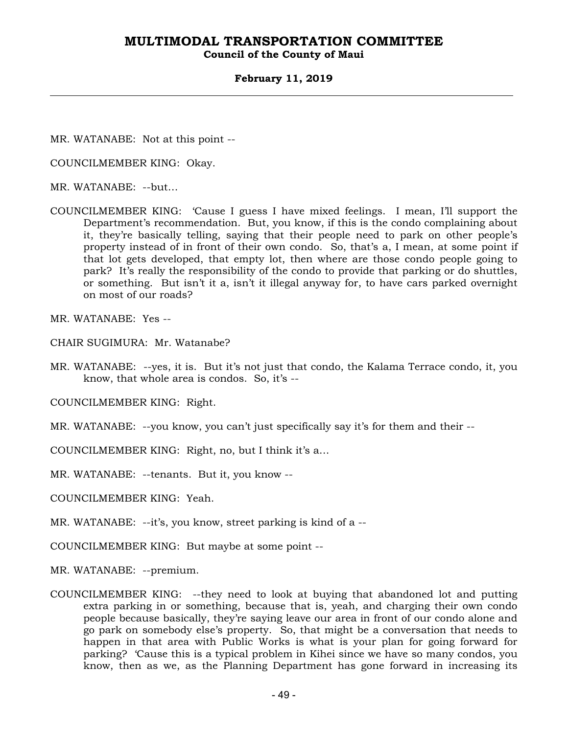### **Council of the County of Maui**

#### **February 11, 2019**

MR. WATANABE: Not at this point --

COUNCILMEMBER KING: Okay.

MR. WATANABE: --but…

COUNCILMEMBER KING: 'Cause I guess I have mixed feelings. I mean, I'll support the Department's recommendation. But, you know, if this is the condo complaining about it, they're basically telling, saying that their people need to park on other people's property instead of in front of their own condo. So, that's a, I mean, at some point if that lot gets developed, that empty lot, then where are those condo people going to park? It's really the responsibility of the condo to provide that parking or do shuttles, or something. But isn't it a, isn't it illegal anyway for, to have cars parked overnight on most of our roads?

MR. WATANABE: Yes --

CHAIR SUGIMURA: Mr. Watanabe?

MR. WATANABE: --yes, it is. But it's not just that condo, the Kalama Terrace condo, it, you know, that whole area is condos. So, it's --

COUNCILMEMBER KING: Right.

MR. WATANABE: --you know, you can't just specifically say it's for them and their --

COUNCILMEMBER KING: Right, no, but I think it's a…

MR. WATANABE: --tenants. But it, you know --

COUNCILMEMBER KING: Yeah.

MR. WATANABE: --it's, you know, street parking is kind of a --

COUNCILMEMBER KING: But maybe at some point --

MR. WATANABE: --premium.

COUNCILMEMBER KING: --they need to look at buying that abandoned lot and putting extra parking in or something, because that is, yeah, and charging their own condo people because basically, they're saying leave our area in front of our condo alone and go park on somebody else's property. So, that might be a conversation that needs to happen in that area with Public Works is what is your plan for going forward for parking? 'Cause this is a typical problem in Kihei since we have so many condos, you know, then as we, as the Planning Department has gone forward in increasing its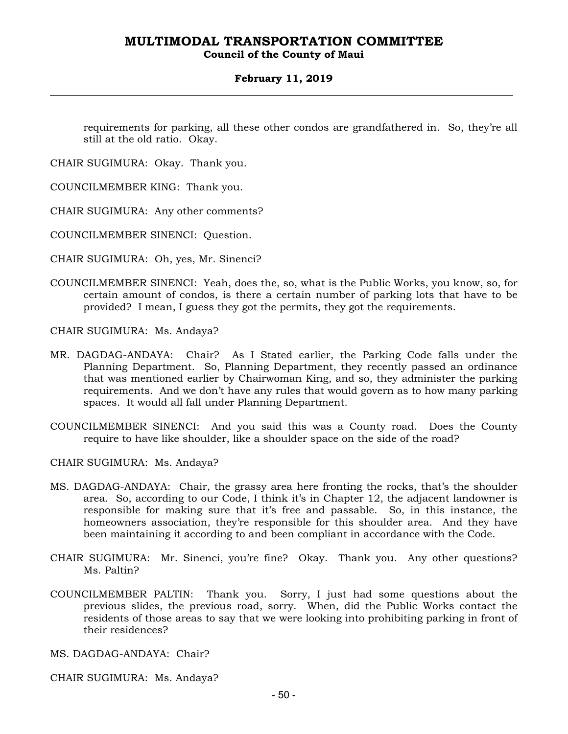### **Council of the County of Maui**

### **February 11, 2019**

requirements for parking, all these other condos are grandfathered in. So, they're all still at the old ratio. Okay.

CHAIR SUGIMURA: Okay. Thank you.

COUNCILMEMBER KING: Thank you.

CHAIR SUGIMURA: Any other comments?

COUNCILMEMBER SINENCI: Question.

CHAIR SUGIMURA: Oh, yes, Mr. Sinenci?

COUNCILMEMBER SINENCI: Yeah, does the, so, what is the Public Works, you know, so, for certain amount of condos, is there a certain number of parking lots that have to be provided? I mean, I guess they got the permits, they got the requirements.

CHAIR SUGIMURA: Ms. Andaya?

- MR. DAGDAG-ANDAYA: Chair? As I Stated earlier, the Parking Code falls under the Planning Department. So, Planning Department, they recently passed an ordinance that was mentioned earlier by Chairwoman King, and so, they administer the parking requirements. And we don't have any rules that would govern as to how many parking spaces. It would all fall under Planning Department.
- COUNCILMEMBER SINENCI: And you said this was a County road. Does the County require to have like shoulder, like a shoulder space on the side of the road?

CHAIR SUGIMURA: Ms. Andaya?

- MS. DAGDAG-ANDAYA: Chair, the grassy area here fronting the rocks, that's the shoulder area. So, according to our Code, I think it's in Chapter 12, the adjacent landowner is responsible for making sure that it's free and passable. So, in this instance, the homeowners association, they're responsible for this shoulder area. And they have been maintaining it according to and been compliant in accordance with the Code.
- CHAIR SUGIMURA: Mr. Sinenci, you're fine? Okay. Thank you. Any other questions? Ms. Paltin?
- COUNCILMEMBER PALTIN: Thank you. Sorry, I just had some questions about the previous slides, the previous road, sorry. When, did the Public Works contact the residents of those areas to say that we were looking into prohibiting parking in front of their residences?

MS. DAGDAG-ANDAYA: Chair?

CHAIR SUGIMURA: Ms. Andaya?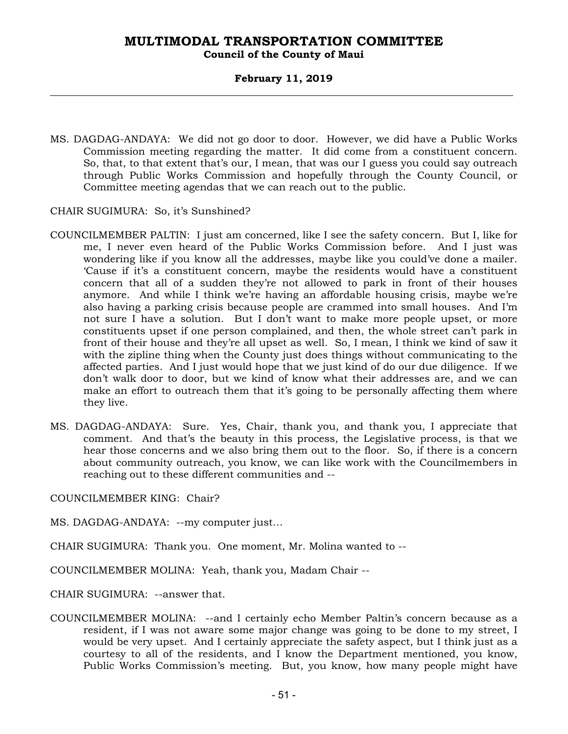### **Council of the County of Maui**

### **February 11, 2019**

MS. DAGDAG-ANDAYA: We did not go door to door. However, we did have a Public Works Commission meeting regarding the matter. It did come from a constituent concern. So, that, to that extent that's our, I mean, that was our I guess you could say outreach through Public Works Commission and hopefully through the County Council, or Committee meeting agendas that we can reach out to the public.

CHAIR SUGIMURA: So, it's Sunshined?

- COUNCILMEMBER PALTIN: I just am concerned, like I see the safety concern. But I, like for me, I never even heard of the Public Works Commission before. And I just was wondering like if you know all the addresses, maybe like you could've done a mailer. 'Cause if it's a constituent concern, maybe the residents would have a constituent concern that all of a sudden they're not allowed to park in front of their houses anymore. And while I think we're having an affordable housing crisis, maybe we're also having a parking crisis because people are crammed into small houses. And I'm not sure I have a solution. But I don't want to make more people upset, or more constituents upset if one person complained, and then, the whole street can't park in front of their house and they're all upset as well. So, I mean, I think we kind of saw it with the zipline thing when the County just does things without communicating to the affected parties. And I just would hope that we just kind of do our due diligence. If we don't walk door to door, but we kind of know what their addresses are, and we can make an effort to outreach them that it's going to be personally affecting them where they live.
- MS. DAGDAG-ANDAYA: Sure. Yes, Chair, thank you, and thank you, I appreciate that comment. And that's the beauty in this process, the Legislative process, is that we hear those concerns and we also bring them out to the floor. So, if there is a concern about community outreach, you know, we can like work with the Councilmembers in reaching out to these different communities and --

COUNCILMEMBER KING: Chair?

MS. DAGDAG-ANDAYA: --my computer just…

CHAIR SUGIMURA: Thank you. One moment, Mr. Molina wanted to --

COUNCILMEMBER MOLINA: Yeah, thank you, Madam Chair --

CHAIR SUGIMURA: --answer that.

COUNCILMEMBER MOLINA: --and I certainly echo Member Paltin's concern because as a resident, if I was not aware some major change was going to be done to my street, I would be very upset. And I certainly appreciate the safety aspect, but I think just as a courtesy to all of the residents, and I know the Department mentioned, you know, Public Works Commission's meeting. But, you know, how many people might have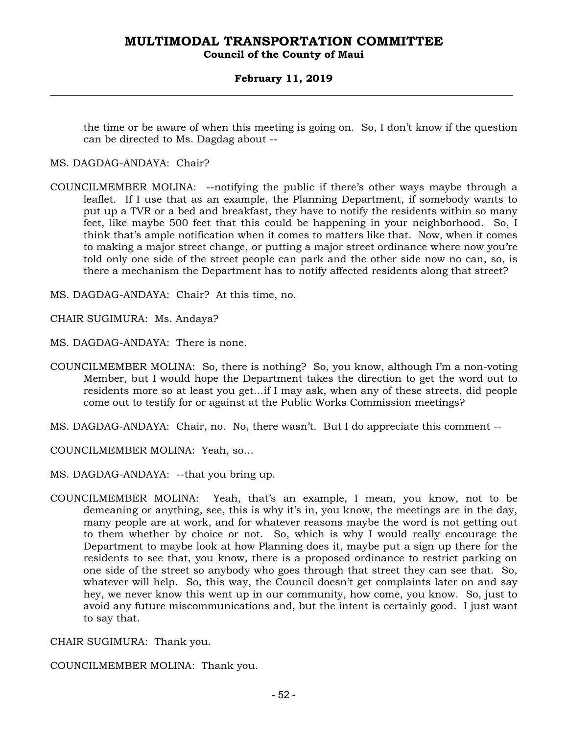### **Council of the County of Maui**

### **February 11, 2019**

the time or be aware of when this meeting is going on. So, I don't know if the question can be directed to Ms. Dagdag about --

- MS. DAGDAG-ANDAYA: Chair?
- COUNCILMEMBER MOLINA: --notifying the public if there's other ways maybe through a leaflet. If I use that as an example, the Planning Department, if somebody wants to put up a TVR or a bed and breakfast, they have to notify the residents within so many feet, like maybe 500 feet that this could be happening in your neighborhood. So, I think that's ample notification when it comes to matters like that. Now, when it comes to making a major street change, or putting a major street ordinance where now you're told only one side of the street people can park and the other side now no can, so, is there a mechanism the Department has to notify affected residents along that street?

MS. DAGDAG-ANDAYA: Chair? At this time, no.

CHAIR SUGIMURA: Ms. Andaya?

MS. DAGDAG-ANDAYA: There is none.

- COUNCILMEMBER MOLINA: So, there is nothing? So, you know, although I'm a non-voting Member, but I would hope the Department takes the direction to get the word out to residents more so at least you get…if I may ask, when any of these streets, did people come out to testify for or against at the Public Works Commission meetings?
- MS. DAGDAG-ANDAYA: Chair, no. No, there wasn't. But I do appreciate this comment --

COUNCILMEMBER MOLINA: Yeah, so…

MS. DAGDAG-ANDAYA: --that you bring up.

COUNCILMEMBER MOLINA: Yeah, that's an example, I mean, you know, not to be demeaning or anything, see, this is why it's in, you know, the meetings are in the day, many people are at work, and for whatever reasons maybe the word is not getting out to them whether by choice or not. So, which is why I would really encourage the Department to maybe look at how Planning does it, maybe put a sign up there for the residents to see that, you know, there is a proposed ordinance to restrict parking on one side of the street so anybody who goes through that street they can see that. So, whatever will help. So, this way, the Council doesn't get complaints later on and say hey, we never know this went up in our community, how come, you know. So, just to avoid any future miscommunications and, but the intent is certainly good. I just want to say that.

CHAIR SUGIMURA: Thank you.

COUNCILMEMBER MOLINA: Thank you.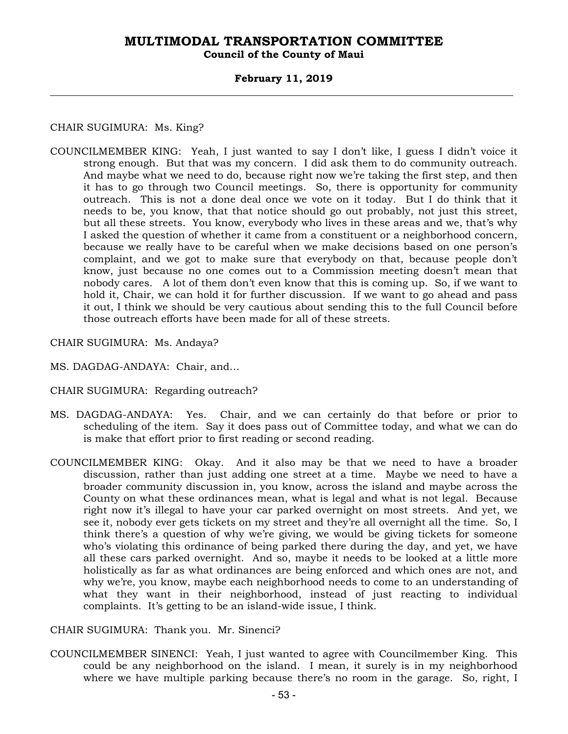### **Council of the County of Maui**

### **February 11, 2019**

### CHAIR SUGIMURA: Ms. King?

- COUNCILMEMBER KING: Yeah, I just wanted to say I don't like, I guess I didn't voice it strong enough. But that was my concern. I did ask them to do community outreach. And maybe what we need to do, because right now we're taking the first step, and then it has to go through two Council meetings. So, there is opportunity for community outreach. This is not a done deal once we vote on it today. But I do think that it needs to be, you know, that that notice should go out probably, not just this street, but all these streets. You know, everybody who lives in these areas and we, that's why I asked the question of whether it came from a constituent or a neighborhood concern, because we really have to be careful when we make decisions based on one person's complaint, and we got to make sure that everybody on that, because people don't know, just because no one comes out to a Commission meeting doesn't mean that nobody cares. A lot of them don't even know that this is coming up. So, if we want to hold it, Chair, we can hold it for further discussion. If we want to go ahead and pass it out, I think we should be very cautious about sending this to the full Council before those outreach efforts have been made for all of these streets.
- CHAIR SUGIMURA: Ms. Andaya?
- MS. DAGDAG-ANDAYA: Chair, and…
- CHAIR SUGIMURA: Regarding outreach?
- MS. DAGDAG-ANDAYA: Yes. Chair, and we can certainly do that before or prior to scheduling of the item. Say it does pass out of Committee today, and what we can do is make that effort prior to first reading or second reading.
- COUNCILMEMBER KING: Okay. And it also may be that we need to have a broader discussion, rather than just adding one street at a time. Maybe we need to have a broader community discussion in, you know, across the island and maybe across the County on what these ordinances mean, what is legal and what is not legal. Because right now it's illegal to have your car parked overnight on most streets. And yet, we see it, nobody ever gets tickets on my street and they're all overnight all the time. So, I think there's a question of why we're giving, we would be giving tickets for someone who's violating this ordinance of being parked there during the day, and yet, we have all these cars parked overnight. And so, maybe it needs to be looked at a little more holistically as far as what ordinances are being enforced and which ones are not, and why we're, you know, maybe each neighborhood needs to come to an understanding of what they want in their neighborhood, instead of just reacting to individual complaints. It's getting to be an island-wide issue, I think.

CHAIR SUGIMURA: Thank you. Mr. Sinenci?

COUNCILMEMBER SINENCI: Yeah, I just wanted to agree with Councilmember King. This could be any neighborhood on the island. I mean, it surely is in my neighborhood where we have multiple parking because there's no room in the garage. So, right, I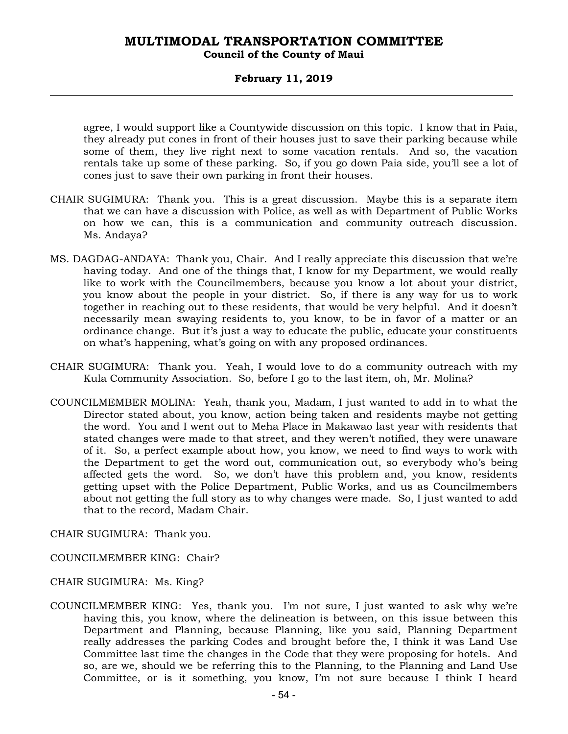### **Council of the County of Maui**

### **February 11, 2019**

agree, I would support like a Countywide discussion on this topic. I know that in Paia, they already put cones in front of their houses just to save their parking because while some of them, they live right next to some vacation rentals. And so, the vacation rentals take up some of these parking. So, if you go down Paia side, you'll see a lot of cones just to save their own parking in front their houses.

- CHAIR SUGIMURA: Thank you. This is a great discussion. Maybe this is a separate item that we can have a discussion with Police, as well as with Department of Public Works on how we can, this is a communication and community outreach discussion. Ms. Andaya?
- MS. DAGDAG-ANDAYA: Thank you, Chair. And I really appreciate this discussion that we're having today. And one of the things that, I know for my Department, we would really like to work with the Councilmembers, because you know a lot about your district, you know about the people in your district. So, if there is any way for us to work together in reaching out to these residents, that would be very helpful. And it doesn't necessarily mean swaying residents to, you know, to be in favor of a matter or an ordinance change. But it's just a way to educate the public, educate your constituents on what's happening, what's going on with any proposed ordinances.
- CHAIR SUGIMURA: Thank you. Yeah, I would love to do a community outreach with my Kula Community Association. So, before I go to the last item, oh, Mr. Molina?
- COUNCILMEMBER MOLINA: Yeah, thank you, Madam, I just wanted to add in to what the Director stated about, you know, action being taken and residents maybe not getting the word. You and I went out to Meha Place in Makawao last year with residents that stated changes were made to that street, and they weren't notified, they were unaware of it. So, a perfect example about how, you know, we need to find ways to work with the Department to get the word out, communication out, so everybody who's being affected gets the word. So, we don't have this problem and, you know, residents getting upset with the Police Department, Public Works, and us as Councilmembers about not getting the full story as to why changes were made. So, I just wanted to add that to the record, Madam Chair.

CHAIR SUGIMURA: Thank you.

COUNCILMEMBER KING: Chair?

CHAIR SUGIMURA: Ms. King?

COUNCILMEMBER KING: Yes, thank you. I'm not sure, I just wanted to ask why we're having this, you know, where the delineation is between, on this issue between this Department and Planning, because Planning, like you said, Planning Department really addresses the parking Codes and brought before the, I think it was Land Use Committee last time the changes in the Code that they were proposing for hotels. And so, are we, should we be referring this to the Planning, to the Planning and Land Use Committee, or is it something, you know, I'm not sure because I think I heard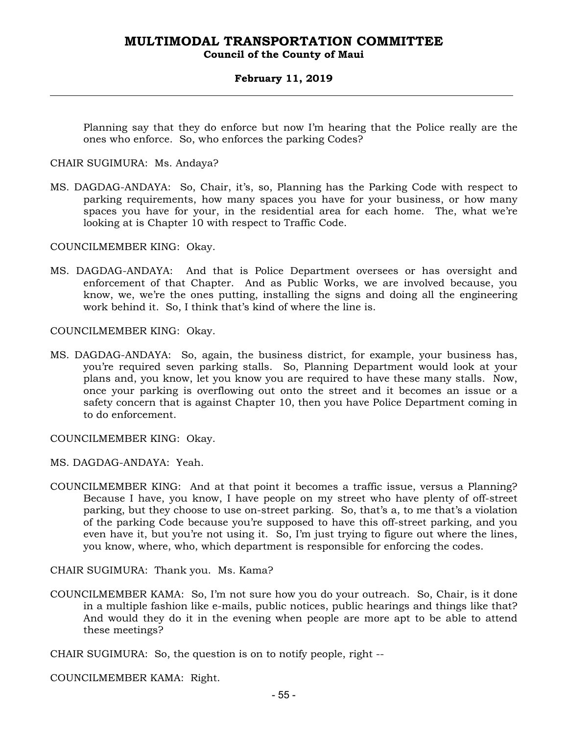### **Council of the County of Maui**

### **February 11, 2019**

Planning say that they do enforce but now I'm hearing that the Police really are the ones who enforce. So, who enforces the parking Codes?

CHAIR SUGIMURA: Ms. Andaya?

MS. DAGDAG-ANDAYA: So, Chair, it's, so, Planning has the Parking Code with respect to parking requirements, how many spaces you have for your business, or how many spaces you have for your, in the residential area for each home. The, what we're looking at is Chapter 10 with respect to Traffic Code.

COUNCILMEMBER KING: Okay.

MS. DAGDAG-ANDAYA: And that is Police Department oversees or has oversight and enforcement of that Chapter. And as Public Works, we are involved because, you know, we, we're the ones putting, installing the signs and doing all the engineering work behind it. So, I think that's kind of where the line is.

COUNCILMEMBER KING: Okay.

MS. DAGDAG-ANDAYA: So, again, the business district, for example, your business has, you're required seven parking stalls. So, Planning Department would look at your plans and, you know, let you know you are required to have these many stalls. Now, once your parking is overflowing out onto the street and it becomes an issue or a safety concern that is against Chapter 10, then you have Police Department coming in to do enforcement.

COUNCILMEMBER KING: Okay.

MS. DAGDAG-ANDAYA: Yeah.

COUNCILMEMBER KING: And at that point it becomes a traffic issue, versus a Planning? Because I have, you know, I have people on my street who have plenty of off-street parking, but they choose to use on-street parking. So, that's a, to me that's a violation of the parking Code because you're supposed to have this off-street parking, and you even have it, but you're not using it. So, I'm just trying to figure out where the lines, you know, where, who, which department is responsible for enforcing the codes.

CHAIR SUGIMURA: Thank you. Ms. Kama?

COUNCILMEMBER KAMA: So, I'm not sure how you do your outreach. So, Chair, is it done in a multiple fashion like e-mails, public notices, public hearings and things like that? And would they do it in the evening when people are more apt to be able to attend these meetings?

CHAIR SUGIMURA: So, the question is on to notify people, right --

COUNCILMEMBER KAMA: Right.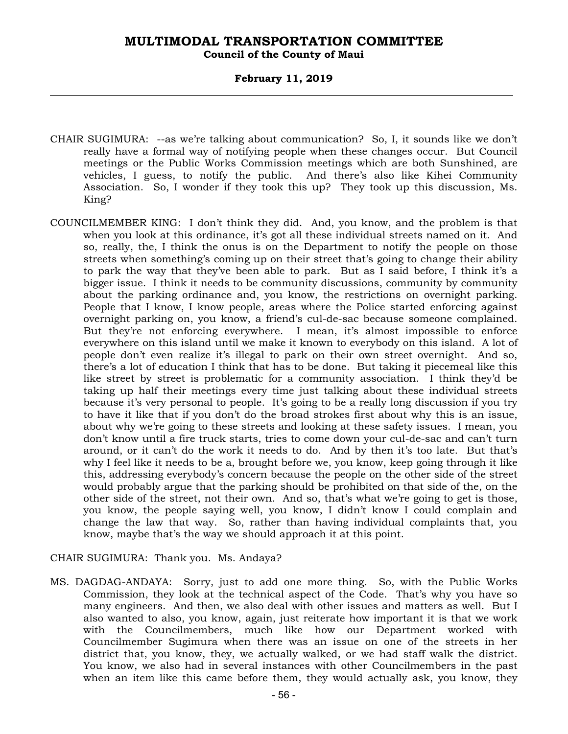### **Council of the County of Maui**

### **February 11, 2019**

- CHAIR SUGIMURA: --as we're talking about communication? So, I, it sounds like we don't really have a formal way of notifying people when these changes occur. But Council meetings or the Public Works Commission meetings which are both Sunshined, are vehicles, I guess, to notify the public. And there's also like Kihei Community Association. So, I wonder if they took this up? They took up this discussion, Ms. King?
- COUNCILMEMBER KING: I don't think they did. And, you know, and the problem is that when you look at this ordinance, it's got all these individual streets named on it. And so, really, the, I think the onus is on the Department to notify the people on those streets when something's coming up on their street that's going to change their ability to park the way that they've been able to park. But as I said before, I think it's a bigger issue. I think it needs to be community discussions, community by community about the parking ordinance and, you know, the restrictions on overnight parking. People that I know, I know people, areas where the Police started enforcing against overnight parking on, you know, a friend's cul-de-sac because someone complained. But they're not enforcing everywhere. I mean, it's almost impossible to enforce everywhere on this island until we make it known to everybody on this island. A lot of people don't even realize it's illegal to park on their own street overnight. And so, there's a lot of education I think that has to be done. But taking it piecemeal like this like street by street is problematic for a community association. I think they'd be taking up half their meetings every time just talking about these individual streets because it's very personal to people. It's going to be a really long discussion if you try to have it like that if you don't do the broad strokes first about why this is an issue, about why we're going to these streets and looking at these safety issues. I mean, you don't know until a fire truck starts, tries to come down your cul-de-sac and can't turn around, or it can't do the work it needs to do. And by then it's too late. But that's why I feel like it needs to be a, brought before we, you know, keep going through it like this, addressing everybody's concern because the people on the other side of the street would probably argue that the parking should be prohibited on that side of the, on the other side of the street, not their own. And so, that's what we're going to get is those, you know, the people saying well, you know, I didn't know I could complain and change the law that way. So, rather than having individual complaints that, you know, maybe that's the way we should approach it at this point.

### CHAIR SUGIMURA: Thank you. Ms. Andaya?

MS. DAGDAG-ANDAYA: Sorry, just to add one more thing. So, with the Public Works Commission, they look at the technical aspect of the Code. That's why you have so many engineers. And then, we also deal with other issues and matters as well. But I also wanted to also, you know, again, just reiterate how important it is that we work with the Councilmembers, much like how our Department worked with Councilmember Sugimura when there was an issue on one of the streets in her district that, you know, they, we actually walked, or we had staff walk the district. You know, we also had in several instances with other Councilmembers in the past when an item like this came before them, they would actually ask, you know, they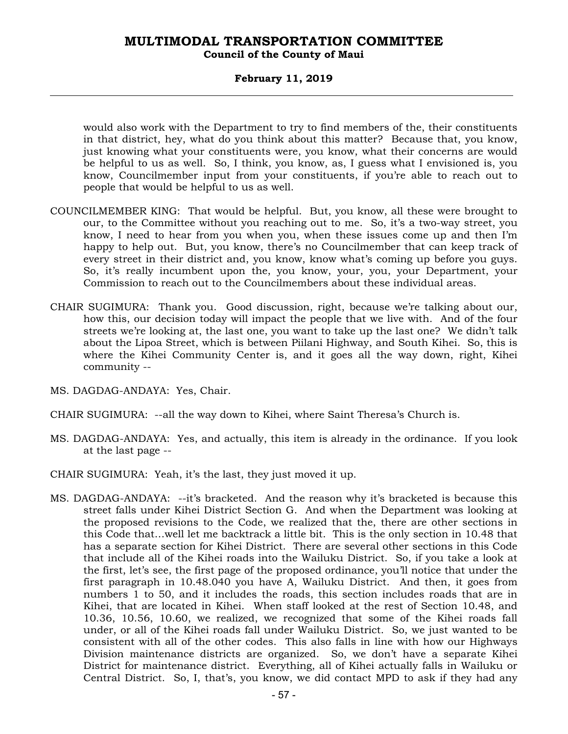### **Council of the County of Maui**

### **February 11, 2019**

would also work with the Department to try to find members of the, their constituents in that district, hey, what do you think about this matter? Because that, you know, just knowing what your constituents were, you know, what their concerns are would be helpful to us as well. So, I think, you know, as, I guess what I envisioned is, you know, Councilmember input from your constituents, if you're able to reach out to people that would be helpful to us as well.

- COUNCILMEMBER KING: That would be helpful. But, you know, all these were brought to our, to the Committee without you reaching out to me. So, it's a two-way street, you know, I need to hear from you when you, when these issues come up and then I'm happy to help out. But, you know, there's no Councilmember that can keep track of every street in their district and, you know, know what's coming up before you guys. So, it's really incumbent upon the, you know, your, you, your Department, your Commission to reach out to the Councilmembers about these individual areas.
- CHAIR SUGIMURA: Thank you. Good discussion, right, because we're talking about our, how this, our decision today will impact the people that we live with. And of the four streets we're looking at, the last one, you want to take up the last one? We didn't talk about the Lipoa Street, which is between Piilani Highway, and South Kihei. So, this is where the Kihei Community Center is, and it goes all the way down, right, Kihei community --
- MS. DAGDAG-ANDAYA: Yes, Chair.
- CHAIR SUGIMURA: --all the way down to Kihei, where Saint Theresa's Church is.
- MS. DAGDAG-ANDAYA: Yes, and actually, this item is already in the ordinance. If you look at the last page --
- CHAIR SUGIMURA: Yeah, it's the last, they just moved it up.
- MS. DAGDAG-ANDAYA: --it's bracketed. And the reason why it's bracketed is because this street falls under Kihei District Section G. And when the Department was looking at the proposed revisions to the Code, we realized that the, there are other sections in this Code that…well let me backtrack a little bit. This is the only section in 10.48 that has a separate section for Kihei District. There are several other sections in this Code that include all of the Kihei roads into the Wailuku District. So, if you take a look at the first, let's see, the first page of the proposed ordinance, you'll notice that under the first paragraph in 10.48.040 you have A, Wailuku District. And then, it goes from numbers 1 to 50, and it includes the roads, this section includes roads that are in Kihei, that are located in Kihei. When staff looked at the rest of Section 10.48, and 10.36, 10.56, 10.60, we realized, we recognized that some of the Kihei roads fall under, or all of the Kihei roads fall under Wailuku District. So, we just wanted to be consistent with all of the other codes. This also falls in line with how our Highways Division maintenance districts are organized. So, we don't have a separate Kihei District for maintenance district. Everything, all of Kihei actually falls in Wailuku or Central District. So, I, that's, you know, we did contact MPD to ask if they had any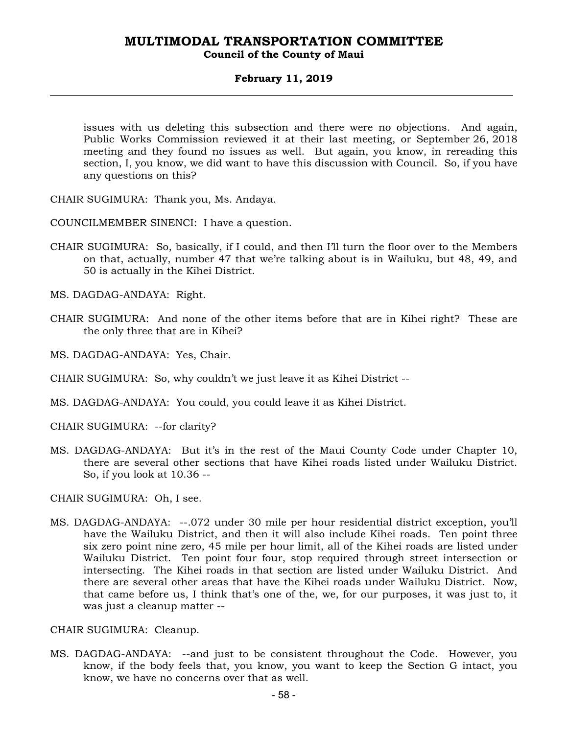### **February 11, 2019**

issues with us deleting this subsection and there were no objections. And again, Public Works Commission reviewed it at their last meeting, or September 26, 2018 meeting and they found no issues as well. But again, you know, in rereading this section, I, you know, we did want to have this discussion with Council. So, if you have any questions on this?

CHAIR SUGIMURA: Thank you, Ms. Andaya.

COUNCILMEMBER SINENCI: I have a question.

CHAIR SUGIMURA: So, basically, if I could, and then I'll turn the floor over to the Members on that, actually, number 47 that we're talking about is in Wailuku, but 48, 49, and 50 is actually in the Kihei District.

MS. DAGDAG-ANDAYA: Right.

- CHAIR SUGIMURA: And none of the other items before that are in Kihei right? These are the only three that are in Kihei?
- MS. DAGDAG-ANDAYA: Yes, Chair.

CHAIR SUGIMURA: So, why couldn't we just leave it as Kihei District --

MS. DAGDAG-ANDAYA: You could, you could leave it as Kihei District.

CHAIR SUGIMURA: --for clarity?

MS. DAGDAG-ANDAYA: But it's in the rest of the Maui County Code under Chapter 10, there are several other sections that have Kihei roads listed under Wailuku District. So, if you look at 10.36 --

CHAIR SUGIMURA: Oh, I see.

MS. DAGDAG-ANDAYA: --.072 under 30 mile per hour residential district exception, you'll have the Wailuku District, and then it will also include Kihei roads. Ten point three six zero point nine zero, 45 mile per hour limit, all of the Kihei roads are listed under Wailuku District. Ten point four four, stop required through street intersection or intersecting. The Kihei roads in that section are listed under Wailuku District. And there are several other areas that have the Kihei roads under Wailuku District. Now, that came before us, I think that's one of the, we, for our purposes, it was just to, it was just a cleanup matter --

CHAIR SUGIMURA: Cleanup.

MS. DAGDAG-ANDAYA: --and just to be consistent throughout the Code. However, you know, if the body feels that, you know, you want to keep the Section G intact, you know, we have no concerns over that as well.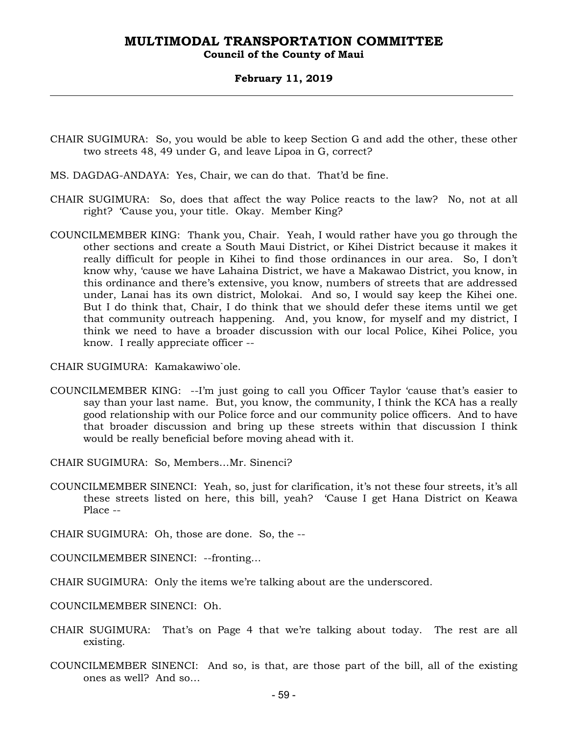### **Council of the County of Maui**

### **February 11, 2019**

- CHAIR SUGIMURA: So, you would be able to keep Section G and add the other, these other two streets 48, 49 under G, and leave Lipoa in G, correct?
- MS. DAGDAG-ANDAYA: Yes, Chair, we can do that. That'd be fine.
- CHAIR SUGIMURA: So, does that affect the way Police reacts to the law? No, not at all right? 'Cause you, your title. Okay. Member King?
- COUNCILMEMBER KING: Thank you, Chair. Yeah, I would rather have you go through the other sections and create a South Maui District, or Kihei District because it makes it really difficult for people in Kihei to find those ordinances in our area. So, I don't know why, 'cause we have Lahaina District, we have a Makawao District, you know, in this ordinance and there's extensive, you know, numbers of streets that are addressed under, Lanai has its own district, Molokai. And so, I would say keep the Kihei one. But I do think that, Chair, I do think that we should defer these items until we get that community outreach happening. And, you know, for myself and my district, I think we need to have a broader discussion with our local Police, Kihei Police, you know. I really appreciate officer --

CHAIR SUGIMURA: Kamakawiwo`ole.

- COUNCILMEMBER KING: --I'm just going to call you Officer Taylor 'cause that's easier to say than your last name. But, you know, the community, I think the KCA has a really good relationship with our Police force and our community police officers. And to have that broader discussion and bring up these streets within that discussion I think would be really beneficial before moving ahead with it.
- CHAIR SUGIMURA: So, Members…Mr. Sinenci?
- COUNCILMEMBER SINENCI: Yeah, so, just for clarification, it's not these four streets, it's all these streets listed on here, this bill, yeah? 'Cause I get Hana District on Keawa Place --
- CHAIR SUGIMURA: Oh, those are done. So, the --
- COUNCILMEMBER SINENCI: --fronting…
- CHAIR SUGIMURA: Only the items we're talking about are the underscored.
- COUNCILMEMBER SINENCI: Oh.
- CHAIR SUGIMURA: That's on Page 4 that we're talking about today. The rest are all existing.
- COUNCILMEMBER SINENCI: And so, is that, are those part of the bill, all of the existing ones as well? And so…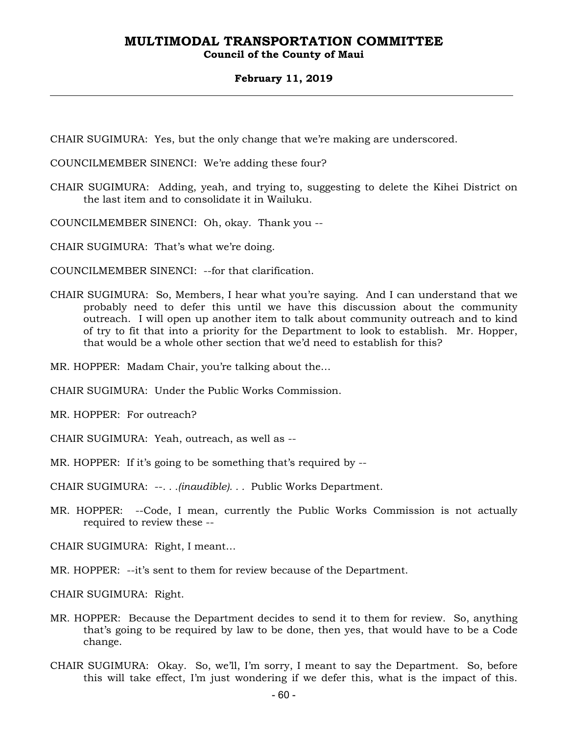### **Council of the County of Maui**

### **February 11, 2019**

CHAIR SUGIMURA: Yes, but the only change that we're making are underscored.

COUNCILMEMBER SINENCI: We're adding these four?

CHAIR SUGIMURA: Adding, yeah, and trying to, suggesting to delete the Kihei District on the last item and to consolidate it in Wailuku.

COUNCILMEMBER SINENCI: Oh, okay. Thank you --

CHAIR SUGIMURA: That's what we're doing.

COUNCILMEMBER SINENCI: --for that clarification.

CHAIR SUGIMURA: So, Members, I hear what you're saying. And I can understand that we probably need to defer this until we have this discussion about the community outreach. I will open up another item to talk about community outreach and to kind of try to fit that into a priority for the Department to look to establish. Mr. Hopper, that would be a whole other section that we'd need to establish for this?

MR. HOPPER: Madam Chair, you're talking about the…

CHAIR SUGIMURA: Under the Public Works Commission.

MR. HOPPER: For outreach?

CHAIR SUGIMURA: Yeah, outreach, as well as --

MR. HOPPER: If it's going to be something that's required by --

CHAIR SUGIMURA: --*. . .(inaudible). . .* Public Works Department.

MR. HOPPER: --Code, I mean, currently the Public Works Commission is not actually required to review these --

CHAIR SUGIMURA: Right, I meant…

MR. HOPPER: --it's sent to them for review because of the Department.

CHAIR SUGIMURA: Right.

- MR. HOPPER: Because the Department decides to send it to them for review. So, anything that's going to be required by law to be done, then yes, that would have to be a Code change.
- CHAIR SUGIMURA: Okay. So, we'll, I'm sorry, I meant to say the Department. So, before this will take effect, I'm just wondering if we defer this, what is the impact of this.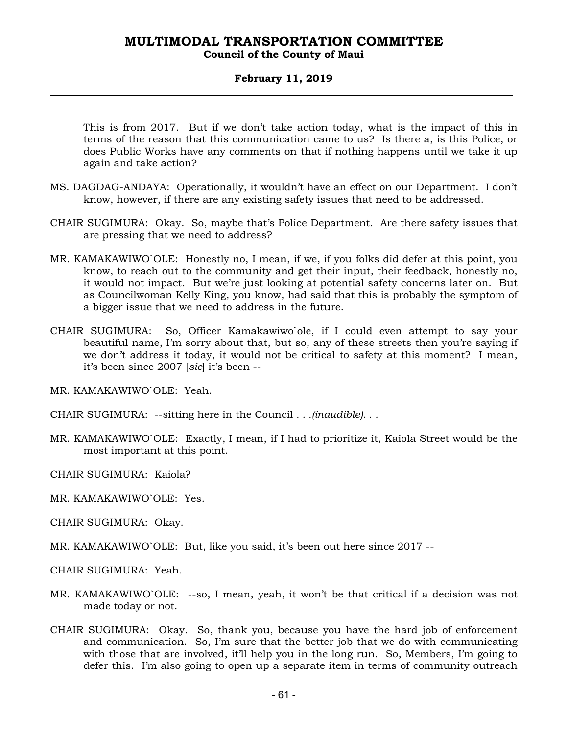### **Council of the County of Maui**

### **February 11, 2019**

This is from 2017. But if we don't take action today, what is the impact of this in terms of the reason that this communication came to us? Is there a, is this Police, or does Public Works have any comments on that if nothing happens until we take it up again and take action?

- MS. DAGDAG-ANDAYA: Operationally, it wouldn't have an effect on our Department. I don't know, however, if there are any existing safety issues that need to be addressed.
- CHAIR SUGIMURA: Okay. So, maybe that's Police Department. Are there safety issues that are pressing that we need to address?
- MR. KAMAKAWIWO`OLE: Honestly no, I mean, if we, if you folks did defer at this point, you know, to reach out to the community and get their input, their feedback, honestly no, it would not impact. But we're just looking at potential safety concerns later on. But as Councilwoman Kelly King, you know, had said that this is probably the symptom of a bigger issue that we need to address in the future.
- CHAIR SUGIMURA: So, Officer Kamakawiwo`ole, if I could even attempt to say your beautiful name, I'm sorry about that, but so, any of these streets then you're saying if we don't address it today, it would not be critical to safety at this moment? I mean, it's been since 2007 [*sic*] it's been --

MR. KAMAKAWIWO`OLE: Yeah.

CHAIR SUGIMURA: --sitting here in the Council *. . .(inaudible). . .*

MR. KAMAKAWIWO`OLE: Exactly, I mean, if I had to prioritize it, Kaiola Street would be the most important at this point.

CHAIR SUGIMURA: Kaiola?

- MR. KAMAKAWIWO`OLE: Yes.
- CHAIR SUGIMURA: Okay.
- MR. KAMAKAWIWO`OLE: But, like you said, it's been out here since 2017 --

CHAIR SUGIMURA: Yeah.

- MR. KAMAKAWIWO`OLE: --so, I mean, yeah, it won't be that critical if a decision was not made today or not.
- CHAIR SUGIMURA: Okay. So, thank you, because you have the hard job of enforcement and communication. So, I'm sure that the better job that we do with communicating with those that are involved, it'll help you in the long run. So, Members, I'm going to defer this. I'm also going to open up a separate item in terms of community outreach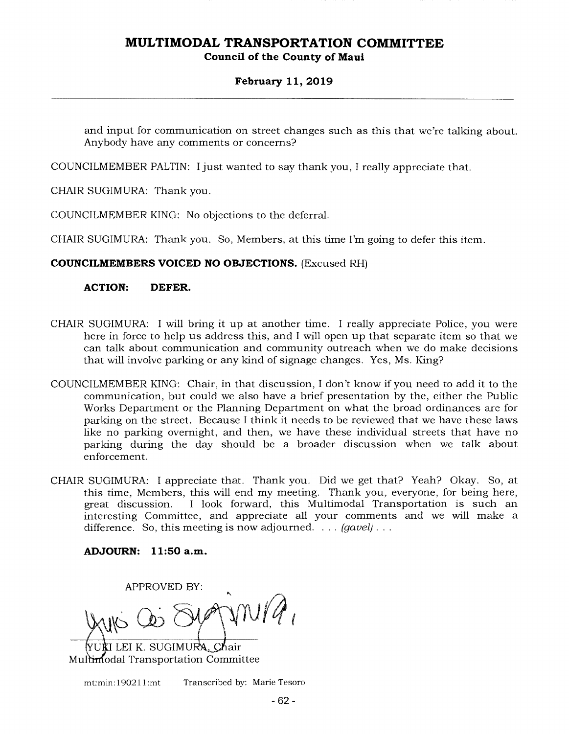### **February 11, 2019**

and input for communication on street changes such as this that we're talking about. Anybody have any comments or concerns?

COUNCILMEMBER PALTIN: I just wanted to say thank you, I really appreciate that.

CHAIR SUGIMURA: Thank you.

COUNCILMEMBER KING: No objections to the deferral.

CHAIR SUGIMURA: Thank you. So, Members, at this time I'm going to defer this item.

### **COUNCILMEMBERS VOICED NO OBJECTIONS.** (Excused RH)

### **ACTION: DEFER.**

- CHAIR SUGIMURA: I will bring it up at another time. I really appreciate Police, you were here in force to help us address this, and I will open up that separate item so that we can talk about communication and community outreach when we do make decisions that will involve parking or any kind of signage changes. Yes, Ms. King?
- COUNCILMEMBER KING: Chair, in that discussion, I don't know if you need to add it to the communication, but could we also have a brief presentation by the, either the Public Works Department or the Planning Department on what the broad ordinances are for parking on the street. Because I think it needs to be reviewed that we have these laws like no parking overnight, and then, we have these individual streets that have no parking during the day should be a broader discussion when we talk about enforcement.
- CHAIR SUGIMURA: I appreciate that. Thank you. Did we get that? Yeah? Okay. So, at this time, Members, this will end my meeting. Thank you, everyone, for being here, great discussion. I look forward, this Multimodal Transportation is such an interesting Committee, and appreciate all your comments and we will make a difference. So, this meeting is now adjourned. . . . *(gavel).*

**ADJOURN: 11:50a.m.** 

**APPROVED BY:**  $mVA$ JUA I LEI K. SUGIMURA, Chair

Multimodal Transportation Committee

mt:min: 190211:mt Transcribed by: Marie Tesoro